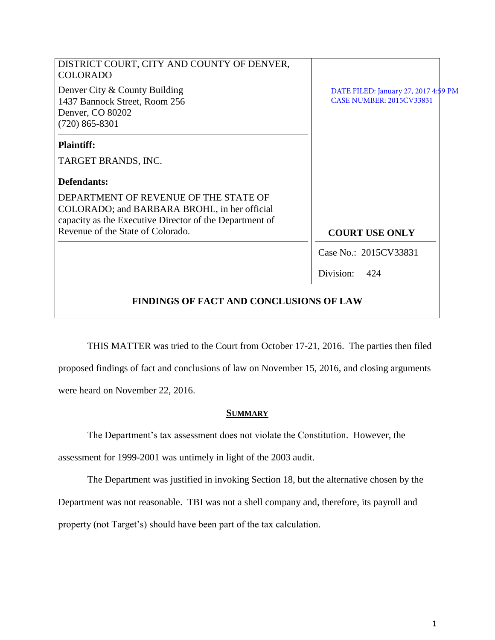| DISTRICT COURT, CITY AND COUNTY OF DENVER,<br><b>COLORADO</b>                                                                                    |                                                                         |
|--------------------------------------------------------------------------------------------------------------------------------------------------|-------------------------------------------------------------------------|
| Denver City & County Building<br>1437 Bannock Street, Room 256<br>Denver, CO 80202<br>$(720)$ 865-8301                                           | DATE FILED: January 27, 2017 4:59 PM<br><b>CASE NUMBER: 2015CV33831</b> |
| <b>Plaintiff:</b>                                                                                                                                |                                                                         |
| TARGET BRANDS, INC.                                                                                                                              |                                                                         |
| Defendants:                                                                                                                                      |                                                                         |
| DEPARTMENT OF REVENUE OF THE STATE OF<br>COLORADO; and BARBARA BROHL, in her official<br>capacity as the Executive Director of the Department of |                                                                         |
| Revenue of the State of Colorado.                                                                                                                | <b>COURT USE ONLY</b>                                                   |
|                                                                                                                                                  | Case No.: 2015CV33831                                                   |
|                                                                                                                                                  | Division:<br>424                                                        |
| <b>FINDINGS OF FACT AND CONCLUSIONS OF LAW</b>                                                                                                   |                                                                         |

THIS MATTER was tried to the Court from October 17-21, 2016. The parties then filed proposed findings of fact and conclusions of law on November 15, 2016, and closing arguments were heard on November 22, 2016.

# **SUMMARY**

The Department's tax assessment does not violate the Constitution. However, the assessment for 1999-2001 was untimely in light of the 2003 audit.

The Department was justified in invoking Section 18, but the alternative chosen by the Department was not reasonable. TBI was not a shell company and, therefore, its payroll and property (not Target's) should have been part of the tax calculation.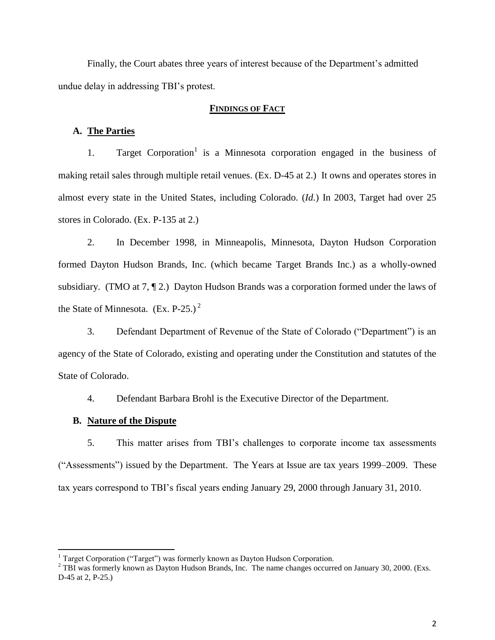Finally, the Court abates three years of interest because of the Department's admitted undue delay in addressing TBI's protest.

# **FINDINGS OF FACT**

# **A. The Parties**

1. Target Corporation<sup>1</sup> is a Minnesota corporation engaged in the business of making retail sales through multiple retail venues. (Ex. D-45 at 2.) It owns and operates stores in almost every state in the United States, including Colorado. (*Id.*) In 2003, Target had over 25 stores in Colorado. (Ex. P-135 at 2.)

2. In December 1998, in Minneapolis, Minnesota, Dayton Hudson Corporation formed Dayton Hudson Brands, Inc. (which became Target Brands Inc.) as a wholly-owned subsidiary. (TMO at 7, ¶ 2.) Dayton Hudson Brands was a corporation formed under the laws of the State of Minnesota.  $(Ex. P-25.)^2$ 

3. Defendant Department of Revenue of the State of Colorado ("Department") is an agency of the State of Colorado, existing and operating under the Constitution and statutes of the State of Colorado.

4. Defendant Barbara Brohl is the Executive Director of the Department.

## **B. Nature of the Dispute**

 $\overline{\phantom{a}}$ 

5. This matter arises from TBI's challenges to corporate income tax assessments ("Assessments") issued by the Department. The Years at Issue are tax years 1999–2009. These tax years correspond to TBI's fiscal years ending January 29, 2000 through January 31, 2010.

<sup>&</sup>lt;sup>1</sup> Target Corporation ("Target") was formerly known as Dayton Hudson Corporation.

<sup>&</sup>lt;sup>2</sup> TBI was formerly known as Dayton Hudson Brands, Inc. The name changes occurred on January 30, 2000. (Exs. D-45 at 2, P-25.)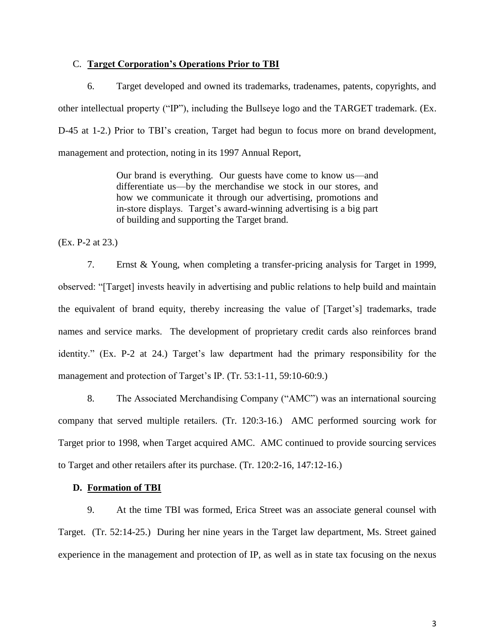# C. **Target Corporation's Operations Prior to TBI**

6. Target developed and owned its trademarks, tradenames, patents, copyrights, and other intellectual property ("IP"), including the Bullseye logo and the TARGET trademark. (Ex. D-45 at 1-2.) Prior to TBI's creation, Target had begun to focus more on brand development, management and protection, noting in its 1997 Annual Report,

> Our brand is everything. Our guests have come to know us—and differentiate us—by the merchandise we stock in our stores, and how we communicate it through our advertising, promotions and in-store displays. Target's award-winning advertising is a big part of building and supporting the Target brand.

(Ex. P-2 at 23.)

7. Ernst & Young, when completing a transfer-pricing analysis for Target in 1999, observed: "[Target] invests heavily in advertising and public relations to help build and maintain the equivalent of brand equity, thereby increasing the value of [Target's] trademarks, trade names and service marks. The development of proprietary credit cards also reinforces brand identity." (Ex. P-2 at 24.) Target's law department had the primary responsibility for the management and protection of Target's IP. (Tr. 53:1-11, 59:10-60:9.)

8. The Associated Merchandising Company ("AMC") was an international sourcing company that served multiple retailers. (Tr. 120:3-16.) AMC performed sourcing work for Target prior to 1998, when Target acquired AMC. AMC continued to provide sourcing services to Target and other retailers after its purchase. (Tr. 120:2-16, 147:12-16.)

## **D. Formation of TBI**

9. At the time TBI was formed, Erica Street was an associate general counsel with Target. (Tr. 52:14-25.) During her nine years in the Target law department, Ms. Street gained experience in the management and protection of IP, as well as in state tax focusing on the nexus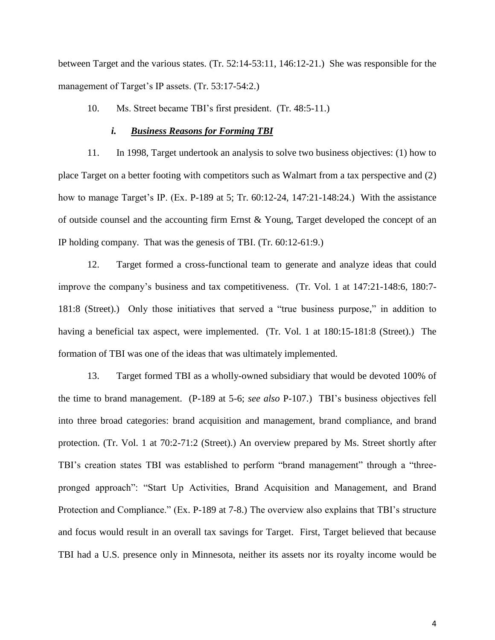between Target and the various states. (Tr. 52:14-53:11, 146:12-21.) She was responsible for the management of Target's IP assets. (Tr. 53:17-54:2.)

## 10. Ms. Street became TBI's first president. (Tr. 48:5-11.)

## *i. Business Reasons for Forming TBI*

11. In 1998, Target undertook an analysis to solve two business objectives: (1) how to place Target on a better footing with competitors such as Walmart from a tax perspective and (2) how to manage Target's IP. (Ex. P-189 at 5; Tr. 60:12-24, 147:21-148:24.) With the assistance of outside counsel and the accounting firm Ernst & Young, Target developed the concept of an IP holding company. That was the genesis of TBI. (Tr. 60:12-61:9.)

12. Target formed a cross-functional team to generate and analyze ideas that could improve the company's business and tax competitiveness. (Tr. Vol. 1 at 147:21-148:6, 180:7- 181:8 (Street).) Only those initiatives that served a "true business purpose," in addition to having a beneficial tax aspect, were implemented. (Tr. Vol. 1 at 180:15-181:8 (Street).) The formation of TBI was one of the ideas that was ultimately implemented.

13. Target formed TBI as a wholly-owned subsidiary that would be devoted 100% of the time to brand management. (P-189 at 5-6; *see also* P-107.) TBI's business objectives fell into three broad categories: brand acquisition and management, brand compliance, and brand protection. (Tr. Vol. 1 at 70:2-71:2 (Street).) An overview prepared by Ms. Street shortly after TBI's creation states TBI was established to perform "brand management" through a "threepronged approach": "Start Up Activities, Brand Acquisition and Management, and Brand Protection and Compliance." (Ex. P-189 at 7-8.) The overview also explains that TBI's structure and focus would result in an overall tax savings for Target. First, Target believed that because TBI had a U.S. presence only in Minnesota, neither its assets nor its royalty income would be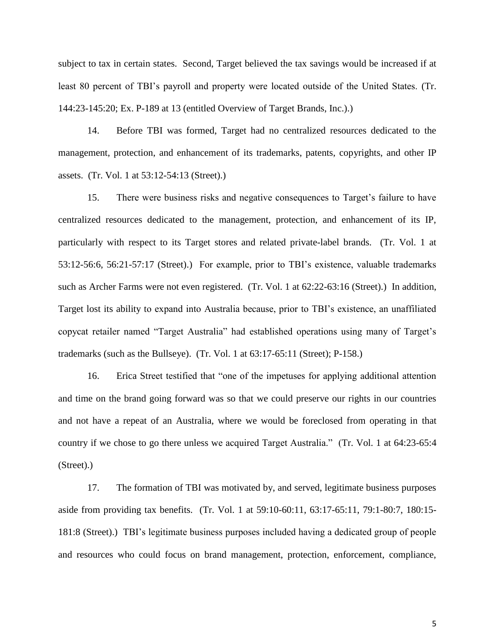subject to tax in certain states. Second, Target believed the tax savings would be increased if at least 80 percent of TBI's payroll and property were located outside of the United States. (Tr. 144:23-145:20; Ex. P-189 at 13 (entitled Overview of Target Brands, Inc.).)

14. Before TBI was formed, Target had no centralized resources dedicated to the management, protection, and enhancement of its trademarks, patents, copyrights, and other IP assets. (Tr. Vol. 1 at 53:12-54:13 (Street).)

15. There were business risks and negative consequences to Target's failure to have centralized resources dedicated to the management, protection, and enhancement of its IP, particularly with respect to its Target stores and related private-label brands. (Tr. Vol. 1 at 53:12-56:6, 56:21-57:17 (Street).) For example, prior to TBI's existence, valuable trademarks such as Archer Farms were not even registered. (Tr. Vol. 1 at 62:22-63:16 (Street).) In addition, Target lost its ability to expand into Australia because, prior to TBI's existence, an unaffiliated copycat retailer named "Target Australia" had established operations using many of Target's trademarks (such as the Bullseye). (Tr. Vol. 1 at 63:17-65:11 (Street); P-158.)

16. Erica Street testified that "one of the impetuses for applying additional attention and time on the brand going forward was so that we could preserve our rights in our countries and not have a repeat of an Australia, where we would be foreclosed from operating in that country if we chose to go there unless we acquired Target Australia." (Tr. Vol. 1 at 64:23-65:4 (Street).)

17. The formation of TBI was motivated by, and served, legitimate business purposes aside from providing tax benefits. (Tr. Vol. 1 at 59:10-60:11, 63:17-65:11, 79:1-80:7, 180:15- 181:8 (Street).) TBI's legitimate business purposes included having a dedicated group of people and resources who could focus on brand management, protection, enforcement, compliance,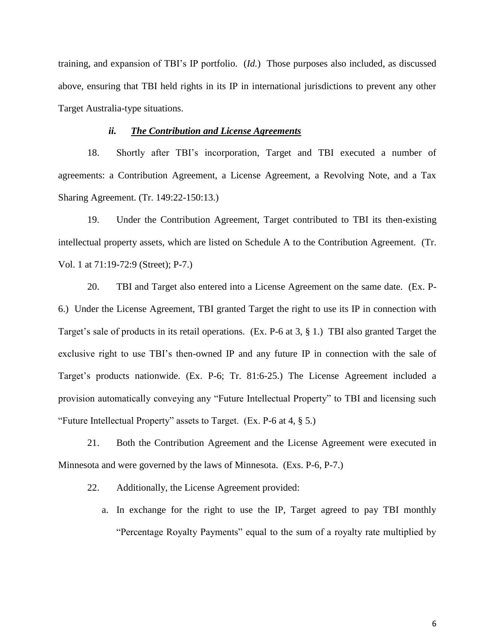training, and expansion of TBI's IP portfolio. (*Id.*) Those purposes also included, as discussed above, ensuring that TBI held rights in its IP in international jurisdictions to prevent any other Target Australia-type situations.

## *ii. The Contribution and License Agreements*

18. Shortly after TBI's incorporation, Target and TBI executed a number of agreements: a Contribution Agreement, a License Agreement, a Revolving Note, and a Tax Sharing Agreement. (Tr. 149:22-150:13.)

19. Under the Contribution Agreement, Target contributed to TBI its then-existing intellectual property assets, which are listed on Schedule A to the Contribution Agreement. (Tr. Vol. 1 at 71:19-72:9 (Street); P-7.)

20. TBI and Target also entered into a License Agreement on the same date. (Ex. P-6.) Under the License Agreement, TBI granted Target the right to use its IP in connection with Target's sale of products in its retail operations. (Ex. P-6 at 3, § 1.) TBI also granted Target the exclusive right to use TBI's then-owned IP and any future IP in connection with the sale of Target's products nationwide. (Ex. P-6; Tr. 81:6-25.) The License Agreement included a provision automatically conveying any "Future Intellectual Property" to TBI and licensing such "Future Intellectual Property" assets to Target. (Ex. P-6 at 4, § 5.)

21. Both the Contribution Agreement and the License Agreement were executed in Minnesota and were governed by the laws of Minnesota. (Exs. P-6, P-7.)

22. Additionally, the License Agreement provided:

a. In exchange for the right to use the IP, Target agreed to pay TBI monthly "Percentage Royalty Payments" equal to the sum of a royalty rate multiplied by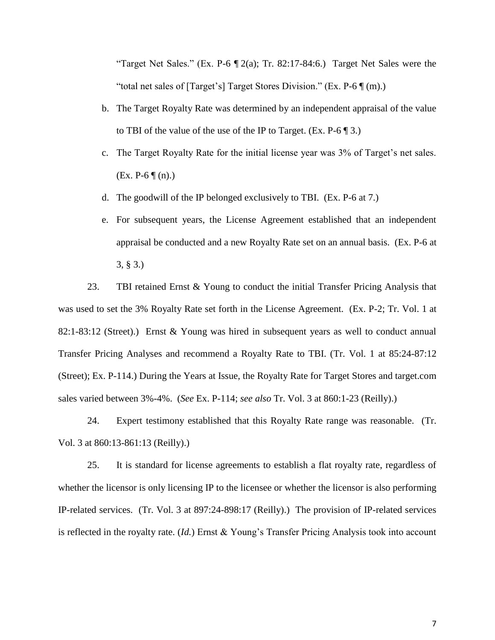"Target Net Sales." (Ex. P-6  $\mathbb{I}$  2(a); Tr. 82:17-84:6.) Target Net Sales were the "total net sales of [Target's] Target Stores Division." (Ex. P-6 ¶ (m).)

- b. The Target Royalty Rate was determined by an independent appraisal of the value to TBI of the value of the use of the IP to Target. (Ex.  $P-6 \parallel 3$ .)
- c. The Target Royalty Rate for the initial license year was 3% of Target's net sales.  $(EX. P-6 \P(n). )$
- d. The goodwill of the IP belonged exclusively to TBI. (Ex. P-6 at 7.)
- e. For subsequent years, the License Agreement established that an independent appraisal be conducted and a new Royalty Rate set on an annual basis. (Ex. P-6 at 3, § 3.)

23. TBI retained Ernst & Young to conduct the initial Transfer Pricing Analysis that was used to set the 3% Royalty Rate set forth in the License Agreement. (Ex. P-2; Tr. Vol. 1 at 82:1-83:12 (Street).) Ernst & Young was hired in subsequent years as well to conduct annual Transfer Pricing Analyses and recommend a Royalty Rate to TBI. (Tr. Vol. 1 at 85:24-87:12 (Street); Ex. P-114.) During the Years at Issue, the Royalty Rate for Target Stores and target.com sales varied between 3%-4%. (*See* Ex. P-114; *see also* Tr. Vol. 3 at 860:1-23 (Reilly).)

24. Expert testimony established that this Royalty Rate range was reasonable. (Tr. Vol. 3 at 860:13-861:13 (Reilly).)

25. It is standard for license agreements to establish a flat royalty rate, regardless of whether the licensor is only licensing IP to the licensee or whether the licensor is also performing IP-related services. (Tr. Vol. 3 at 897:24-898:17 (Reilly).) The provision of IP-related services is reflected in the royalty rate. (*Id.*) Ernst & Young's Transfer Pricing Analysis took into account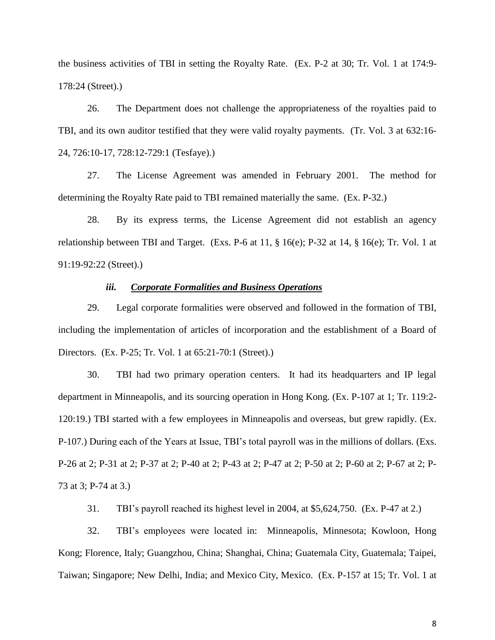the business activities of TBI in setting the Royalty Rate. (Ex. P-2 at 30; Tr. Vol. 1 at 174:9- 178:24 (Street).)

26. The Department does not challenge the appropriateness of the royalties paid to TBI, and its own auditor testified that they were valid royalty payments. (Tr. Vol. 3 at 632:16- 24, 726:10-17, 728:12-729:1 (Tesfaye).)

27. The License Agreement was amended in February 2001. The method for determining the Royalty Rate paid to TBI remained materially the same. (Ex. P-32.)

28. By its express terms, the License Agreement did not establish an agency relationship between TBI and Target. (Exs. P-6 at 11, § 16(e); P-32 at 14, § 16(e); Tr. Vol. 1 at 91:19-92:22 (Street).)

# *iii. Corporate Formalities and Business Operations*

29. Legal corporate formalities were observed and followed in the formation of TBI, including the implementation of articles of incorporation and the establishment of a Board of Directors. (Ex. P-25; Tr. Vol. 1 at 65:21-70:1 (Street).)

30. TBI had two primary operation centers. It had its headquarters and IP legal department in Minneapolis, and its sourcing operation in Hong Kong. (Ex. P-107 at 1; Tr. 119:2- 120:19.) TBI started with a few employees in Minneapolis and overseas, but grew rapidly. (Ex. P-107.) During each of the Years at Issue, TBI's total payroll was in the millions of dollars. (Exs. P-26 at 2; P-31 at 2; P-37 at 2; P-40 at 2; P-43 at 2; P-47 at 2; P-50 at 2; P-60 at 2; P-67 at 2; P-73 at 3; P-74 at 3.)

31. TBI's payroll reached its highest level in 2004, at \$5,624,750. (Ex. P-47 at 2.)

32. TBI's employees were located in: Minneapolis, Minnesota; Kowloon, Hong Kong; Florence, Italy; Guangzhou, China; Shanghai, China; Guatemala City, Guatemala; Taipei, Taiwan; Singapore; New Delhi, India; and Mexico City, Mexico. (Ex. P-157 at 15; Tr. Vol. 1 at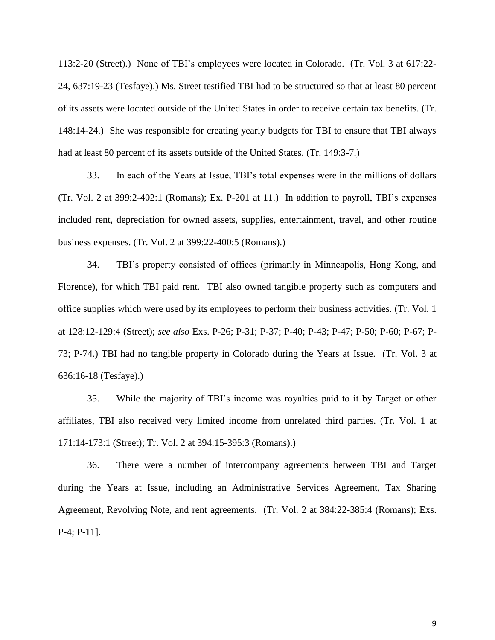113:2-20 (Street).) None of TBI's employees were located in Colorado. (Tr. Vol. 3 at 617:22- 24, 637:19-23 (Tesfaye).) Ms. Street testified TBI had to be structured so that at least 80 percent of its assets were located outside of the United States in order to receive certain tax benefits. (Tr. 148:14-24.) She was responsible for creating yearly budgets for TBI to ensure that TBI always had at least 80 percent of its assets outside of the United States. (Tr. 149:3-7.)

33. In each of the Years at Issue, TBI's total expenses were in the millions of dollars (Tr. Vol. 2 at 399:2-402:1 (Romans); Ex. P-201 at 11.) In addition to payroll, TBI's expenses included rent, depreciation for owned assets, supplies, entertainment, travel, and other routine business expenses. (Tr. Vol. 2 at 399:22-400:5 (Romans).)

34. TBI's property consisted of offices (primarily in Minneapolis, Hong Kong, and Florence), for which TBI paid rent. TBI also owned tangible property such as computers and office supplies which were used by its employees to perform their business activities. (Tr. Vol. 1 at 128:12-129:4 (Street); *see also* Exs. P-26; P-31; P-37; P-40; P-43; P-47; P-50; P-60; P-67; P-73; P-74.) TBI had no tangible property in Colorado during the Years at Issue. (Tr. Vol. 3 at 636:16-18 (Tesfaye).)

35. While the majority of TBI's income was royalties paid to it by Target or other affiliates, TBI also received very limited income from unrelated third parties. (Tr. Vol. 1 at 171:14-173:1 (Street); Tr. Vol. 2 at 394:15-395:3 (Romans).)

36. There were a number of intercompany agreements between TBI and Target during the Years at Issue, including an Administrative Services Agreement, Tax Sharing Agreement, Revolving Note, and rent agreements. (Tr. Vol. 2 at 384:22-385:4 (Romans); Exs. P-4; P-11].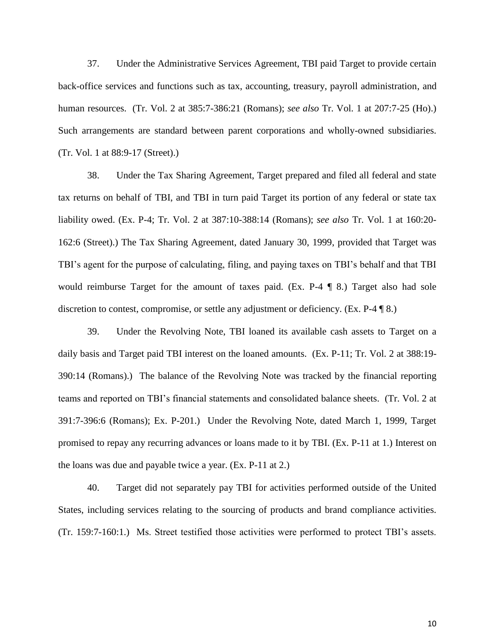37. Under the Administrative Services Agreement, TBI paid Target to provide certain back-office services and functions such as tax, accounting, treasury, payroll administration, and human resources. (Tr. Vol. 2 at 385:7-386:21 (Romans); *see also* Tr. Vol. 1 at 207:7-25 (Ho).) Such arrangements are standard between parent corporations and wholly-owned subsidiaries. (Tr. Vol. 1 at 88:9-17 (Street).)

38. Under the Tax Sharing Agreement, Target prepared and filed all federal and state tax returns on behalf of TBI, and TBI in turn paid Target its portion of any federal or state tax liability owed. (Ex. P-4; Tr. Vol. 2 at 387:10-388:14 (Romans); *see also* Tr. Vol. 1 at 160:20- 162:6 (Street).) The Tax Sharing Agreement, dated January 30, 1999, provided that Target was TBI's agent for the purpose of calculating, filing, and paying taxes on TBI's behalf and that TBI would reimburse Target for the amount of taxes paid. (Ex. P-4 ¶ 8.) Target also had sole discretion to contest, compromise, or settle any adjustment or deficiency. (Ex. P-4 ¶ 8.)

39. Under the Revolving Note, TBI loaned its available cash assets to Target on a daily basis and Target paid TBI interest on the loaned amounts. (Ex. P-11; Tr. Vol. 2 at 388:19- 390:14 (Romans).) The balance of the Revolving Note was tracked by the financial reporting teams and reported on TBI's financial statements and consolidated balance sheets. (Tr. Vol. 2 at 391:7-396:6 (Romans); Ex. P-201.) Under the Revolving Note, dated March 1, 1999, Target promised to repay any recurring advances or loans made to it by TBI. (Ex. P-11 at 1.) Interest on the loans was due and payable twice a year. (Ex. P-11 at 2.)

40. Target did not separately pay TBI for activities performed outside of the United States, including services relating to the sourcing of products and brand compliance activities. (Tr. 159:7-160:1.) Ms. Street testified those activities were performed to protect TBI's assets.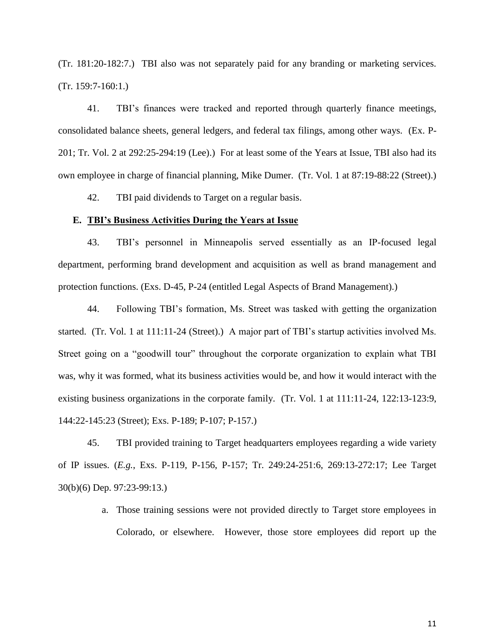(Tr. 181:20-182:7.) TBI also was not separately paid for any branding or marketing services. (Tr. 159:7-160:1.)

41. TBI's finances were tracked and reported through quarterly finance meetings, consolidated balance sheets, general ledgers, and federal tax filings, among other ways. (Ex. P-201; Tr. Vol. 2 at 292:25-294:19 (Lee).) For at least some of the Years at Issue, TBI also had its own employee in charge of financial planning, Mike Dumer. (Tr. Vol. 1 at 87:19-88:22 (Street).)

42. TBI paid dividends to Target on a regular basis.

## **E. TBI's Business Activities During the Years at Issue**

43. TBI's personnel in Minneapolis served essentially as an IP-focused legal department, performing brand development and acquisition as well as brand management and protection functions. (Exs. D-45, P-24 (entitled Legal Aspects of Brand Management).)

44. Following TBI's formation, Ms. Street was tasked with getting the organization started. (Tr. Vol. 1 at 111:11-24 (Street).) A major part of TBI's startup activities involved Ms. Street going on a "goodwill tour" throughout the corporate organization to explain what TBI was, why it was formed, what its business activities would be, and how it would interact with the existing business organizations in the corporate family. (Tr. Vol. 1 at 111:11-24, 122:13-123:9, 144:22-145:23 (Street); Exs. P-189; P-107; P-157.)

45. TBI provided training to Target headquarters employees regarding a wide variety of IP issues. (*E.g.*, Exs. P-119, P-156, P-157; Tr. 249:24-251:6, 269:13-272:17; Lee Target 30(b)(6) Dep. 97:23-99:13.)

> a. Those training sessions were not provided directly to Target store employees in Colorado, or elsewhere. However, those store employees did report up the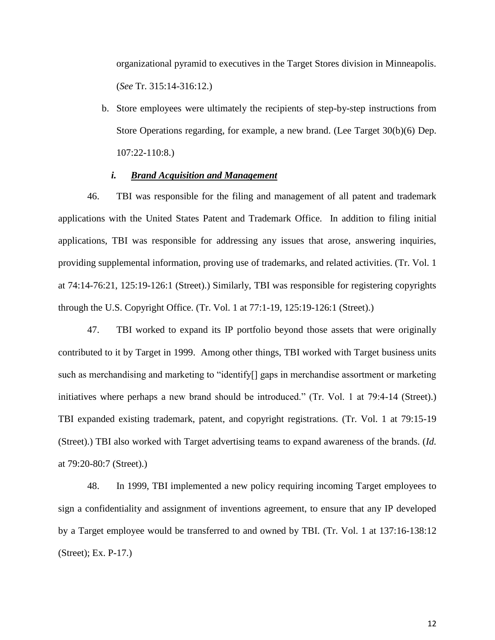organizational pyramid to executives in the Target Stores division in Minneapolis. (*See* Tr. 315:14-316:12.)

b. Store employees were ultimately the recipients of step-by-step instructions from Store Operations regarding, for example, a new brand. (Lee Target 30(b)(6) Dep. 107:22-110:8.)

# *i. Brand Acquisition and Management*

46. TBI was responsible for the filing and management of all patent and trademark applications with the United States Patent and Trademark Office. In addition to filing initial applications, TBI was responsible for addressing any issues that arose, answering inquiries, providing supplemental information, proving use of trademarks, and related activities. (Tr. Vol. 1 at 74:14-76:21, 125:19-126:1 (Street).) Similarly, TBI was responsible for registering copyrights through the U.S. Copyright Office. (Tr. Vol. 1 at 77:1-19, 125:19-126:1 (Street).)

47. TBI worked to expand its IP portfolio beyond those assets that were originally contributed to it by Target in 1999. Among other things, TBI worked with Target business units such as merchandising and marketing to "identify[] gaps in merchandise assortment or marketing initiatives where perhaps a new brand should be introduced." (Tr. Vol. 1 at 79:4-14 (Street).) TBI expanded existing trademark, patent, and copyright registrations. (Tr. Vol. 1 at 79:15-19 (Street).) TBI also worked with Target advertising teams to expand awareness of the brands. (*Id.* at 79:20-80:7 (Street).)

48. In 1999, TBI implemented a new policy requiring incoming Target employees to sign a confidentiality and assignment of inventions agreement, to ensure that any IP developed by a Target employee would be transferred to and owned by TBI. (Tr. Vol. 1 at 137:16-138:12 (Street); Ex. P-17.)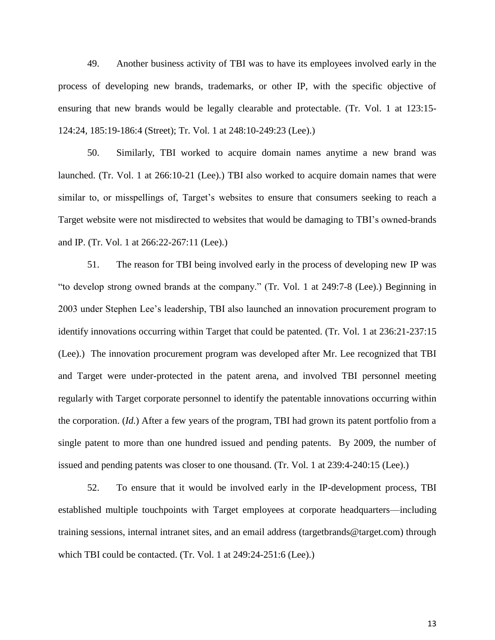49. Another business activity of TBI was to have its employees involved early in the process of developing new brands, trademarks, or other IP, with the specific objective of ensuring that new brands would be legally clearable and protectable. (Tr. Vol. 1 at 123:15- 124:24, 185:19-186:4 (Street); Tr. Vol. 1 at 248:10-249:23 (Lee).)

50. Similarly, TBI worked to acquire domain names anytime a new brand was launched. (Tr. Vol. 1 at 266:10-21 (Lee).) TBI also worked to acquire domain names that were similar to, or misspellings of, Target's websites to ensure that consumers seeking to reach a Target website were not misdirected to websites that would be damaging to TBI's owned-brands and IP. (Tr. Vol. 1 at 266:22-267:11 (Lee).)

51. The reason for TBI being involved early in the process of developing new IP was "to develop strong owned brands at the company." (Tr. Vol. 1 at 249:7-8 (Lee).) Beginning in 2003 under Stephen Lee's leadership, TBI also launched an innovation procurement program to identify innovations occurring within Target that could be patented. (Tr. Vol. 1 at 236:21-237:15 (Lee).) The innovation procurement program was developed after Mr. Lee recognized that TBI and Target were under-protected in the patent arena, and involved TBI personnel meeting regularly with Target corporate personnel to identify the patentable innovations occurring within the corporation. (*Id.*) After a few years of the program, TBI had grown its patent portfolio from a single patent to more than one hundred issued and pending patents. By 2009, the number of issued and pending patents was closer to one thousand. (Tr. Vol. 1 at 239:4-240:15 (Lee).)

52. To ensure that it would be involved early in the IP-development process, TBI established multiple touchpoints with Target employees at corporate headquarters—including training sessions, internal intranet sites, and an email address (targetbrands@target.com) through which TBI could be contacted. (Tr. Vol. 1 at 249:24-251:6 (Lee).)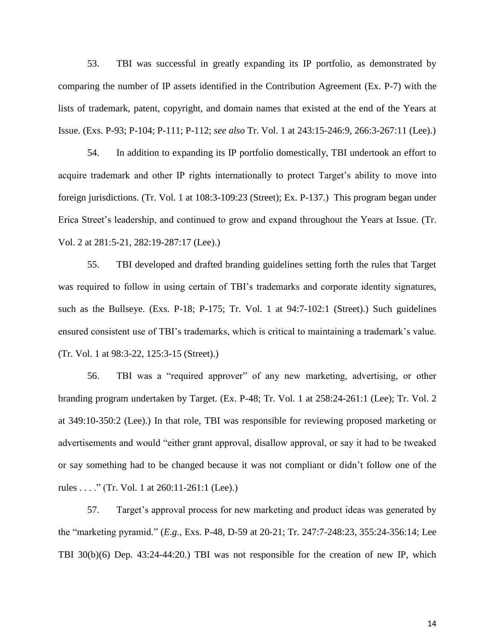53. TBI was successful in greatly expanding its IP portfolio, as demonstrated by comparing the number of IP assets identified in the Contribution Agreement (Ex. P-7) with the lists of trademark, patent, copyright, and domain names that existed at the end of the Years at Issue. (Exs. P-93; P-104; P-111; P-112; *see also* Tr. Vol. 1 at 243:15-246:9, 266:3-267:11 (Lee).)

54. In addition to expanding its IP portfolio domestically, TBI undertook an effort to acquire trademark and other IP rights internationally to protect Target's ability to move into foreign jurisdictions. (Tr. Vol. 1 at 108:3-109:23 (Street); Ex. P-137.) This program began under Erica Street's leadership, and continued to grow and expand throughout the Years at Issue. (Tr. Vol. 2 at 281:5-21, 282:19-287:17 (Lee).)

55. TBI developed and drafted branding guidelines setting forth the rules that Target was required to follow in using certain of TBI's trademarks and corporate identity signatures, such as the Bullseye. (Exs. P-18; P-175; Tr. Vol. 1 at 94:7-102:1 (Street).) Such guidelines ensured consistent use of TBI's trademarks, which is critical to maintaining a trademark's value. (Tr. Vol. 1 at 98:3-22, 125:3-15 (Street).)

56. TBI was a "required approver" of any new marketing, advertising, or other branding program undertaken by Target. (Ex. P-48; Tr. Vol. 1 at 258:24-261:1 (Lee); Tr. Vol. 2 at 349:10-350:2 (Lee).) In that role, TBI was responsible for reviewing proposed marketing or advertisements and would "either grant approval, disallow approval, or say it had to be tweaked or say something had to be changed because it was not compliant or didn't follow one of the rules . . . ." (Tr. Vol. 1 at 260:11-261:1 (Lee).)

57. Target's approval process for new marketing and product ideas was generated by the "marketing pyramid." (*E.g.*, Exs. P-48, D-59 at 20-21; Tr. 247:7-248:23, 355:24-356:14; Lee TBI 30(b)(6) Dep. 43:24-44:20.) TBI was not responsible for the creation of new IP, which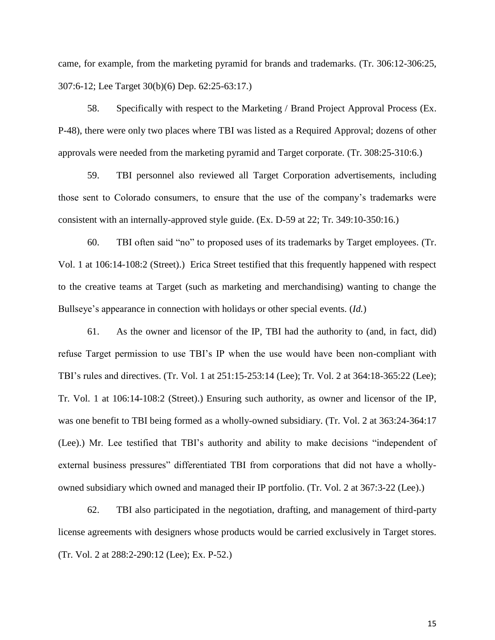came, for example, from the marketing pyramid for brands and trademarks. (Tr. 306:12-306:25, 307:6-12; Lee Target 30(b)(6) Dep. 62:25-63:17.)

58. Specifically with respect to the Marketing / Brand Project Approval Process (Ex. P-48), there were only two places where TBI was listed as a Required Approval; dozens of other approvals were needed from the marketing pyramid and Target corporate. (Tr. 308:25-310:6.)

59. TBI personnel also reviewed all Target Corporation advertisements, including those sent to Colorado consumers, to ensure that the use of the company's trademarks were consistent with an internally-approved style guide. (Ex. D-59 at 22; Tr. 349:10-350:16.)

60. TBI often said "no" to proposed uses of its trademarks by Target employees. (Tr. Vol. 1 at 106:14-108:2 (Street).) Erica Street testified that this frequently happened with respect to the creative teams at Target (such as marketing and merchandising) wanting to change the Bullseye's appearance in connection with holidays or other special events. (*Id.*)

61. As the owner and licensor of the IP, TBI had the authority to (and, in fact, did) refuse Target permission to use TBI's IP when the use would have been non-compliant with TBI's rules and directives. (Tr. Vol. 1 at 251:15-253:14 (Lee); Tr. Vol. 2 at 364:18-365:22 (Lee); Tr. Vol. 1 at 106:14-108:2 (Street).) Ensuring such authority, as owner and licensor of the IP, was one benefit to TBI being formed as a wholly-owned subsidiary. (Tr. Vol. 2 at 363:24-364:17 (Lee).) Mr. Lee testified that TBI's authority and ability to make decisions "independent of external business pressures" differentiated TBI from corporations that did not have a whollyowned subsidiary which owned and managed their IP portfolio. (Tr. Vol. 2 at 367:3-22 (Lee).)

62. TBI also participated in the negotiation, drafting, and management of third-party license agreements with designers whose products would be carried exclusively in Target stores. (Tr. Vol. 2 at 288:2-290:12 (Lee); Ex. P-52.)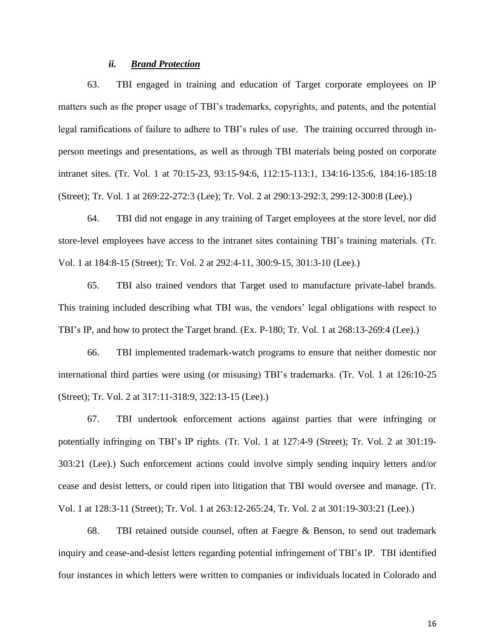# *ii. Brand Protection*

63. TBI engaged in training and education of Target corporate employees on IP matters such as the proper usage of TBI's trademarks, copyrights, and patents, and the potential legal ramifications of failure to adhere to TBI's rules of use. The training occurred through inperson meetings and presentations, as well as through TBI materials being posted on corporate intranet sites. (Tr. Vol. 1 at 70:15-23, 93:15-94:6, 112:15-113:1, 134:16-135:6, 184:16-185:18 (Street); Tr. Vol. 1 at 269:22-272:3 (Lee); Tr. Vol. 2 at 290:13-292:3, 299:12-300:8 (Lee).)

64. TBI did not engage in any training of Target employees at the store level, nor did store-level employees have access to the intranet sites containing TBI's training materials. (Tr. Vol. 1 at 184:8-15 (Street); Tr. Vol. 2 at 292:4-11, 300:9-15, 301:3-10 (Lee).)

65. TBI also trained vendors that Target used to manufacture private-label brands. This training included describing what TBI was, the vendors' legal obligations with respect to TBI's IP, and how to protect the Target brand. (Ex. P-180; Tr. Vol. 1 at 268:13-269:4 (Lee).)

66. TBI implemented trademark-watch programs to ensure that neither domestic nor international third parties were using (or misusing) TBI's trademarks. (Tr. Vol. 1 at 126:10-25 (Street); Tr. Vol. 2 at 317:11-318:9, 322:13-15 (Lee).)

67. TBI undertook enforcement actions against parties that were infringing or potentially infringing on TBI's IP rights. (Tr. Vol. 1 at 127:4-9 (Street); Tr. Vol. 2 at 301:19- 303:21 (Lee).) Such enforcement actions could involve simply sending inquiry letters and/or cease and desist letters, or could ripen into litigation that TBI would oversee and manage. (Tr. Vol. 1 at 128:3-11 (Street); Tr. Vol. 1 at 263:12-265:24, Tr. Vol. 2 at 301:19-303:21 (Lee).)

68. TBI retained outside counsel, often at Faegre & Benson, to send out trademark inquiry and cease-and-desist letters regarding potential infringement of TBI's IP. TBI identified four instances in which letters were written to companies or individuals located in Colorado and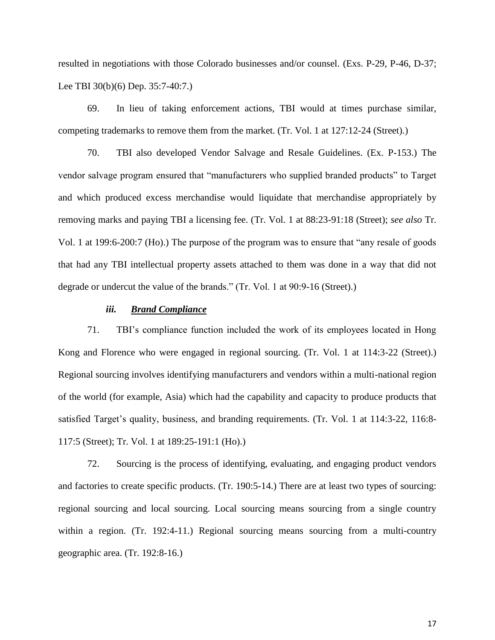resulted in negotiations with those Colorado businesses and/or counsel. (Exs. P-29, P-46, D-37; Lee TBI 30(b)(6) Dep. 35:7-40:7.)

69. In lieu of taking enforcement actions, TBI would at times purchase similar, competing trademarks to remove them from the market. (Tr. Vol. 1 at 127:12-24 (Street).)

70. TBI also developed Vendor Salvage and Resale Guidelines. (Ex. P-153.) The vendor salvage program ensured that "manufacturers who supplied branded products" to Target and which produced excess merchandise would liquidate that merchandise appropriately by removing marks and paying TBI a licensing fee. (Tr. Vol. 1 at 88:23-91:18 (Street); *see also* Tr. Vol. 1 at 199:6-200:7 (Ho).) The purpose of the program was to ensure that "any resale of goods that had any TBI intellectual property assets attached to them was done in a way that did not degrade or undercut the value of the brands." (Tr. Vol. 1 at 90:9-16 (Street).)

## *iii. Brand Compliance*

71. TBI's compliance function included the work of its employees located in Hong Kong and Florence who were engaged in regional sourcing. (Tr. Vol. 1 at 114:3-22 (Street).) Regional sourcing involves identifying manufacturers and vendors within a multi-national region of the world (for example, Asia) which had the capability and capacity to produce products that satisfied Target's quality, business, and branding requirements. (Tr. Vol. 1 at 114:3-22, 116:8- 117:5 (Street); Tr. Vol. 1 at 189:25-191:1 (Ho).)

72. Sourcing is the process of identifying, evaluating, and engaging product vendors and factories to create specific products. (Tr. 190:5-14.) There are at least two types of sourcing: regional sourcing and local sourcing. Local sourcing means sourcing from a single country within a region. (Tr. 192:4-11.) Regional sourcing means sourcing from a multi-country geographic area. (Tr. 192:8-16.)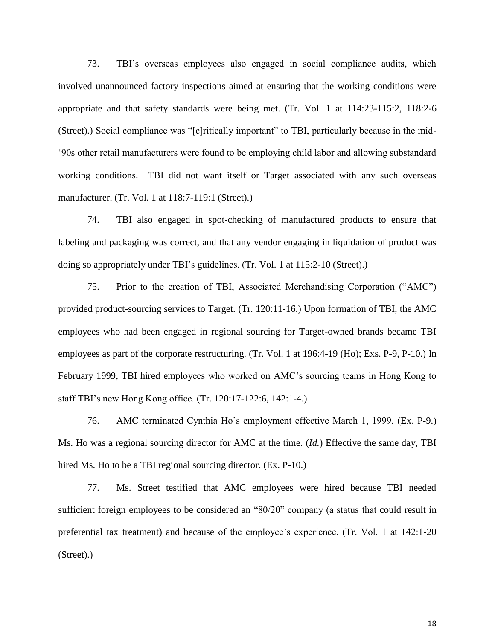73. TBI's overseas employees also engaged in social compliance audits, which involved unannounced factory inspections aimed at ensuring that the working conditions were appropriate and that safety standards were being met. (Tr. Vol. 1 at 114:23-115:2, 118:2-6 (Street).) Social compliance was "[c]ritically important" to TBI, particularly because in the mid- '90s other retail manufacturers were found to be employing child labor and allowing substandard working conditions. TBI did not want itself or Target associated with any such overseas manufacturer. (Tr. Vol. 1 at 118:7-119:1 (Street).)

74. TBI also engaged in spot-checking of manufactured products to ensure that labeling and packaging was correct, and that any vendor engaging in liquidation of product was doing so appropriately under TBI's guidelines. (Tr. Vol. 1 at 115:2-10 (Street).)

75. Prior to the creation of TBI, Associated Merchandising Corporation ("AMC") provided product-sourcing services to Target. (Tr. 120:11-16.) Upon formation of TBI, the AMC employees who had been engaged in regional sourcing for Target-owned brands became TBI employees as part of the corporate restructuring. (Tr. Vol. 1 at 196:4-19 (Ho); Exs. P-9, P-10.) In February 1999, TBI hired employees who worked on AMC's sourcing teams in Hong Kong to staff TBI's new Hong Kong office. (Tr. 120:17-122:6, 142:1-4.)

76. AMC terminated Cynthia Ho's employment effective March 1, 1999. (Ex. P-9.) Ms. Ho was a regional sourcing director for AMC at the time. (*Id.*) Effective the same day, TBI hired Ms. Ho to be a TBI regional sourcing director. (Ex. P-10.)

77. Ms. Street testified that AMC employees were hired because TBI needed sufficient foreign employees to be considered an "80/20" company (a status that could result in preferential tax treatment) and because of the employee's experience. (Tr. Vol. 1 at 142:1-20 (Street).)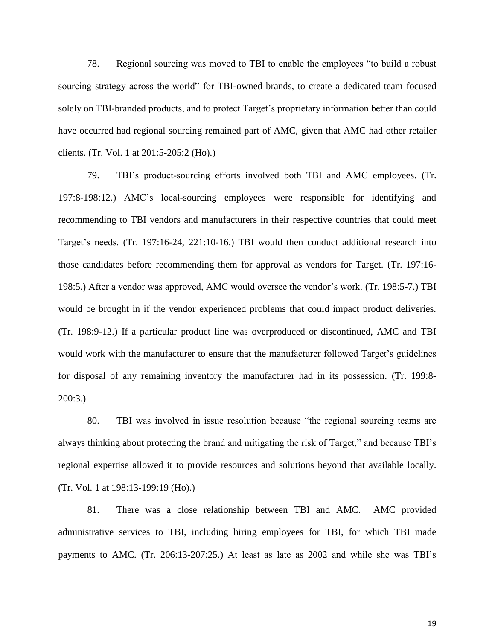78. Regional sourcing was moved to TBI to enable the employees "to build a robust sourcing strategy across the world" for TBI-owned brands, to create a dedicated team focused solely on TBI-branded products, and to protect Target's proprietary information better than could have occurred had regional sourcing remained part of AMC, given that AMC had other retailer clients. (Tr. Vol. 1 at 201:5-205:2 (Ho).)

79. TBI's product-sourcing efforts involved both TBI and AMC employees. (Tr. 197:8-198:12.) AMC's local-sourcing employees were responsible for identifying and recommending to TBI vendors and manufacturers in their respective countries that could meet Target's needs. (Tr. 197:16-24, 221:10-16.) TBI would then conduct additional research into those candidates before recommending them for approval as vendors for Target. (Tr. 197:16- 198:5.) After a vendor was approved, AMC would oversee the vendor's work. (Tr. 198:5-7.) TBI would be brought in if the vendor experienced problems that could impact product deliveries. (Tr. 198:9-12.) If a particular product line was overproduced or discontinued, AMC and TBI would work with the manufacturer to ensure that the manufacturer followed Target's guidelines for disposal of any remaining inventory the manufacturer had in its possession. (Tr. 199:8- 200:3.)

80. TBI was involved in issue resolution because "the regional sourcing teams are always thinking about protecting the brand and mitigating the risk of Target," and because TBI's regional expertise allowed it to provide resources and solutions beyond that available locally. (Tr. Vol. 1 at 198:13-199:19 (Ho).)

81. There was a close relationship between TBI and AMC. AMC provided administrative services to TBI, including hiring employees for TBI, for which TBI made payments to AMC. (Tr. 206:13-207:25.) At least as late as 2002 and while she was TBI's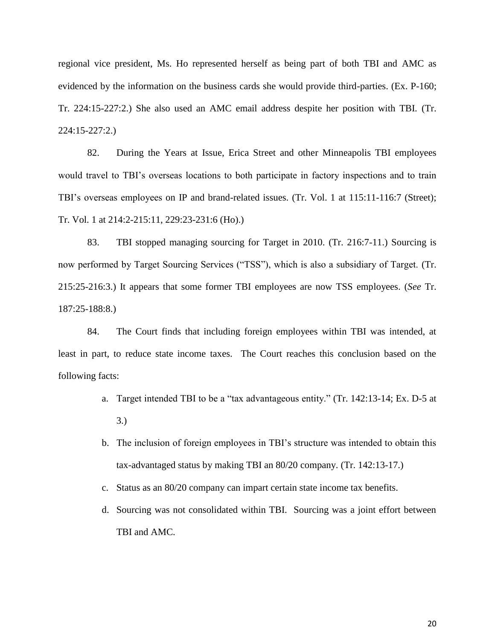regional vice president, Ms. Ho represented herself as being part of both TBI and AMC as evidenced by the information on the business cards she would provide third-parties. (Ex. P-160; Tr. 224:15-227:2.) She also used an AMC email address despite her position with TBI. (Tr. 224:15-227:2.)

82. During the Years at Issue, Erica Street and other Minneapolis TBI employees would travel to TBI's overseas locations to both participate in factory inspections and to train TBI's overseas employees on IP and brand-related issues. (Tr. Vol. 1 at 115:11-116:7 (Street); Tr. Vol. 1 at 214:2-215:11, 229:23-231:6 (Ho).)

83. TBI stopped managing sourcing for Target in 2010. (Tr. 216:7-11.) Sourcing is now performed by Target Sourcing Services ("TSS"), which is also a subsidiary of Target. (Tr. 215:25-216:3.) It appears that some former TBI employees are now TSS employees. (*See* Tr. 187:25-188:8.)

84. The Court finds that including foreign employees within TBI was intended, at least in part, to reduce state income taxes. The Court reaches this conclusion based on the following facts:

- a. Target intended TBI to be a "tax advantageous entity." (Tr. 142:13-14; Ex. D-5 at 3.)
- b. The inclusion of foreign employees in TBI's structure was intended to obtain this tax-advantaged status by making TBI an 80/20 company. (Tr. 142:13-17.)
- c. Status as an 80/20 company can impart certain state income tax benefits.
- d. Sourcing was not consolidated within TBI. Sourcing was a joint effort between TBI and AMC.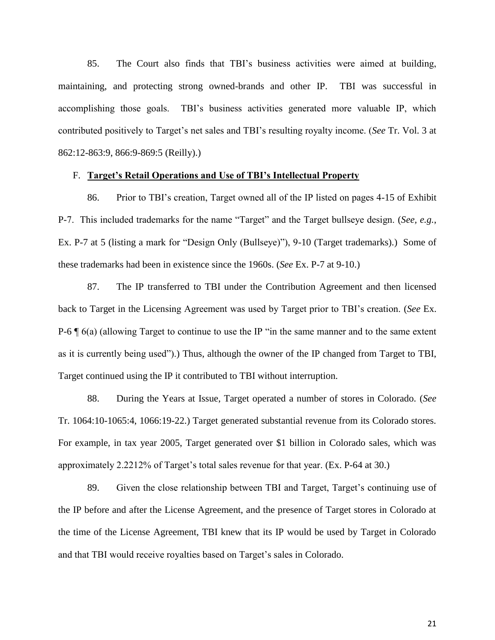85. The Court also finds that TBI's business activities were aimed at building, maintaining, and protecting strong owned-brands and other IP. TBI was successful in accomplishing those goals. TBI's business activities generated more valuable IP, which contributed positively to Target's net sales and TBI's resulting royalty income. (*See* Tr. Vol. 3 at 862:12-863:9, 866:9-869:5 (Reilly).)

## F. **Target's Retail Operations and Use of TBI's Intellectual Property**

86. Prior to TBI's creation, Target owned all of the IP listed on pages 4-15 of Exhibit P-7. This included trademarks for the name "Target" and the Target bullseye design. (*See, e.g.*, Ex. P-7 at 5 (listing a mark for "Design Only (Bullseye)"), 9-10 (Target trademarks).) Some of these trademarks had been in existence since the 1960s. (*See* Ex. P-7 at 9-10.)

87. The IP transferred to TBI under the Contribution Agreement and then licensed back to Target in the Licensing Agreement was used by Target prior to TBI's creation. (*See* Ex. P-6 ¶ 6(a) (allowing Target to continue to use the IP "in the same manner and to the same extent as it is currently being used").) Thus, although the owner of the IP changed from Target to TBI, Target continued using the IP it contributed to TBI without interruption.

88. During the Years at Issue, Target operated a number of stores in Colorado. (*See* Tr. 1064:10-1065:4, 1066:19-22.) Target generated substantial revenue from its Colorado stores. For example, in tax year 2005, Target generated over \$1 billion in Colorado sales, which was approximately 2.2212% of Target's total sales revenue for that year. (Ex. P-64 at 30.)

89. Given the close relationship between TBI and Target, Target's continuing use of the IP before and after the License Agreement, and the presence of Target stores in Colorado at the time of the License Agreement, TBI knew that its IP would be used by Target in Colorado and that TBI would receive royalties based on Target's sales in Colorado.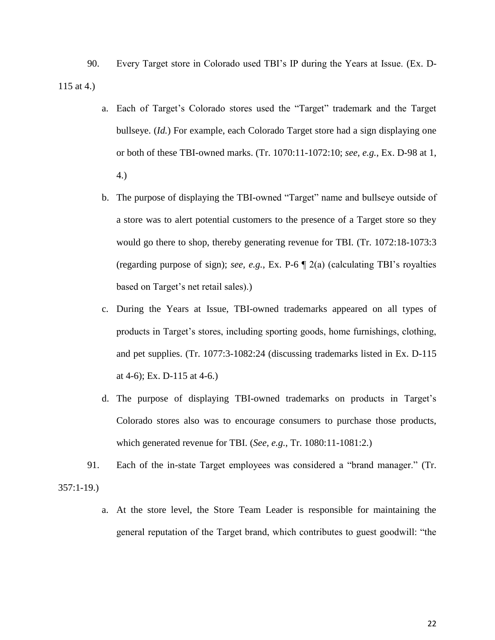90. Every Target store in Colorado used TBI's IP during the Years at Issue. (Ex. D-115 at 4.)

- a. Each of Target's Colorado stores used the "Target" trademark and the Target bullseye. (*Id.*) For example, each Colorado Target store had a sign displaying one or both of these TBI-owned marks. (Tr. 1070:11-1072:10; *see, e.g.*, Ex. D-98 at 1, 4.)
- b. The purpose of displaying the TBI-owned "Target" name and bullseye outside of a store was to alert potential customers to the presence of a Target store so they would go there to shop, thereby generating revenue for TBI. (Tr. 1072:18-1073:3 (regarding purpose of sign); *see, e.g.*, Ex. P-6 ¶ 2(a) (calculating TBI's royalties based on Target's net retail sales).)
- c. During the Years at Issue, TBI-owned trademarks appeared on all types of products in Target's stores, including sporting goods, home furnishings, clothing, and pet supplies. (Tr. 1077:3-1082:24 (discussing trademarks listed in Ex. D-115 at 4-6); Ex. D-115 at 4-6.)
- d. The purpose of displaying TBI-owned trademarks on products in Target's Colorado stores also was to encourage consumers to purchase those products, which generated revenue for TBI. (*See, e.g.*, Tr. 1080:11-1081:2.)
- 91. Each of the in-state Target employees was considered a "brand manager." (Tr. 357:1-19.)
	- a. At the store level, the Store Team Leader is responsible for maintaining the general reputation of the Target brand, which contributes to guest goodwill: "the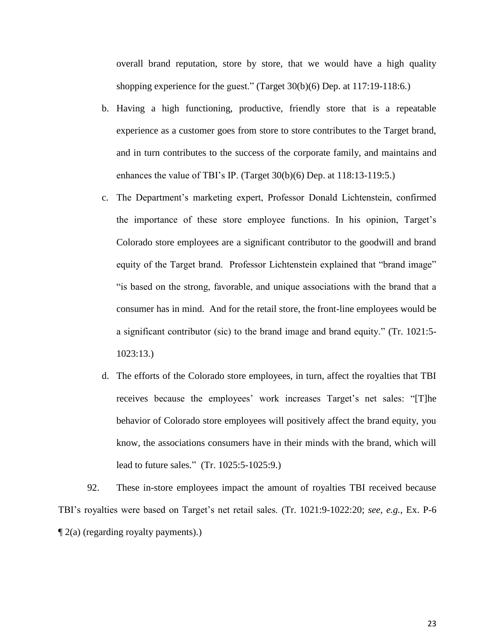overall brand reputation, store by store, that we would have a high quality shopping experience for the guest." (Target 30(b)(6) Dep. at 117:19-118:6.)

- b. Having a high functioning, productive, friendly store that is a repeatable experience as a customer goes from store to store contributes to the Target brand, and in turn contributes to the success of the corporate family, and maintains and enhances the value of TBI's IP. (Target 30(b)(6) Dep. at 118:13-119:5.)
- c. The Department's marketing expert, Professor Donald Lichtenstein, confirmed the importance of these store employee functions. In his opinion, Target's Colorado store employees are a significant contributor to the goodwill and brand equity of the Target brand. Professor Lichtenstein explained that "brand image" "is based on the strong, favorable, and unique associations with the brand that a consumer has in mind. And for the retail store, the front-line employees would be a significant contributor (sic) to the brand image and brand equity." (Tr. 1021:5- 1023:13.)
- d. The efforts of the Colorado store employees, in turn, affect the royalties that TBI receives because the employees' work increases Target's net sales: "[T]he behavior of Colorado store employees will positively affect the brand equity, you know, the associations consumers have in their minds with the brand, which will lead to future sales." (Tr. 1025:5-1025:9.)

92. These in-store employees impact the amount of royalties TBI received because TBI's royalties were based on Target's net retail sales. (Tr. 1021:9-1022:20; *see, e.g.*, Ex. P-6  $\P$  2(a) (regarding royalty payments).)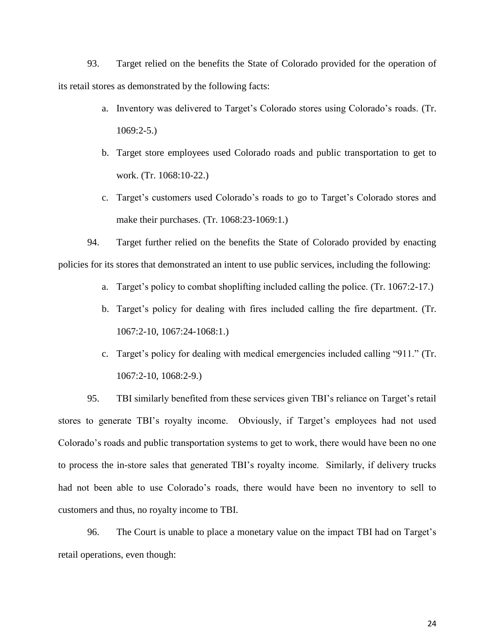93. Target relied on the benefits the State of Colorado provided for the operation of its retail stores as demonstrated by the following facts:

- a. Inventory was delivered to Target's Colorado stores using Colorado's roads. (Tr. 1069:2-5.)
- b. Target store employees used Colorado roads and public transportation to get to work. (Tr. 1068:10-22.)
- c. Target's customers used Colorado's roads to go to Target's Colorado stores and make their purchases. (Tr. 1068:23-1069:1.)

94. Target further relied on the benefits the State of Colorado provided by enacting policies for its stores that demonstrated an intent to use public services, including the following:

- a. Target's policy to combat shoplifting included calling the police. (Tr. 1067:2-17.)
- b. Target's policy for dealing with fires included calling the fire department. (Tr. 1067:2-10, 1067:24-1068:1.)
- c. Target's policy for dealing with medical emergencies included calling "911." (Tr. 1067:2-10, 1068:2-9.)

95. TBI similarly benefited from these services given TBI's reliance on Target's retail stores to generate TBI's royalty income. Obviously, if Target's employees had not used Colorado's roads and public transportation systems to get to work, there would have been no one to process the in-store sales that generated TBI's royalty income. Similarly, if delivery trucks had not been able to use Colorado's roads, there would have been no inventory to sell to customers and thus, no royalty income to TBI.

96. The Court is unable to place a monetary value on the impact TBI had on Target's retail operations, even though: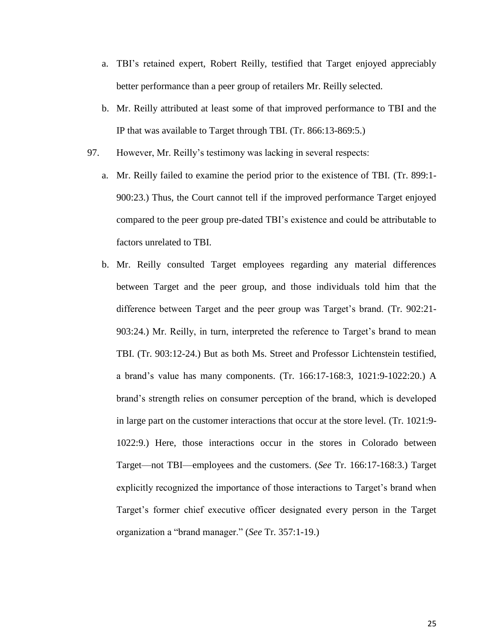- a. TBI's retained expert, Robert Reilly, testified that Target enjoyed appreciably better performance than a peer group of retailers Mr. Reilly selected.
- b. Mr. Reilly attributed at least some of that improved performance to TBI and the IP that was available to Target through TBI. (Tr. 866:13-869:5.)
- 97. However, Mr. Reilly's testimony was lacking in several respects:
	- a. Mr. Reilly failed to examine the period prior to the existence of TBI. (Tr. 899:1- 900:23.) Thus, the Court cannot tell if the improved performance Target enjoyed compared to the peer group pre-dated TBI's existence and could be attributable to factors unrelated to TBI.
	- b. Mr. Reilly consulted Target employees regarding any material differences between Target and the peer group, and those individuals told him that the difference between Target and the peer group was Target's brand. (Tr. 902:21- 903:24.) Mr. Reilly, in turn, interpreted the reference to Target's brand to mean TBI. (Tr. 903:12-24.) But as both Ms. Street and Professor Lichtenstein testified, a brand's value has many components. (Tr. 166:17-168:3, 1021:9-1022:20.) A brand's strength relies on consumer perception of the brand, which is developed in large part on the customer interactions that occur at the store level. (Tr. 1021:9- 1022:9.) Here, those interactions occur in the stores in Colorado between Target—not TBI—employees and the customers. (*See* Tr. 166:17-168:3.) Target explicitly recognized the importance of those interactions to Target's brand when Target's former chief executive officer designated every person in the Target organization a "brand manager." (*See* Tr. 357:1-19.)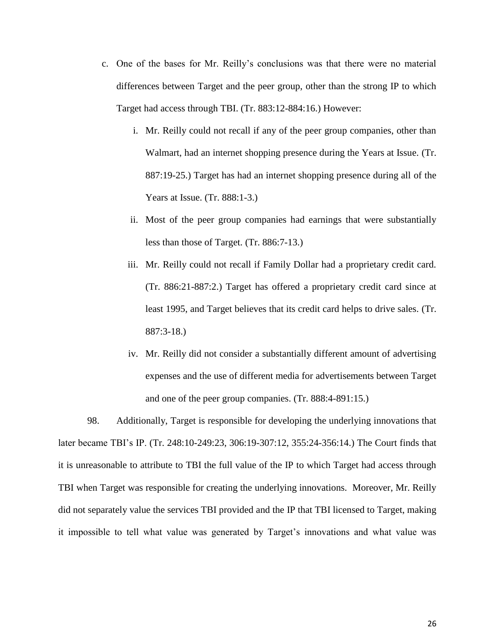- c. One of the bases for Mr. Reilly's conclusions was that there were no material differences between Target and the peer group, other than the strong IP to which Target had access through TBI. (Tr. 883:12-884:16.) However:
	- i. Mr. Reilly could not recall if any of the peer group companies, other than Walmart, had an internet shopping presence during the Years at Issue. (Tr. 887:19-25.) Target has had an internet shopping presence during all of the Years at Issue. (Tr. 888:1-3.)
	- ii. Most of the peer group companies had earnings that were substantially less than those of Target. (Tr. 886:7-13.)
	- iii. Mr. Reilly could not recall if Family Dollar had a proprietary credit card. (Tr. 886:21-887:2.) Target has offered a proprietary credit card since at least 1995, and Target believes that its credit card helps to drive sales. (Tr. 887:3-18.)
	- iv. Mr. Reilly did not consider a substantially different amount of advertising expenses and the use of different media for advertisements between Target and one of the peer group companies. (Tr. 888:4-891:15.)

98. Additionally, Target is responsible for developing the underlying innovations that later became TBI's IP. (Tr. 248:10-249:23, 306:19-307:12, 355:24-356:14.) The Court finds that it is unreasonable to attribute to TBI the full value of the IP to which Target had access through TBI when Target was responsible for creating the underlying innovations. Moreover, Mr. Reilly did not separately value the services TBI provided and the IP that TBI licensed to Target, making it impossible to tell what value was generated by Target's innovations and what value was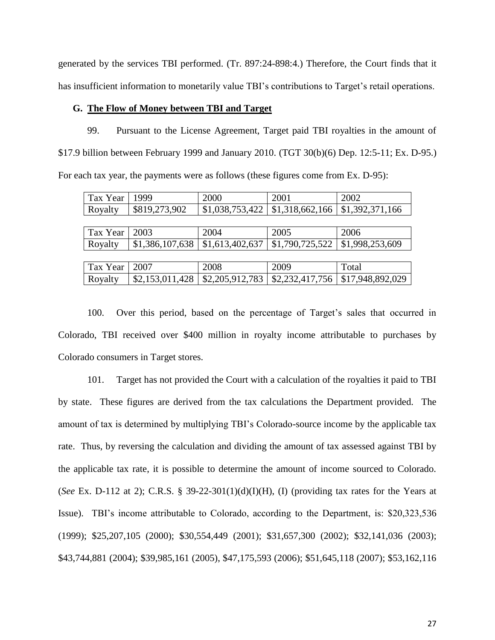generated by the services TBI performed. (Tr. 897:24-898:4.) Therefore, the Court finds that it has insufficient information to monetarily value TBI's contributions to Target's retail operations.

# **G. The Flow of Money between TBI and Target**

99. Pursuant to the License Agreement, Target paid TBI royalties in the amount of \$17.9 billion between February 1999 and January 2010. (TGT 30(b)(6) Dep. 12:5-11; Ex. D-95.) For each tax year, the payments were as follows (these figures come from Ex. D-95):

| Tax Year | 1999            | 2000            | 2001            | 2002             |
|----------|-----------------|-----------------|-----------------|------------------|
| Royalty  | \$819,273,902   | \$1,038,753,422 | \$1,318,662,166 | \$1,392,371,166  |
|          |                 |                 |                 |                  |
| Tax Year | 2003            | 2004            | 2005            | 2006             |
| Royalty  | \$1,386,107,638 | \$1,613,402,637 | \$1,790,725,522 | \$1,998,253,609  |
|          |                 |                 |                 |                  |
| Tax Year | 2007            | 2008            | 2009            | Total            |
| Royalty  | \$2,153,011,428 | \$2,205,912,783 | \$2,232,417,756 | \$17,948,892,029 |

100. Over this period, based on the percentage of Target's sales that occurred in Colorado, TBI received over \$400 million in royalty income attributable to purchases by Colorado consumers in Target stores.

101. Target has not provided the Court with a calculation of the royalties it paid to TBI by state. These figures are derived from the tax calculations the Department provided. The amount of tax is determined by multiplying TBI's Colorado-source income by the applicable tax rate. Thus, by reversing the calculation and dividing the amount of tax assessed against TBI by the applicable tax rate, it is possible to determine the amount of income sourced to Colorado. (*See* Ex. D-112 at 2); C.R.S. § 39-22-301(1)(d)(I)(H), (I) (providing tax rates for the Years at Issue). TBI's income attributable to Colorado, according to the Department, is: \$20,323,536 (1999); \$25,207,105 (2000); \$30,554,449 (2001); \$31,657,300 (2002); \$32,141,036 (2003); \$43,744,881 (2004); \$39,985,161 (2005), \$47,175,593 (2006); \$51,645,118 (2007); \$53,162,116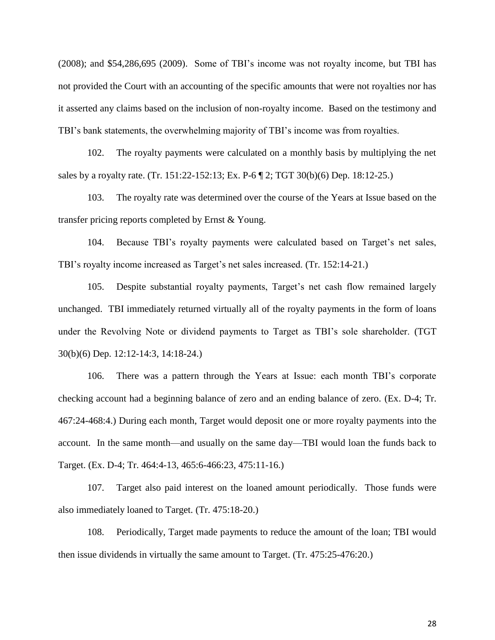(2008); and \$54,286,695 (2009). Some of TBI's income was not royalty income, but TBI has not provided the Court with an accounting of the specific amounts that were not royalties nor has it asserted any claims based on the inclusion of non-royalty income. Based on the testimony and TBI's bank statements, the overwhelming majority of TBI's income was from royalties.

102. The royalty payments were calculated on a monthly basis by multiplying the net sales by a royalty rate. (Tr. 151:22-152:13; Ex. P-6 ¶ 2; TGT 30(b)(6) Dep. 18:12-25.)

103. The royalty rate was determined over the course of the Years at Issue based on the transfer pricing reports completed by Ernst & Young.

104. Because TBI's royalty payments were calculated based on Target's net sales, TBI's royalty income increased as Target's net sales increased. (Tr. 152:14-21.)

105. Despite substantial royalty payments, Target's net cash flow remained largely unchanged. TBI immediately returned virtually all of the royalty payments in the form of loans under the Revolving Note or dividend payments to Target as TBI's sole shareholder. (TGT 30(b)(6) Dep. 12:12-14:3, 14:18-24.)

106. There was a pattern through the Years at Issue: each month TBI's corporate checking account had a beginning balance of zero and an ending balance of zero. (Ex. D-4; Tr. 467:24-468:4.) During each month, Target would deposit one or more royalty payments into the account. In the same month—and usually on the same day—TBI would loan the funds back to Target. (Ex. D-4; Tr. 464:4-13, 465:6-466:23, 475:11-16.)

107. Target also paid interest on the loaned amount periodically. Those funds were also immediately loaned to Target. (Tr. 475:18-20.)

108. Periodically, Target made payments to reduce the amount of the loan; TBI would then issue dividends in virtually the same amount to Target. (Tr. 475:25-476:20.)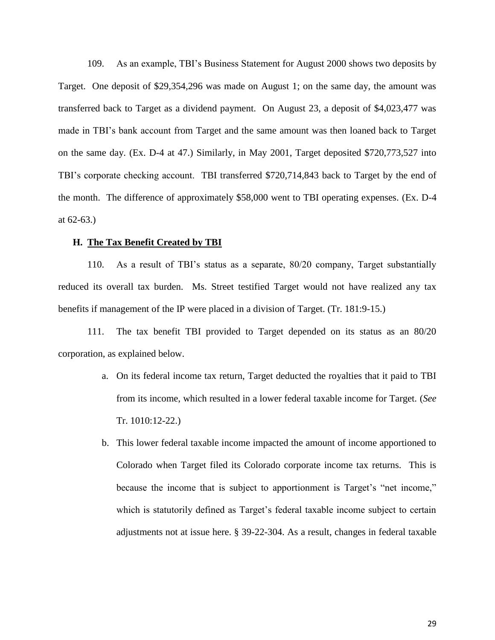109. As an example, TBI's Business Statement for August 2000 shows two deposits by Target. One deposit of \$29,354,296 was made on August 1; on the same day, the amount was transferred back to Target as a dividend payment. On August 23, a deposit of \$4,023,477 was made in TBI's bank account from Target and the same amount was then loaned back to Target on the same day. (Ex. D-4 at 47.) Similarly, in May 2001, Target deposited \$720,773,527 into TBI's corporate checking account. TBI transferred \$720,714,843 back to Target by the end of the month. The difference of approximately \$58,000 went to TBI operating expenses. (Ex. D-4 at 62-63.)

#### **H. The Tax Benefit Created by TBI**

110. As a result of TBI's status as a separate, 80/20 company, Target substantially reduced its overall tax burden. Ms. Street testified Target would not have realized any tax benefits if management of the IP were placed in a division of Target. (Tr. 181:9-15.)

111. The tax benefit TBI provided to Target depended on its status as an 80/20 corporation, as explained below.

- a. On its federal income tax return, Target deducted the royalties that it paid to TBI from its income, which resulted in a lower federal taxable income for Target. (*See* Tr. 1010:12-22.)
- b. This lower federal taxable income impacted the amount of income apportioned to Colorado when Target filed its Colorado corporate income tax returns. This is because the income that is subject to apportionment is Target's "net income," which is statutorily defined as Target's federal taxable income subject to certain adjustments not at issue here. § 39-22-304. As a result, changes in federal taxable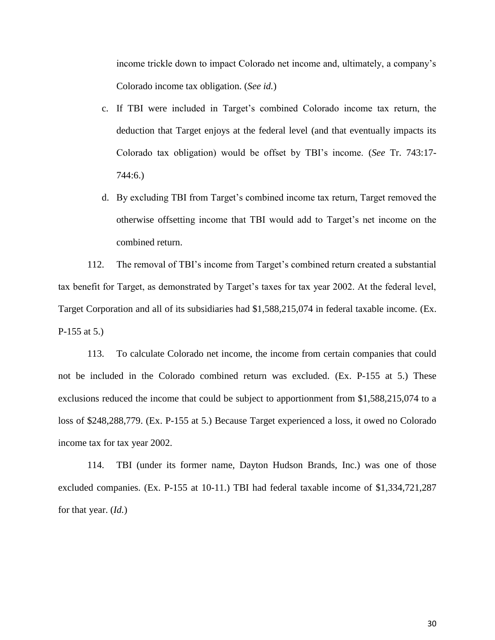income trickle down to impact Colorado net income and, ultimately, a company's Colorado income tax obligation. (*See id.*)

- c. If TBI were included in Target's combined Colorado income tax return, the deduction that Target enjoys at the federal level (and that eventually impacts its Colorado tax obligation) would be offset by TBI's income. (*See* Tr. 743:17- 744:6.)
- d. By excluding TBI from Target's combined income tax return, Target removed the otherwise offsetting income that TBI would add to Target's net income on the combined return.

112. The removal of TBI's income from Target's combined return created a substantial tax benefit for Target, as demonstrated by Target's taxes for tax year 2002. At the federal level, Target Corporation and all of its subsidiaries had \$1,588,215,074 in federal taxable income. (Ex. P-155 at 5.)

113. To calculate Colorado net income, the income from certain companies that could not be included in the Colorado combined return was excluded. (Ex. P-155 at 5.) These exclusions reduced the income that could be subject to apportionment from \$1,588,215,074 to a loss of \$248,288,779. (Ex. P-155 at 5.) Because Target experienced a loss, it owed no Colorado income tax for tax year 2002.

114. TBI (under its former name, Dayton Hudson Brands, Inc.) was one of those excluded companies. (Ex. P-155 at 10-11.) TBI had federal taxable income of \$1,334,721,287 for that year. (*Id.*)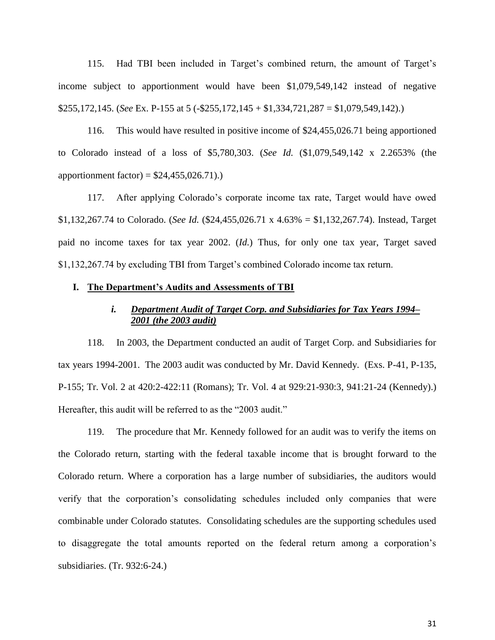115. Had TBI been included in Target's combined return, the amount of Target's income subject to apportionment would have been \$1,079,549,142 instead of negative \$255,172,145. (*See* Ex. P-155 at 5 (-\$255,172,145 + \$1,334,721,287 = \$1,079,549,142).)

116. This would have resulted in positive income of \$24,455,026.71 being apportioned to Colorado instead of a loss of \$5,780,303. (*See Id.* (\$1,079,549,142 x 2.2653% (the apportionment factor) =  $$24,455,026.71$ .

117. After applying Colorado's corporate income tax rate, Target would have owed \$1,132,267.74 to Colorado. (*See Id.* (\$24,455,026.71 x 4.63% = \$1,132,267.74). Instead, Target paid no income taxes for tax year 2002. (*Id.*) Thus, for only one tax year, Target saved \$1,132,267.74 by excluding TBI from Target's combined Colorado income tax return.

#### **I. The Department's Audits and Assessments of TBI**

# *i. Department Audit of Target Corp. and Subsidiaries for Tax Years 1994– 2001 (the 2003 audit)*

118. In 2003, the Department conducted an audit of Target Corp. and Subsidiaries for tax years 1994-2001. The 2003 audit was conducted by Mr. David Kennedy. (Exs. P-41, P-135, P-155; Tr. Vol. 2 at 420:2-422:11 (Romans); Tr. Vol. 4 at 929:21-930:3, 941:21-24 (Kennedy).) Hereafter, this audit will be referred to as the "2003 audit."

119. The procedure that Mr. Kennedy followed for an audit was to verify the items on the Colorado return, starting with the federal taxable income that is brought forward to the Colorado return. Where a corporation has a large number of subsidiaries, the auditors would verify that the corporation's consolidating schedules included only companies that were combinable under Colorado statutes. Consolidating schedules are the supporting schedules used to disaggregate the total amounts reported on the federal return among a corporation's subsidiaries. (Tr. 932:6-24.)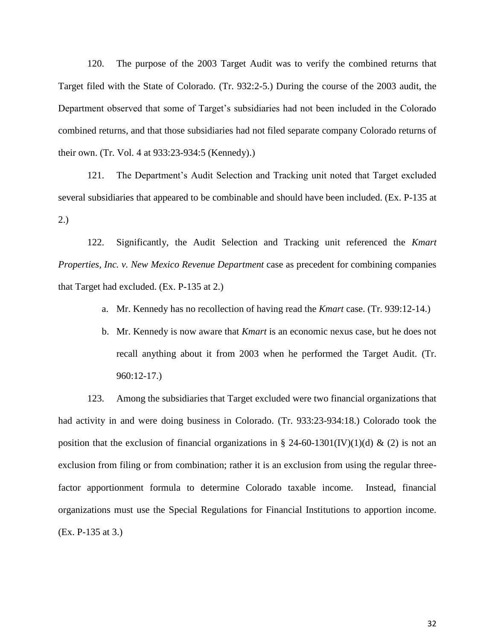120. The purpose of the 2003 Target Audit was to verify the combined returns that Target filed with the State of Colorado. (Tr. 932:2-5.) During the course of the 2003 audit, the Department observed that some of Target's subsidiaries had not been included in the Colorado combined returns, and that those subsidiaries had not filed separate company Colorado returns of their own. (Tr. Vol. 4 at 933:23-934:5 (Kennedy).)

121. The Department's Audit Selection and Tracking unit noted that Target excluded several subsidiaries that appeared to be combinable and should have been included. (Ex. P-135 at 2.)

122. Significantly, the Audit Selection and Tracking unit referenced the *Kmart Properties, Inc. v. New Mexico Revenue Department* case as precedent for combining companies that Target had excluded. (Ex. P-135 at 2.)

- a. Mr. Kennedy has no recollection of having read the *Kmart* case. (Tr. 939:12-14.)
- b. Mr. Kennedy is now aware that *Kmart* is an economic nexus case, but he does not recall anything about it from 2003 when he performed the Target Audit. (Tr. 960:12-17.)

123. Among the subsidiaries that Target excluded were two financial organizations that had activity in and were doing business in Colorado. (Tr. 933:23-934:18.) Colorado took the position that the exclusion of financial organizations in § 24-60-1301(IV)(1)(d) & (2) is not an exclusion from filing or from combination; rather it is an exclusion from using the regular threefactor apportionment formula to determine Colorado taxable income. Instead, financial organizations must use the Special Regulations for Financial Institutions to apportion income. (Ex. P-135 at 3.)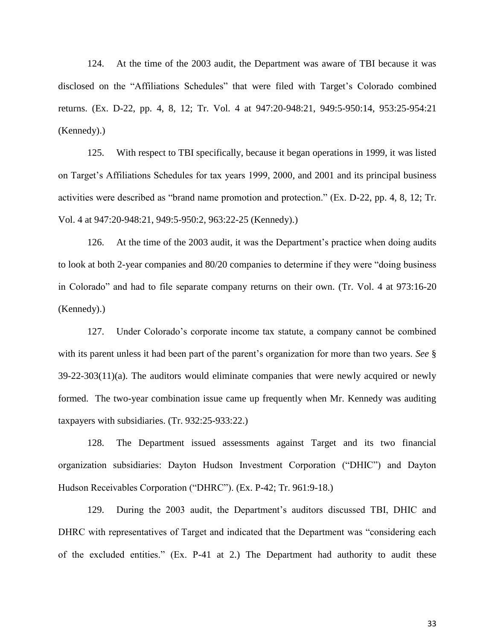124. At the time of the 2003 audit, the Department was aware of TBI because it was disclosed on the "Affiliations Schedules" that were filed with Target's Colorado combined returns. (Ex. D-22, pp. 4, 8, 12; Tr. Vol. 4 at 947:20-948:21, 949:5-950:14, 953:25-954:21 (Kennedy).)

125. With respect to TBI specifically, because it began operations in 1999, it was listed on Target's Affiliations Schedules for tax years 1999, 2000, and 2001 and its principal business activities were described as "brand name promotion and protection." (Ex. D-22, pp. 4, 8, 12; Tr. Vol. 4 at 947:20-948:21, 949:5-950:2, 963:22-25 (Kennedy).)

126. At the time of the 2003 audit, it was the Department's practice when doing audits to look at both 2-year companies and 80/20 companies to determine if they were "doing business in Colorado" and had to file separate company returns on their own. (Tr. Vol. 4 at 973:16-20 (Kennedy).)

127. Under Colorado's corporate income tax statute, a company cannot be combined with its parent unless it had been part of the parent's organization for more than two years. *See* § 39-22-303(11)(a). The auditors would eliminate companies that were newly acquired or newly formed. The two-year combination issue came up frequently when Mr. Kennedy was auditing taxpayers with subsidiaries. (Tr. 932:25-933:22.)

128. The Department issued assessments against Target and its two financial organization subsidiaries: Dayton Hudson Investment Corporation ("DHIC") and Dayton Hudson Receivables Corporation ("DHRC"). (Ex. P-42; Tr. 961:9-18.)

129. During the 2003 audit, the Department's auditors discussed TBI, DHIC and DHRC with representatives of Target and indicated that the Department was "considering each of the excluded entities." (Ex. P-41 at 2.) The Department had authority to audit these

33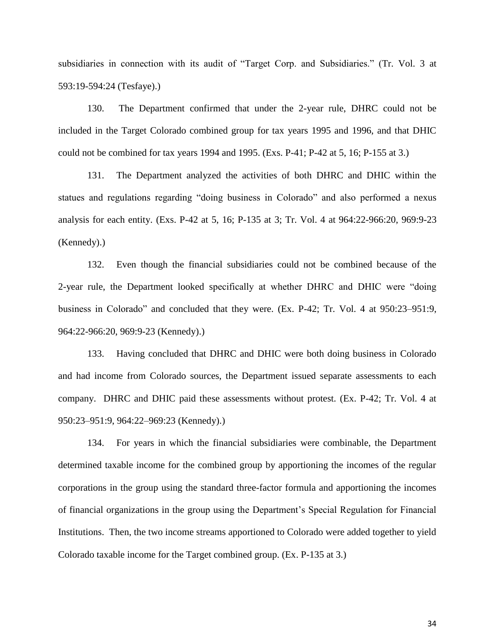subsidiaries in connection with its audit of "Target Corp. and Subsidiaries." (Tr. Vol. 3 at 593:19-594:24 (Tesfaye).)

130. The Department confirmed that under the 2-year rule, DHRC could not be included in the Target Colorado combined group for tax years 1995 and 1996, and that DHIC could not be combined for tax years 1994 and 1995. (Exs. P-41; P-42 at 5, 16; P-155 at 3.)

131. The Department analyzed the activities of both DHRC and DHIC within the statues and regulations regarding "doing business in Colorado" and also performed a nexus analysis for each entity. (Exs. P-42 at 5, 16; P-135 at 3; Tr. Vol. 4 at 964:22-966:20, 969:9-23 (Kennedy).)

132. Even though the financial subsidiaries could not be combined because of the 2-year rule, the Department looked specifically at whether DHRC and DHIC were "doing business in Colorado" and concluded that they were. (Ex. P-42; Tr. Vol. 4 at 950:23–951:9, 964:22-966:20, 969:9-23 (Kennedy).)

133. Having concluded that DHRC and DHIC were both doing business in Colorado and had income from Colorado sources, the Department issued separate assessments to each company. DHRC and DHIC paid these assessments without protest. (Ex. P-42; Tr. Vol. 4 at 950:23–951:9, 964:22–969:23 (Kennedy).)

134. For years in which the financial subsidiaries were combinable, the Department determined taxable income for the combined group by apportioning the incomes of the regular corporations in the group using the standard three-factor formula and apportioning the incomes of financial organizations in the group using the Department's Special Regulation for Financial Institutions. Then, the two income streams apportioned to Colorado were added together to yield Colorado taxable income for the Target combined group. (Ex. P-135 at 3.)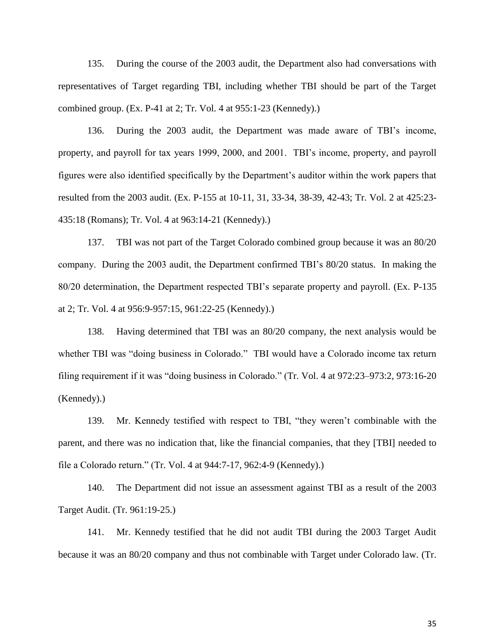135. During the course of the 2003 audit, the Department also had conversations with representatives of Target regarding TBI, including whether TBI should be part of the Target combined group. (Ex. P-41 at 2; Tr. Vol. 4 at 955:1-23 (Kennedy).)

136. During the 2003 audit, the Department was made aware of TBI's income, property, and payroll for tax years 1999, 2000, and 2001. TBI's income, property, and payroll figures were also identified specifically by the Department's auditor within the work papers that resulted from the 2003 audit. (Ex. P-155 at 10-11, 31, 33-34, 38-39, 42-43; Tr. Vol. 2 at 425:23- 435:18 (Romans); Tr. Vol. 4 at 963:14-21 (Kennedy).)

137. TBI was not part of the Target Colorado combined group because it was an 80/20 company. During the 2003 audit, the Department confirmed TBI's 80/20 status. In making the 80/20 determination, the Department respected TBI's separate property and payroll. (Ex. P-135 at 2; Tr. Vol. 4 at 956:9-957:15, 961:22-25 (Kennedy).)

138. Having determined that TBI was an 80/20 company, the next analysis would be whether TBI was "doing business in Colorado." TBI would have a Colorado income tax return filing requirement if it was "doing business in Colorado." (Tr. Vol. 4 at 972:23–973:2, 973:16-20 (Kennedy).)

139. Mr. Kennedy testified with respect to TBI, "they weren't combinable with the parent, and there was no indication that, like the financial companies, that they [TBI] needed to file a Colorado return." (Tr. Vol. 4 at 944:7-17, 962:4-9 (Kennedy).)

140. The Department did not issue an assessment against TBI as a result of the 2003 Target Audit. (Tr. 961:19-25.)

141. Mr. Kennedy testified that he did not audit TBI during the 2003 Target Audit because it was an 80/20 company and thus not combinable with Target under Colorado law. (Tr.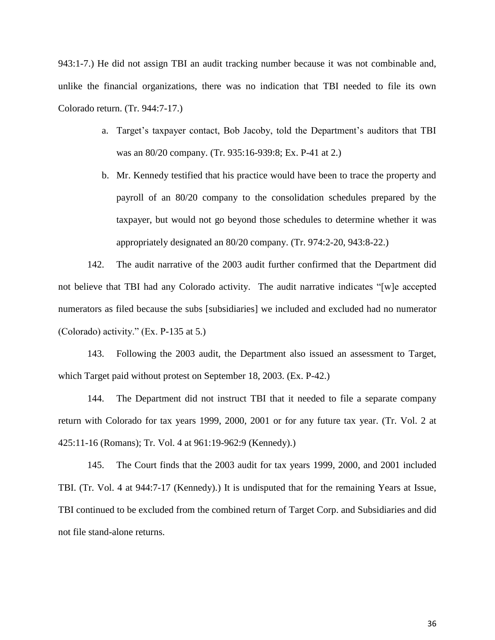943:1-7.) He did not assign TBI an audit tracking number because it was not combinable and, unlike the financial organizations, there was no indication that TBI needed to file its own Colorado return. (Tr. 944:7-17.)

- a. Target's taxpayer contact, Bob Jacoby, told the Department's auditors that TBI was an 80/20 company. (Tr. 935:16-939:8; Ex. P-41 at 2.)
- b. Mr. Kennedy testified that his practice would have been to trace the property and payroll of an 80/20 company to the consolidation schedules prepared by the taxpayer, but would not go beyond those schedules to determine whether it was appropriately designated an 80/20 company. (Tr. 974:2-20, 943:8-22.)

142. The audit narrative of the 2003 audit further confirmed that the Department did not believe that TBI had any Colorado activity. The audit narrative indicates "[w]e accepted numerators as filed because the subs [subsidiaries] we included and excluded had no numerator (Colorado) activity." (Ex. P-135 at 5.)

143. Following the 2003 audit, the Department also issued an assessment to Target, which Target paid without protest on September 18, 2003. (Ex. P-42.)

144. The Department did not instruct TBI that it needed to file a separate company return with Colorado for tax years 1999, 2000, 2001 or for any future tax year. (Tr. Vol. 2 at 425:11-16 (Romans); Tr. Vol. 4 at 961:19-962:9 (Kennedy).)

145. The Court finds that the 2003 audit for tax years 1999, 2000, and 2001 included TBI. (Tr. Vol. 4 at 944:7-17 (Kennedy).) It is undisputed that for the remaining Years at Issue, TBI continued to be excluded from the combined return of Target Corp. and Subsidiaries and did not file stand-alone returns.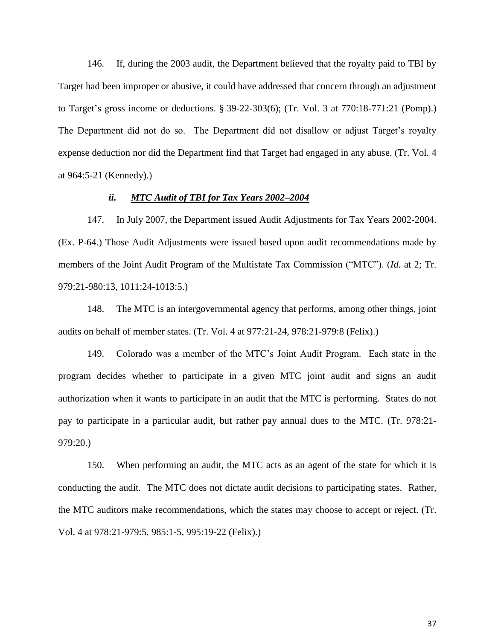146. If, during the 2003 audit, the Department believed that the royalty paid to TBI by Target had been improper or abusive, it could have addressed that concern through an adjustment to Target's gross income or deductions. § 39-22-303(6); (Tr. Vol. 3 at 770:18-771:21 (Pomp).) The Department did not do so. The Department did not disallow or adjust Target's royalty expense deduction nor did the Department find that Target had engaged in any abuse. (Tr. Vol. 4 at 964:5-21 (Kennedy).)

## *ii. MTC Audit of TBI for Tax Years 2002–2004*

147. In July 2007, the Department issued Audit Adjustments for Tax Years 2002-2004. (Ex. P-64.) Those Audit Adjustments were issued based upon audit recommendations made by members of the Joint Audit Program of the Multistate Tax Commission ("MTC"). (*Id.* at 2; Tr. 979:21-980:13, 1011:24-1013:5.)

148. The MTC is an intergovernmental agency that performs, among other things, joint audits on behalf of member states. (Tr. Vol. 4 at 977:21-24, 978:21-979:8 (Felix).)

149. Colorado was a member of the MTC's Joint Audit Program. Each state in the program decides whether to participate in a given MTC joint audit and signs an audit authorization when it wants to participate in an audit that the MTC is performing. States do not pay to participate in a particular audit, but rather pay annual dues to the MTC. (Tr. 978:21- 979:20.)

150. When performing an audit, the MTC acts as an agent of the state for which it is conducting the audit. The MTC does not dictate audit decisions to participating states. Rather, the MTC auditors make recommendations, which the states may choose to accept or reject. (Tr. Vol. 4 at 978:21-979:5, 985:1-5, 995:19-22 (Felix).)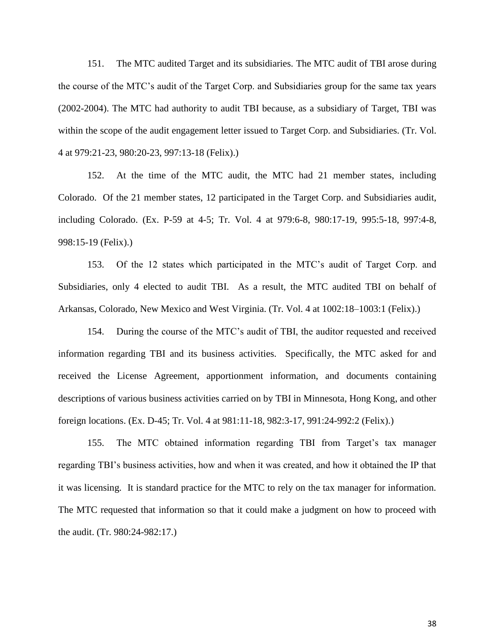151. The MTC audited Target and its subsidiaries. The MTC audit of TBI arose during the course of the MTC's audit of the Target Corp. and Subsidiaries group for the same tax years (2002-2004). The MTC had authority to audit TBI because, as a subsidiary of Target, TBI was within the scope of the audit engagement letter issued to Target Corp. and Subsidiaries. (Tr. Vol. 4 at 979:21-23, 980:20-23, 997:13-18 (Felix).)

152. At the time of the MTC audit, the MTC had 21 member states, including Colorado. Of the 21 member states, 12 participated in the Target Corp. and Subsidiaries audit, including Colorado. (Ex. P-59 at 4-5; Tr. Vol. 4 at 979:6-8, 980:17-19, 995:5-18, 997:4-8, 998:15-19 (Felix).)

153. Of the 12 states which participated in the MTC's audit of Target Corp. and Subsidiaries, only 4 elected to audit TBI. As a result, the MTC audited TBI on behalf of Arkansas, Colorado, New Mexico and West Virginia. (Tr. Vol. 4 at 1002:18–1003:1 (Felix).)

154. During the course of the MTC's audit of TBI, the auditor requested and received information regarding TBI and its business activities. Specifically, the MTC asked for and received the License Agreement, apportionment information, and documents containing descriptions of various business activities carried on by TBI in Minnesota, Hong Kong, and other foreign locations. (Ex. D-45; Tr. Vol. 4 at 981:11-18, 982:3-17, 991:24-992:2 (Felix).)

155. The MTC obtained information regarding TBI from Target's tax manager regarding TBI's business activities, how and when it was created, and how it obtained the IP that it was licensing. It is standard practice for the MTC to rely on the tax manager for information. The MTC requested that information so that it could make a judgment on how to proceed with the audit. (Tr. 980:24-982:17.)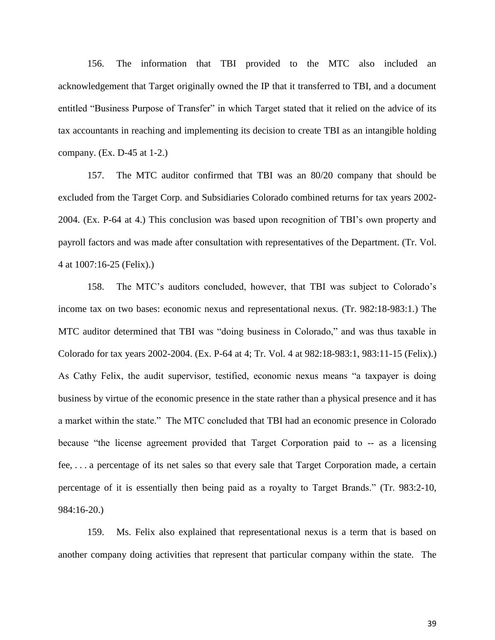156. The information that TBI provided to the MTC also included an acknowledgement that Target originally owned the IP that it transferred to TBI, and a document entitled "Business Purpose of Transfer" in which Target stated that it relied on the advice of its tax accountants in reaching and implementing its decision to create TBI as an intangible holding company. (Ex. D-45 at 1-2.)

157. The MTC auditor confirmed that TBI was an 80/20 company that should be excluded from the Target Corp. and Subsidiaries Colorado combined returns for tax years 2002- 2004. (Ex. P-64 at 4.) This conclusion was based upon recognition of TBI's own property and payroll factors and was made after consultation with representatives of the Department. (Tr. Vol. 4 at 1007:16-25 (Felix).)

158. The MTC's auditors concluded, however, that TBI was subject to Colorado's income tax on two bases: economic nexus and representational nexus. (Tr. 982:18-983:1.) The MTC auditor determined that TBI was "doing business in Colorado," and was thus taxable in Colorado for tax years 2002-2004. (Ex. P-64 at 4; Tr. Vol. 4 at 982:18-983:1, 983:11-15 (Felix).) As Cathy Felix, the audit supervisor, testified, economic nexus means "a taxpayer is doing business by virtue of the economic presence in the state rather than a physical presence and it has a market within the state." The MTC concluded that TBI had an economic presence in Colorado because "the license agreement provided that Target Corporation paid to -- as a licensing fee, . . . a percentage of its net sales so that every sale that Target Corporation made, a certain percentage of it is essentially then being paid as a royalty to Target Brands." (Tr. 983:2-10, 984:16-20.)

159. Ms. Felix also explained that representational nexus is a term that is based on another company doing activities that represent that particular company within the state. The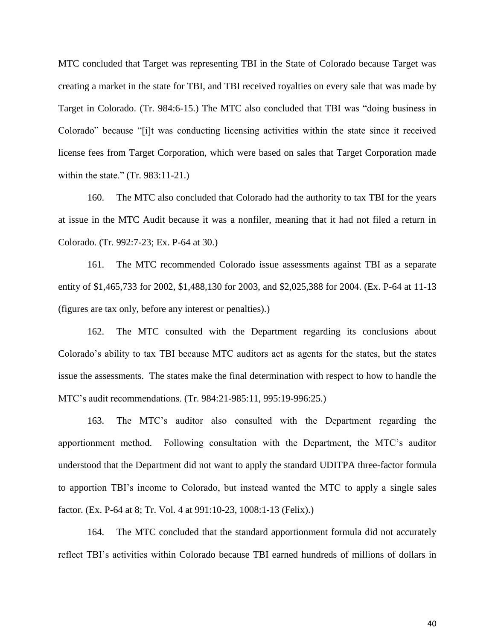MTC concluded that Target was representing TBI in the State of Colorado because Target was creating a market in the state for TBI, and TBI received royalties on every sale that was made by Target in Colorado. (Tr. 984:6-15.) The MTC also concluded that TBI was "doing business in Colorado" because "[i]t was conducting licensing activities within the state since it received license fees from Target Corporation, which were based on sales that Target Corporation made within the state." (Tr. 983:11-21.)

160. The MTC also concluded that Colorado had the authority to tax TBI for the years at issue in the MTC Audit because it was a nonfiler, meaning that it had not filed a return in Colorado. (Tr. 992:7-23; Ex. P-64 at 30.)

161. The MTC recommended Colorado issue assessments against TBI as a separate entity of \$1,465,733 for 2002, \$1,488,130 for 2003, and \$2,025,388 for 2004. (Ex. P-64 at 11-13 (figures are tax only, before any interest or penalties).)

162. The MTC consulted with the Department regarding its conclusions about Colorado's ability to tax TBI because MTC auditors act as agents for the states, but the states issue the assessments. The states make the final determination with respect to how to handle the MTC's audit recommendations. (Tr. 984:21-985:11, 995:19-996:25.)

163. The MTC's auditor also consulted with the Department regarding the apportionment method. Following consultation with the Department, the MTC's auditor understood that the Department did not want to apply the standard UDITPA three-factor formula to apportion TBI's income to Colorado, but instead wanted the MTC to apply a single sales factor. (Ex. P-64 at 8; Tr. Vol. 4 at 991:10-23, 1008:1-13 (Felix).)

164. The MTC concluded that the standard apportionment formula did not accurately reflect TBI's activities within Colorado because TBI earned hundreds of millions of dollars in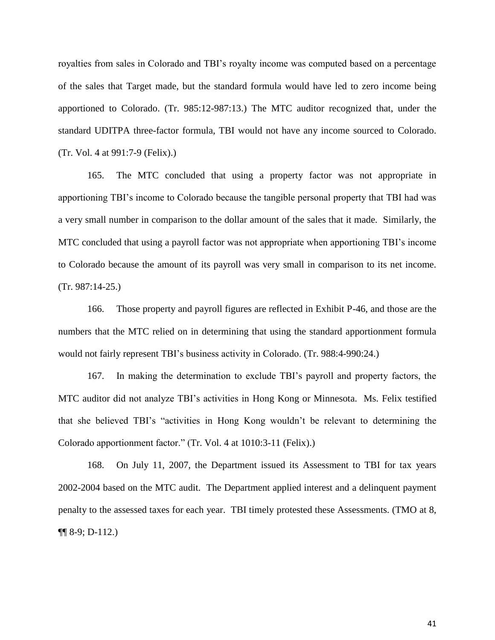royalties from sales in Colorado and TBI's royalty income was computed based on a percentage of the sales that Target made, but the standard formula would have led to zero income being apportioned to Colorado. (Tr. 985:12-987:13.) The MTC auditor recognized that, under the standard UDITPA three-factor formula, TBI would not have any income sourced to Colorado. (Tr. Vol. 4 at 991:7-9 (Felix).)

165. The MTC concluded that using a property factor was not appropriate in apportioning TBI's income to Colorado because the tangible personal property that TBI had was a very small number in comparison to the dollar amount of the sales that it made. Similarly, the MTC concluded that using a payroll factor was not appropriate when apportioning TBI's income to Colorado because the amount of its payroll was very small in comparison to its net income. (Tr. 987:14-25.)

166. Those property and payroll figures are reflected in Exhibit P-46, and those are the numbers that the MTC relied on in determining that using the standard apportionment formula would not fairly represent TBI's business activity in Colorado. (Tr. 988:4-990:24.)

167. In making the determination to exclude TBI's payroll and property factors, the MTC auditor did not analyze TBI's activities in Hong Kong or Minnesota. Ms. Felix testified that she believed TBI's "activities in Hong Kong wouldn't be relevant to determining the Colorado apportionment factor." (Tr. Vol. 4 at 1010:3-11 (Felix).)

168. On July 11, 2007, the Department issued its Assessment to TBI for tax years 2002-2004 based on the MTC audit. The Department applied interest and a delinquent payment penalty to the assessed taxes for each year. TBI timely protested these Assessments. (TMO at 8, ¶¶ 8-9; D-112.)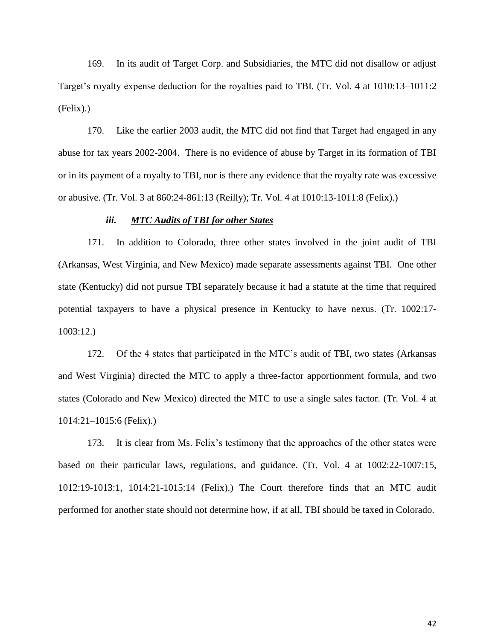169. In its audit of Target Corp. and Subsidiaries, the MTC did not disallow or adjust Target's royalty expense deduction for the royalties paid to TBI. (Tr. Vol. 4 at 1010:13–1011:2 (Felix).)

170. Like the earlier 2003 audit, the MTC did not find that Target had engaged in any abuse for tax years 2002-2004. There is no evidence of abuse by Target in its formation of TBI or in its payment of a royalty to TBI, nor is there any evidence that the royalty rate was excessive or abusive. (Tr. Vol. 3 at 860:24-861:13 (Reilly); Tr. Vol. 4 at 1010:13-1011:8 (Felix).)

### *iii. MTC Audits of TBI for other States*

171. In addition to Colorado, three other states involved in the joint audit of TBI (Arkansas, West Virginia, and New Mexico) made separate assessments against TBI. One other state (Kentucky) did not pursue TBI separately because it had a statute at the time that required potential taxpayers to have a physical presence in Kentucky to have nexus. (Tr. 1002:17- 1003:12.)

172. Of the 4 states that participated in the MTC's audit of TBI, two states (Arkansas and West Virginia) directed the MTC to apply a three-factor apportionment formula, and two states (Colorado and New Mexico) directed the MTC to use a single sales factor. (Tr. Vol. 4 at 1014:21–1015:6 (Felix).)

173. It is clear from Ms. Felix's testimony that the approaches of the other states were based on their particular laws, regulations, and guidance. (Tr. Vol. 4 at 1002:22-1007:15, 1012:19-1013:1, 1014:21-1015:14 (Felix).) The Court therefore finds that an MTC audit performed for another state should not determine how, if at all, TBI should be taxed in Colorado.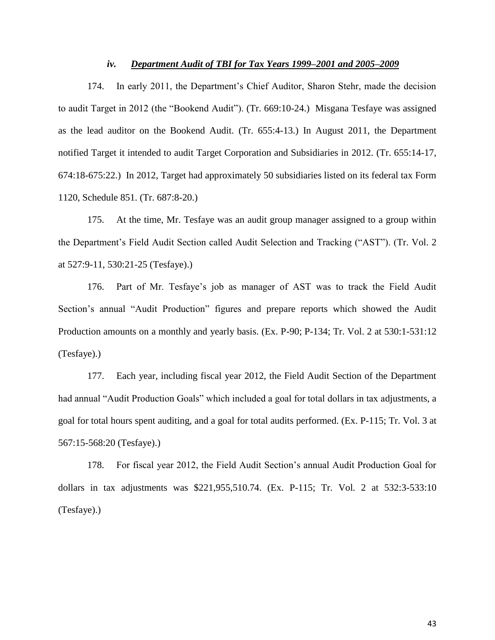#### *iv. Department Audit of TBI for Tax Years 1999–2001 and 2005–2009*

174. In early 2011, the Department's Chief Auditor, Sharon Stehr, made the decision to audit Target in 2012 (the "Bookend Audit"). (Tr. 669:10-24.) Misgana Tesfaye was assigned as the lead auditor on the Bookend Audit. (Tr. 655:4-13.) In August 2011, the Department notified Target it intended to audit Target Corporation and Subsidiaries in 2012. (Tr. 655:14-17, 674:18-675:22.) In 2012, Target had approximately 50 subsidiaries listed on its federal tax Form 1120, Schedule 851. (Tr. 687:8-20.)

175. At the time, Mr. Tesfaye was an audit group manager assigned to a group within the Department's Field Audit Section called Audit Selection and Tracking ("AST"). (Tr. Vol. 2 at 527:9-11, 530:21-25 (Tesfaye).)

176. Part of Mr. Tesfaye's job as manager of AST was to track the Field Audit Section's annual "Audit Production" figures and prepare reports which showed the Audit Production amounts on a monthly and yearly basis. (Ex. P-90; P-134; Tr. Vol. 2 at 530:1-531:12 (Tesfaye).)

177. Each year, including fiscal year 2012, the Field Audit Section of the Department had annual "Audit Production Goals" which included a goal for total dollars in tax adjustments, a goal for total hours spent auditing, and a goal for total audits performed. (Ex. P-115; Tr. Vol. 3 at 567:15-568:20 (Tesfaye).)

178. For fiscal year 2012, the Field Audit Section's annual Audit Production Goal for dollars in tax adjustments was \$221,955,510.74. (Ex. P-115; Tr. Vol. 2 at 532:3-533:10 (Tesfaye).)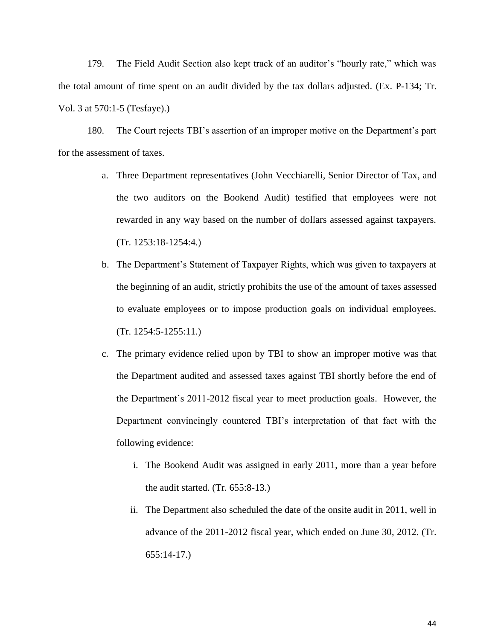179. The Field Audit Section also kept track of an auditor's "hourly rate," which was the total amount of time spent on an audit divided by the tax dollars adjusted. (Ex. P-134; Tr. Vol. 3 at 570:1-5 (Tesfaye).)

180. The Court rejects TBI's assertion of an improper motive on the Department's part for the assessment of taxes.

- a. Three Department representatives (John Vecchiarelli, Senior Director of Tax, and the two auditors on the Bookend Audit) testified that employees were not rewarded in any way based on the number of dollars assessed against taxpayers. (Tr. 1253:18-1254:4.)
- b. The Department's Statement of Taxpayer Rights, which was given to taxpayers at the beginning of an audit, strictly prohibits the use of the amount of taxes assessed to evaluate employees or to impose production goals on individual employees. (Tr. 1254:5-1255:11.)
- c. The primary evidence relied upon by TBI to show an improper motive was that the Department audited and assessed taxes against TBI shortly before the end of the Department's 2011-2012 fiscal year to meet production goals. However, the Department convincingly countered TBI's interpretation of that fact with the following evidence:
	- i. The Bookend Audit was assigned in early 2011, more than a year before the audit started. (Tr. 655:8-13.)
	- ii. The Department also scheduled the date of the onsite audit in 2011, well in advance of the 2011-2012 fiscal year, which ended on June 30, 2012. (Tr. 655:14-17.)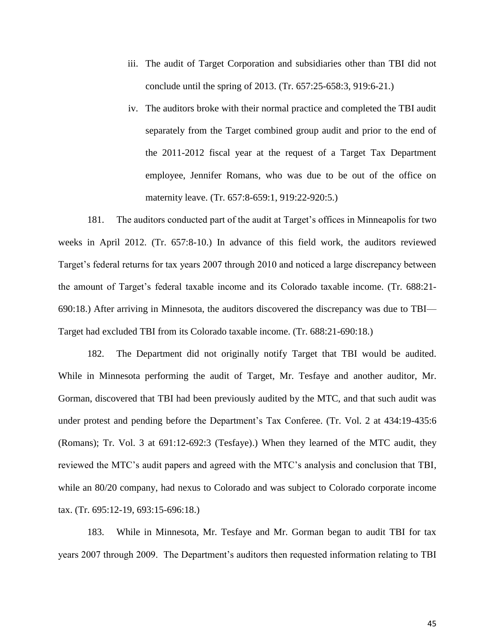- iii. The audit of Target Corporation and subsidiaries other than TBI did not conclude until the spring of 2013. (Tr. 657:25-658:3, 919:6-21.)
- iv. The auditors broke with their normal practice and completed the TBI audit separately from the Target combined group audit and prior to the end of the 2011-2012 fiscal year at the request of a Target Tax Department employee, Jennifer Romans, who was due to be out of the office on maternity leave. (Tr. 657:8-659:1, 919:22-920:5.)

181. The auditors conducted part of the audit at Target's offices in Minneapolis for two weeks in April 2012. (Tr. 657:8-10.) In advance of this field work, the auditors reviewed Target's federal returns for tax years 2007 through 2010 and noticed a large discrepancy between the amount of Target's federal taxable income and its Colorado taxable income. (Tr. 688:21- 690:18.) After arriving in Minnesota, the auditors discovered the discrepancy was due to TBI— Target had excluded TBI from its Colorado taxable income. (Tr. 688:21-690:18.)

182. The Department did not originally notify Target that TBI would be audited. While in Minnesota performing the audit of Target, Mr. Tesfaye and another auditor, Mr. Gorman, discovered that TBI had been previously audited by the MTC, and that such audit was under protest and pending before the Department's Tax Conferee. (Tr. Vol. 2 at 434:19-435:6 (Romans); Tr. Vol. 3 at 691:12-692:3 (Tesfaye).) When they learned of the MTC audit, they reviewed the MTC's audit papers and agreed with the MTC's analysis and conclusion that TBI, while an 80/20 company, had nexus to Colorado and was subject to Colorado corporate income tax. (Tr. 695:12-19, 693:15-696:18.)

183. While in Minnesota, Mr. Tesfaye and Mr. Gorman began to audit TBI for tax years 2007 through 2009. The Department's auditors then requested information relating to TBI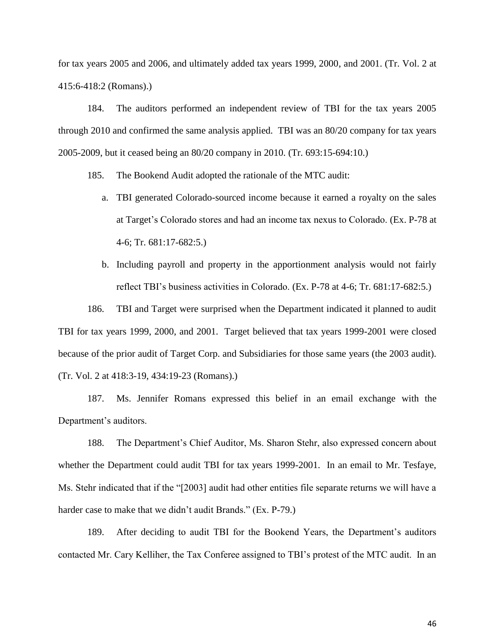for tax years 2005 and 2006, and ultimately added tax years 1999, 2000, and 2001. (Tr. Vol. 2 at 415:6-418:2 (Romans).)

184. The auditors performed an independent review of TBI for the tax years 2005 through 2010 and confirmed the same analysis applied. TBI was an 80/20 company for tax years 2005-2009, but it ceased being an 80/20 company in 2010. (Tr. 693:15-694:10.)

185. The Bookend Audit adopted the rationale of the MTC audit:

- a. TBI generated Colorado-sourced income because it earned a royalty on the sales at Target's Colorado stores and had an income tax nexus to Colorado. (Ex. P-78 at 4-6; Tr. 681:17-682:5.)
- b. Including payroll and property in the apportionment analysis would not fairly reflect TBI's business activities in Colorado. (Ex. P-78 at 4-6; Tr. 681:17-682:5.)

186. TBI and Target were surprised when the Department indicated it planned to audit TBI for tax years 1999, 2000, and 2001. Target believed that tax years 1999-2001 were closed because of the prior audit of Target Corp. and Subsidiaries for those same years (the 2003 audit). (Tr. Vol. 2 at 418:3-19, 434:19-23 (Romans).)

187. Ms. Jennifer Romans expressed this belief in an email exchange with the Department's auditors.

188. The Department's Chief Auditor, Ms. Sharon Stehr, also expressed concern about whether the Department could audit TBI for tax years 1999-2001. In an email to Mr. Tesfaye, Ms. Stehr indicated that if the "[2003] audit had other entities file separate returns we will have a harder case to make that we didn't audit Brands." (Ex. P-79.)

189. After deciding to audit TBI for the Bookend Years, the Department's auditors contacted Mr. Cary Kelliher, the Tax Conferee assigned to TBI's protest of the MTC audit. In an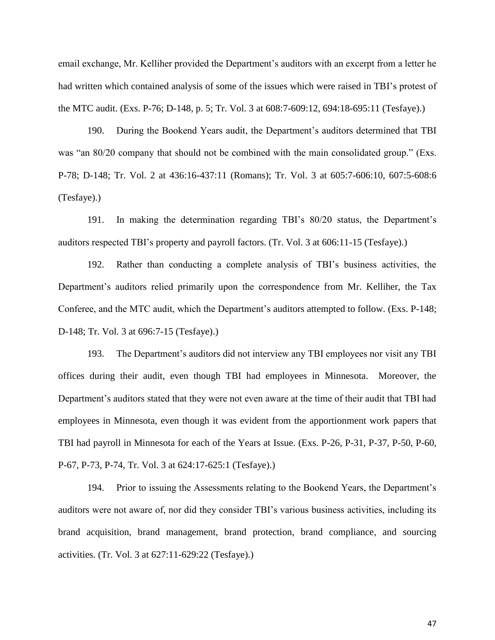email exchange, Mr. Kelliher provided the Department's auditors with an excerpt from a letter he had written which contained analysis of some of the issues which were raised in TBI's protest of the MTC audit. (Exs. P-76; D-148, p. 5; Tr. Vol. 3 at 608:7-609:12, 694:18-695:11 (Tesfaye).)

190. During the Bookend Years audit, the Department's auditors determined that TBI was "an 80/20 company that should not be combined with the main consolidated group." (Exs. P-78; D-148; Tr. Vol. 2 at 436:16-437:11 (Romans); Tr. Vol. 3 at 605:7-606:10, 607:5-608:6 (Tesfaye).)

191. In making the determination regarding TBI's 80/20 status, the Department's auditors respected TBI's property and payroll factors. (Tr. Vol. 3 at 606:11-15 (Tesfaye).)

192. Rather than conducting a complete analysis of TBI's business activities, the Department's auditors relied primarily upon the correspondence from Mr. Kelliher, the Tax Conferee, and the MTC audit, which the Department's auditors attempted to follow. (Exs. P-148; D-148; Tr. Vol. 3 at 696:7-15 (Tesfaye).)

193. The Department's auditors did not interview any TBI employees nor visit any TBI offices during their audit, even though TBI had employees in Minnesota. Moreover, the Department's auditors stated that they were not even aware at the time of their audit that TBI had employees in Minnesota, even though it was evident from the apportionment work papers that TBI had payroll in Minnesota for each of the Years at Issue. (Exs. P-26, P-31, P-37, P-50, P-60, P-67, P-73, P-74, Tr. Vol. 3 at 624:17-625:1 (Tesfaye).)

194. Prior to issuing the Assessments relating to the Bookend Years, the Department's auditors were not aware of, nor did they consider TBI's various business activities, including its brand acquisition, brand management, brand protection, brand compliance, and sourcing activities. (Tr. Vol. 3 at 627:11-629:22 (Tesfaye).)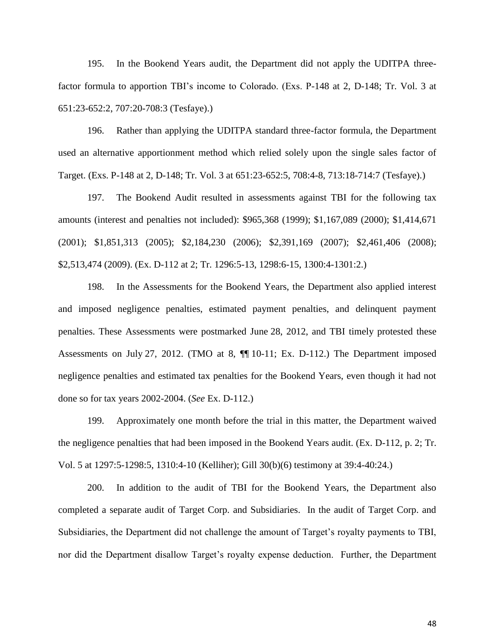195. In the Bookend Years audit, the Department did not apply the UDITPA threefactor formula to apportion TBI's income to Colorado. (Exs. P-148 at 2, D-148; Tr. Vol. 3 at 651:23-652:2, 707:20-708:3 (Tesfaye).)

196. Rather than applying the UDITPA standard three-factor formula, the Department used an alternative apportionment method which relied solely upon the single sales factor of Target. (Exs. P-148 at 2, D-148; Tr. Vol. 3 at 651:23-652:5, 708:4-8, 713:18-714:7 (Tesfaye).)

197. The Bookend Audit resulted in assessments against TBI for the following tax amounts (interest and penalties not included): \$965,368 (1999); \$1,167,089 (2000); \$1,414,671 (2001); \$1,851,313 (2005); \$2,184,230 (2006); \$2,391,169 (2007); \$2,461,406 (2008); \$2,513,474 (2009). (Ex. D-112 at 2; Tr. 1296:5-13, 1298:6-15, 1300:4-1301:2.)

198. In the Assessments for the Bookend Years, the Department also applied interest and imposed negligence penalties, estimated payment penalties, and delinquent payment penalties. These Assessments were postmarked June 28, 2012, and TBI timely protested these Assessments on July 27, 2012. (TMO at 8, ¶¶ 10-11; Ex. D-112.) The Department imposed negligence penalties and estimated tax penalties for the Bookend Years, even though it had not done so for tax years 2002-2004. (*See* Ex. D-112.)

199. Approximately one month before the trial in this matter, the Department waived the negligence penalties that had been imposed in the Bookend Years audit. (Ex. D-112, p. 2; Tr. Vol. 5 at 1297:5-1298:5, 1310:4-10 (Kelliher); Gill 30(b)(6) testimony at 39:4-40:24.)

200. In addition to the audit of TBI for the Bookend Years, the Department also completed a separate audit of Target Corp. and Subsidiaries. In the audit of Target Corp. and Subsidiaries, the Department did not challenge the amount of Target's royalty payments to TBI, nor did the Department disallow Target's royalty expense deduction. Further, the Department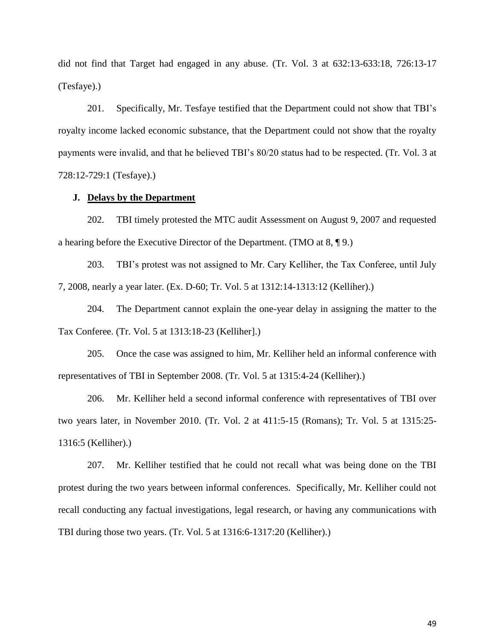did not find that Target had engaged in any abuse. (Tr. Vol. 3 at 632:13-633:18, 726:13-17 (Tesfaye).)

201. Specifically, Mr. Tesfaye testified that the Department could not show that TBI's royalty income lacked economic substance, that the Department could not show that the royalty payments were invalid, and that he believed TBI's 80/20 status had to be respected. (Tr. Vol. 3 at 728:12-729:1 (Tesfaye).)

#### **J. Delays by the Department**

202. TBI timely protested the MTC audit Assessment on August 9, 2007 and requested a hearing before the Executive Director of the Department. (TMO at 8, ¶ 9.)

203. TBI's protest was not assigned to Mr. Cary Kelliher, the Tax Conferee, until July 7, 2008, nearly a year later. (Ex. D-60; Tr. Vol. 5 at 1312:14-1313:12 (Kelliher).)

204. The Department cannot explain the one-year delay in assigning the matter to the Tax Conferee. (Tr. Vol. 5 at 1313:18-23 (Kelliher].)

205. Once the case was assigned to him, Mr. Kelliher held an informal conference with representatives of TBI in September 2008. (Tr. Vol. 5 at 1315:4-24 (Kelliher).)

206. Mr. Kelliher held a second informal conference with representatives of TBI over two years later, in November 2010. (Tr. Vol. 2 at 411:5-15 (Romans); Tr. Vol. 5 at 1315:25- 1316:5 (Kelliher).)

207. Mr. Kelliher testified that he could not recall what was being done on the TBI protest during the two years between informal conferences. Specifically, Mr. Kelliher could not recall conducting any factual investigations, legal research, or having any communications with TBI during those two years. (Tr. Vol. 5 at 1316:6-1317:20 (Kelliher).)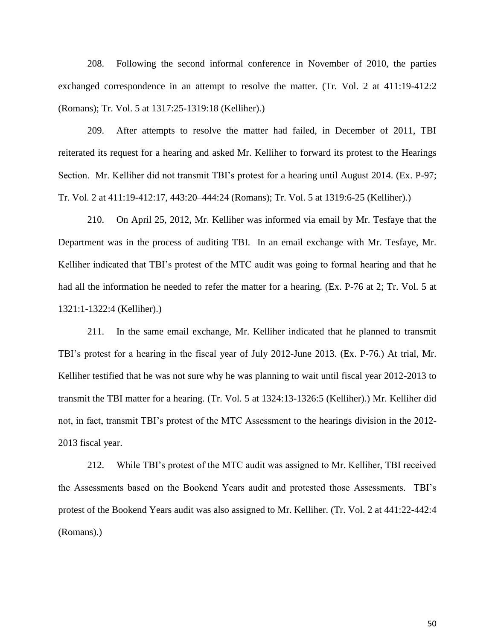208. Following the second informal conference in November of 2010, the parties exchanged correspondence in an attempt to resolve the matter. (Tr. Vol. 2 at 411:19-412:2 (Romans); Tr. Vol. 5 at 1317:25-1319:18 (Kelliher).)

209. After attempts to resolve the matter had failed, in December of 2011, TBI reiterated its request for a hearing and asked Mr. Kelliher to forward its protest to the Hearings Section. Mr. Kelliher did not transmit TBI's protest for a hearing until August 2014. (Ex. P-97; Tr. Vol. 2 at 411:19-412:17, 443:20–444:24 (Romans); Tr. Vol. 5 at 1319:6-25 (Kelliher).)

210. On April 25, 2012, Mr. Kelliher was informed via email by Mr. Tesfaye that the Department was in the process of auditing TBI. In an email exchange with Mr. Tesfaye, Mr. Kelliher indicated that TBI's protest of the MTC audit was going to formal hearing and that he had all the information he needed to refer the matter for a hearing. (Ex. P-76 at 2; Tr. Vol. 5 at 1321:1-1322:4 (Kelliher).)

211. In the same email exchange, Mr. Kelliher indicated that he planned to transmit TBI's protest for a hearing in the fiscal year of July 2012-June 2013. (Ex. P-76.) At trial, Mr. Kelliher testified that he was not sure why he was planning to wait until fiscal year 2012-2013 to transmit the TBI matter for a hearing. (Tr. Vol. 5 at 1324:13-1326:5 (Kelliher).) Mr. Kelliher did not, in fact, transmit TBI's protest of the MTC Assessment to the hearings division in the 2012- 2013 fiscal year.

212. While TBI's protest of the MTC audit was assigned to Mr. Kelliher, TBI received the Assessments based on the Bookend Years audit and protested those Assessments. TBI's protest of the Bookend Years audit was also assigned to Mr. Kelliher. (Tr. Vol. 2 at 441:22-442:4 (Romans).)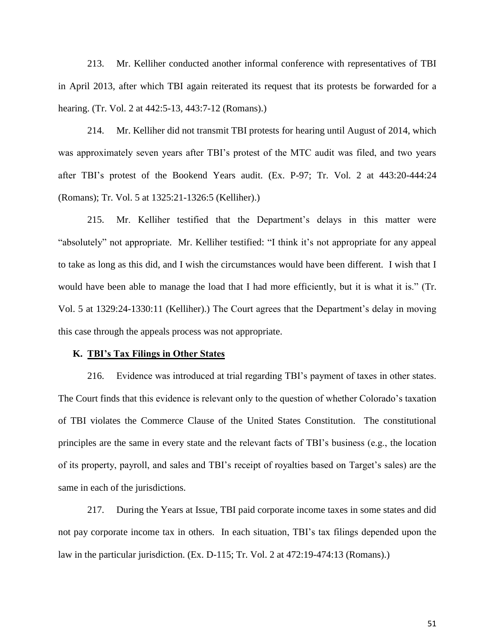213. Mr. Kelliher conducted another informal conference with representatives of TBI in April 2013, after which TBI again reiterated its request that its protests be forwarded for a hearing. (Tr. Vol. 2 at 442:5-13, 443:7-12 (Romans).)

214. Mr. Kelliher did not transmit TBI protests for hearing until August of 2014, which was approximately seven years after TBI's protest of the MTC audit was filed, and two years after TBI's protest of the Bookend Years audit. (Ex. P-97; Tr. Vol. 2 at 443:20-444:24 (Romans); Tr. Vol. 5 at 1325:21-1326:5 (Kelliher).)

215. Mr. Kelliher testified that the Department's delays in this matter were "absolutely" not appropriate. Mr. Kelliher testified: "I think it's not appropriate for any appeal to take as long as this did, and I wish the circumstances would have been different. I wish that I would have been able to manage the load that I had more efficiently, but it is what it is." (Tr. Vol. 5 at 1329:24-1330:11 (Kelliher).) The Court agrees that the Department's delay in moving this case through the appeals process was not appropriate.

#### **K. TBI's Tax Filings in Other States**

216. Evidence was introduced at trial regarding TBI's payment of taxes in other states. The Court finds that this evidence is relevant only to the question of whether Colorado's taxation of TBI violates the Commerce Clause of the United States Constitution. The constitutional principles are the same in every state and the relevant facts of TBI's business (e.g., the location of its property, payroll, and sales and TBI's receipt of royalties based on Target's sales) are the same in each of the jurisdictions.

217. During the Years at Issue, TBI paid corporate income taxes in some states and did not pay corporate income tax in others. In each situation, TBI's tax filings depended upon the law in the particular jurisdiction. (Ex. D-115; Tr. Vol. 2 at 472:19-474:13 (Romans).)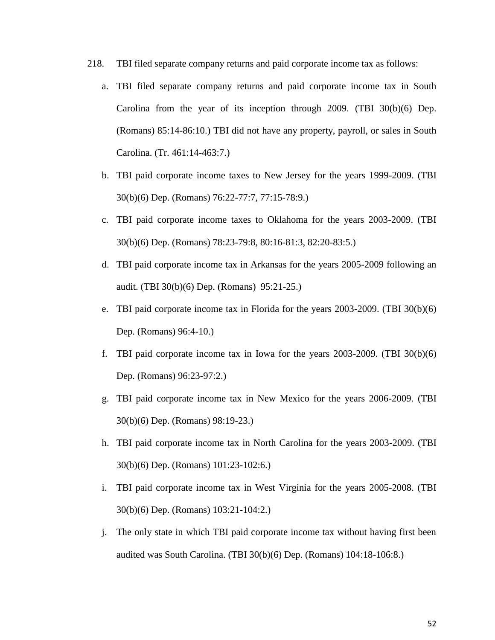- 218. TBI filed separate company returns and paid corporate income tax as follows:
	- a. TBI filed separate company returns and paid corporate income tax in South Carolina from the year of its inception through 2009. (TBI 30(b)(6) Dep. (Romans) 85:14-86:10.) TBI did not have any property, payroll, or sales in South Carolina. (Tr. 461:14-463:7.)
	- b. TBI paid corporate income taxes to New Jersey for the years 1999-2009. (TBI 30(b)(6) Dep. (Romans) 76:22-77:7, 77:15-78:9.)
	- c. TBI paid corporate income taxes to Oklahoma for the years 2003-2009. (TBI 30(b)(6) Dep. (Romans) 78:23-79:8, 80:16-81:3, 82:20-83:5.)
	- d. TBI paid corporate income tax in Arkansas for the years 2005-2009 following an audit. (TBI 30(b)(6) Dep. (Romans) 95:21-25.)
	- e. TBI paid corporate income tax in Florida for the years 2003-2009. (TBI 30(b)(6) Dep. (Romans) 96:4-10.)
	- f. TBI paid corporate income tax in Iowa for the years 2003-2009. (TBI 30(b)(6) Dep. (Romans) 96:23-97:2.)
	- g. TBI paid corporate income tax in New Mexico for the years 2006-2009. (TBI 30(b)(6) Dep. (Romans) 98:19-23.)
	- h. TBI paid corporate income tax in North Carolina for the years 2003-2009. (TBI 30(b)(6) Dep. (Romans) 101:23-102:6.)
	- i. TBI paid corporate income tax in West Virginia for the years 2005-2008. (TBI 30(b)(6) Dep. (Romans) 103:21-104:2.)
	- j. The only state in which TBI paid corporate income tax without having first been audited was South Carolina. (TBI 30(b)(6) Dep. (Romans) 104:18-106:8.)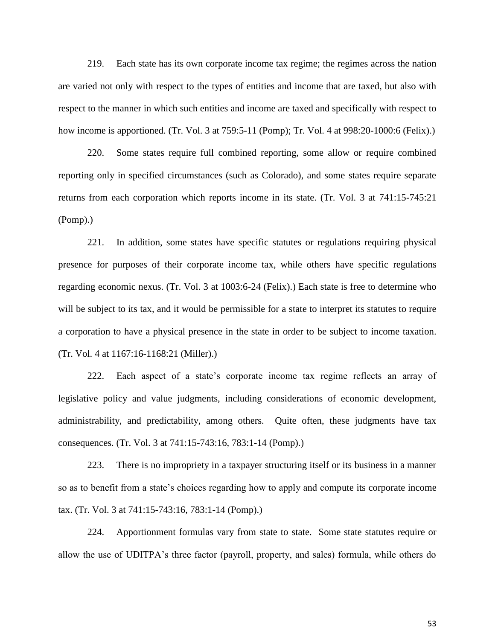219. Each state has its own corporate income tax regime; the regimes across the nation are varied not only with respect to the types of entities and income that are taxed, but also with respect to the manner in which such entities and income are taxed and specifically with respect to how income is apportioned. (Tr. Vol. 3 at 759:5-11 (Pomp); Tr. Vol. 4 at 998:20-1000:6 (Felix).)

220. Some states require full combined reporting, some allow or require combined reporting only in specified circumstances (such as Colorado), and some states require separate returns from each corporation which reports income in its state. (Tr. Vol. 3 at 741:15-745:21 (Pomp).)

221. In addition, some states have specific statutes or regulations requiring physical presence for purposes of their corporate income tax, while others have specific regulations regarding economic nexus. (Tr. Vol. 3 at 1003:6-24 (Felix).) Each state is free to determine who will be subject to its tax, and it would be permissible for a state to interpret its statutes to require a corporation to have a physical presence in the state in order to be subject to income taxation. (Tr. Vol. 4 at 1167:16-1168:21 (Miller).)

222. Each aspect of a state's corporate income tax regime reflects an array of legislative policy and value judgments, including considerations of economic development, administrability, and predictability, among others. Quite often, these judgments have tax consequences. (Tr. Vol. 3 at 741:15-743:16, 783:1-14 (Pomp).)

223. There is no impropriety in a taxpayer structuring itself or its business in a manner so as to benefit from a state's choices regarding how to apply and compute its corporate income tax. (Tr. Vol. 3 at 741:15-743:16, 783:1-14 (Pomp).)

224. Apportionment formulas vary from state to state. Some state statutes require or allow the use of UDITPA's three factor (payroll, property, and sales) formula, while others do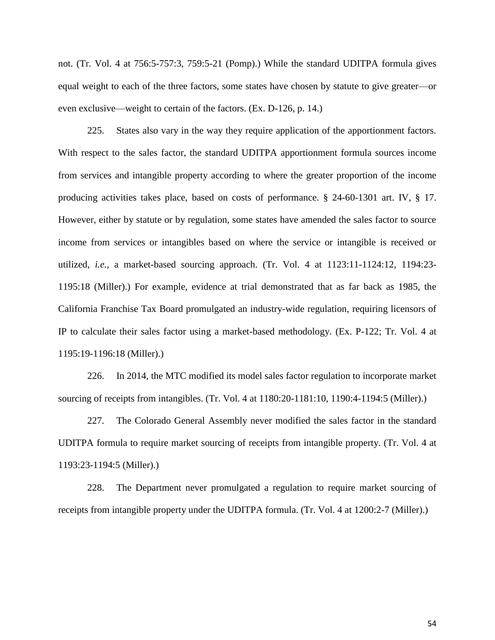not. (Tr. Vol. 4 at 756:5-757:3, 759:5-21 (Pomp).) While the standard UDITPA formula gives equal weight to each of the three factors, some states have chosen by statute to give greater—or even exclusive—weight to certain of the factors. (Ex. D-126, p. 14.)

225. States also vary in the way they require application of the apportionment factors. With respect to the sales factor, the standard UDITPA apportionment formula sources income from services and intangible property according to where the greater proportion of the income producing activities takes place, based on costs of performance. § 24-60-1301 art. IV, § 17. However, either by statute or by regulation, some states have amended the sales factor to source income from services or intangibles based on where the service or intangible is received or utilized, *i.e.*, a market-based sourcing approach. (Tr. Vol. 4 at 1123:11-1124:12, 1194:23- 1195:18 (Miller).) For example, evidence at trial demonstrated that as far back as 1985, the California Franchise Tax Board promulgated an industry-wide regulation, requiring licensors of IP to calculate their sales factor using a market-based methodology. (Ex. P-122; Tr. Vol. 4 at 1195:19-1196:18 (Miller).)

226. In 2014, the MTC modified its model sales factor regulation to incorporate market sourcing of receipts from intangibles. (Tr. Vol. 4 at 1180:20-1181:10, 1190:4-1194:5 (Miller).)

227. The Colorado General Assembly never modified the sales factor in the standard UDITPA formula to require market sourcing of receipts from intangible property. (Tr. Vol. 4 at 1193:23-1194:5 (Miller).)

228. The Department never promulgated a regulation to require market sourcing of receipts from intangible property under the UDITPA formula. (Tr. Vol. 4 at 1200:2-7 (Miller).)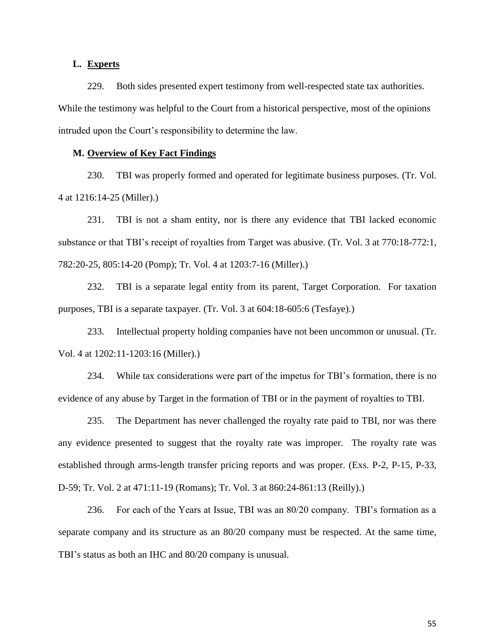# **L. Experts**

229. Both sides presented expert testimony from well-respected state tax authorities. While the testimony was helpful to the Court from a historical perspective, most of the opinions intruded upon the Court's responsibility to determine the law.

### **M. Overview of Key Fact Findings**

230. TBI was properly formed and operated for legitimate business purposes. (Tr. Vol. 4 at 1216:14-25 (Miller).)

231. TBI is not a sham entity, nor is there any evidence that TBI lacked economic substance or that TBI's receipt of royalties from Target was abusive. (Tr. Vol. 3 at 770:18-772:1, 782:20-25, 805:14-20 (Pomp); Tr. Vol. 4 at 1203:7-16 (Miller).)

232. TBI is a separate legal entity from its parent, Target Corporation. For taxation purposes, TBI is a separate taxpayer. (Tr. Vol. 3 at 604:18-605:6 (Tesfaye).)

233. Intellectual property holding companies have not been uncommon or unusual. (Tr. Vol. 4 at 1202:11-1203:16 (Miller).)

234. While tax considerations were part of the impetus for TBI's formation, there is no evidence of any abuse by Target in the formation of TBI or in the payment of royalties to TBI.

235. The Department has never challenged the royalty rate paid to TBI, nor was there any evidence presented to suggest that the royalty rate was improper. The royalty rate was established through arms-length transfer pricing reports and was proper. (Exs. P-2, P-15, P-33, D-59; Tr. Vol. 2 at 471:11-19 (Romans); Tr. Vol. 3 at 860:24-861:13 (Reilly).)

236. For each of the Years at Issue, TBI was an 80/20 company. TBI's formation as a separate company and its structure as an 80/20 company must be respected. At the same time, TBI's status as both an IHC and 80/20 company is unusual.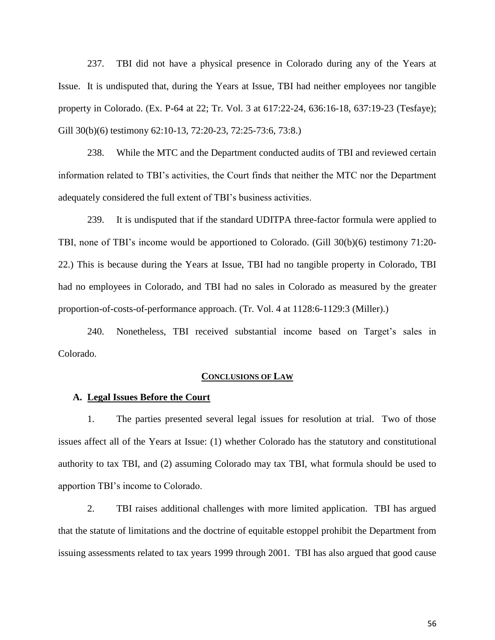237. TBI did not have a physical presence in Colorado during any of the Years at Issue. It is undisputed that, during the Years at Issue, TBI had neither employees nor tangible property in Colorado. (Ex. P-64 at 22; Tr. Vol. 3 at 617:22-24, 636:16-18, 637:19-23 (Tesfaye); Gill 30(b)(6) testimony 62:10-13, 72:20-23, 72:25-73:6, 73:8.)

238. While the MTC and the Department conducted audits of TBI and reviewed certain information related to TBI's activities, the Court finds that neither the MTC nor the Department adequately considered the full extent of TBI's business activities.

239. It is undisputed that if the standard UDITPA three-factor formula were applied to TBI, none of TBI's income would be apportioned to Colorado. (Gill 30(b)(6) testimony 71:20- 22.) This is because during the Years at Issue, TBI had no tangible property in Colorado, TBI had no employees in Colorado, and TBI had no sales in Colorado as measured by the greater proportion-of-costs-of-performance approach. (Tr. Vol. 4 at 1128:6-1129:3 (Miller).)

240. Nonetheless, TBI received substantial income based on Target's sales in Colorado.

#### **CONCLUSIONS OF LAW**

### **A. Legal Issues Before the Court**

1. The parties presented several legal issues for resolution at trial. Two of those issues affect all of the Years at Issue: (1) whether Colorado has the statutory and constitutional authority to tax TBI, and (2) assuming Colorado may tax TBI, what formula should be used to apportion TBI's income to Colorado.

2. TBI raises additional challenges with more limited application. TBI has argued that the statute of limitations and the doctrine of equitable estoppel prohibit the Department from issuing assessments related to tax years 1999 through 2001. TBI has also argued that good cause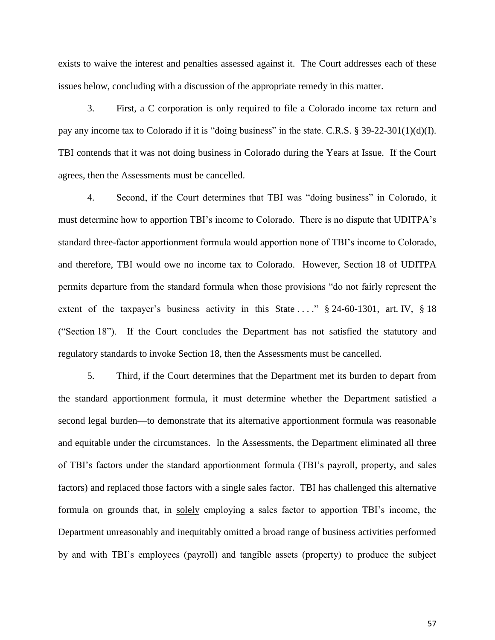exists to waive the interest and penalties assessed against it. The Court addresses each of these issues below, concluding with a discussion of the appropriate remedy in this matter.

3. First, a C corporation is only required to file a Colorado income tax return and pay any income tax to Colorado if it is "doing business" in the state. C.R.S. § 39-22-301(1)(d)(I). TBI contends that it was not doing business in Colorado during the Years at Issue. If the Court agrees, then the Assessments must be cancelled.

4. Second, if the Court determines that TBI was "doing business" in Colorado, it must determine how to apportion TBI's income to Colorado. There is no dispute that UDITPA's standard three-factor apportionment formula would apportion none of TBI's income to Colorado, and therefore, TBI would owe no income tax to Colorado. However, Section 18 of UDITPA permits departure from the standard formula when those provisions "do not fairly represent the extent of the taxpayer's business activity in this State ...."  $\S$  24-60-1301, art. IV,  $\S$  18 ("Section 18"). If the Court concludes the Department has not satisfied the statutory and regulatory standards to invoke Section 18, then the Assessments must be cancelled.

5. Third, if the Court determines that the Department met its burden to depart from the standard apportionment formula, it must determine whether the Department satisfied a second legal burden—to demonstrate that its alternative apportionment formula was reasonable and equitable under the circumstances. In the Assessments, the Department eliminated all three of TBI's factors under the standard apportionment formula (TBI's payroll, property, and sales factors) and replaced those factors with a single sales factor. TBI has challenged this alternative formula on grounds that, in solely employing a sales factor to apportion TBI's income, the Department unreasonably and inequitably omitted a broad range of business activities performed by and with TBI's employees (payroll) and tangible assets (property) to produce the subject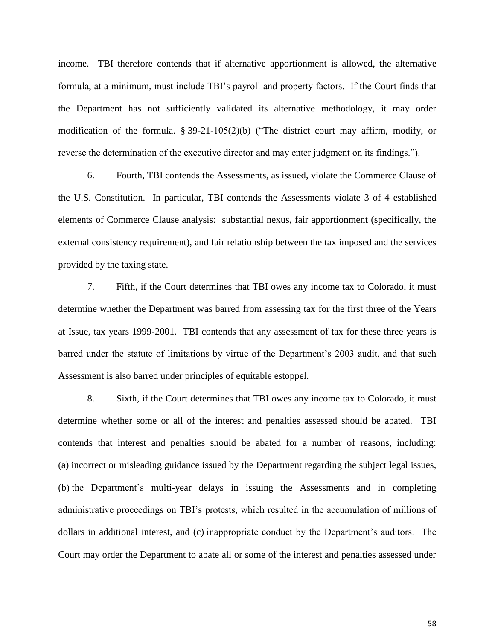income. TBI therefore contends that if alternative apportionment is allowed, the alternative formula, at a minimum, must include TBI's payroll and property factors. If the Court finds that the Department has not sufficiently validated its alternative methodology, it may order modification of the formula.  $\S 39-21-105(2)(b)$  ("The district court may affirm, modify, or reverse the determination of the executive director and may enter judgment on its findings.").

6. Fourth, TBI contends the Assessments, as issued, violate the Commerce Clause of the U.S. Constitution. In particular, TBI contends the Assessments violate 3 of 4 established elements of Commerce Clause analysis: substantial nexus, fair apportionment (specifically, the external consistency requirement), and fair relationship between the tax imposed and the services provided by the taxing state.

7. Fifth, if the Court determines that TBI owes any income tax to Colorado, it must determine whether the Department was barred from assessing tax for the first three of the Years at Issue, tax years 1999-2001. TBI contends that any assessment of tax for these three years is barred under the statute of limitations by virtue of the Department's 2003 audit, and that such Assessment is also barred under principles of equitable estoppel.

8. Sixth, if the Court determines that TBI owes any income tax to Colorado, it must determine whether some or all of the interest and penalties assessed should be abated. TBI contends that interest and penalties should be abated for a number of reasons, including: (a) incorrect or misleading guidance issued by the Department regarding the subject legal issues, (b) the Department's multi-year delays in issuing the Assessments and in completing administrative proceedings on TBI's protests, which resulted in the accumulation of millions of dollars in additional interest, and (c) inappropriate conduct by the Department's auditors. The Court may order the Department to abate all or some of the interest and penalties assessed under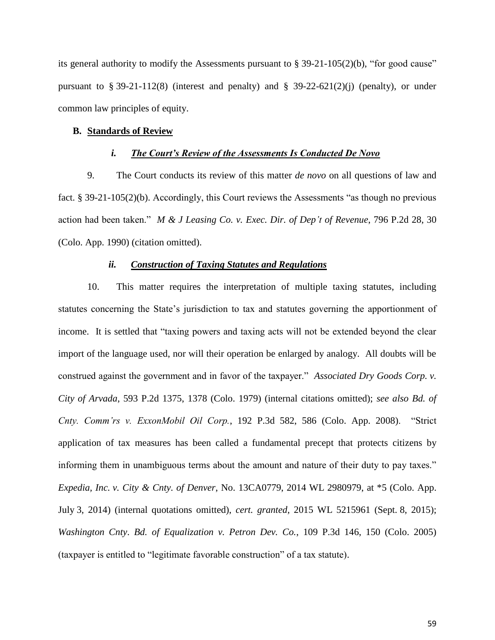its general authority to modify the Assessments pursuant to  $\S 39-21-105(2)(b)$ , "for good cause" pursuant to § 39-21-112(8) (interest and penalty) and § 39-22-621(2)(j) (penalty), or under common law principles of equity.

#### **B. Standards of Review**

## *i. The Court's Review of the Assessments Is Conducted De Novo*

9. The Court conducts its review of this matter *de novo* on all questions of law and fact. § 39-21-105(2)(b). Accordingly, this Court reviews the Assessments "as though no previous action had been taken." *M & J Leasing Co. v. Exec. Dir. of Dep't of Revenue*, 796 P.2d 28, 30 (Colo. App. 1990) (citation omitted).

### *ii. Construction of Taxing Statutes and Regulations*

10. This matter requires the interpretation of multiple taxing statutes, including statutes concerning the State's jurisdiction to tax and statutes governing the apportionment of income. It is settled that "taxing powers and taxing acts will not be extended beyond the clear import of the language used, nor will their operation be enlarged by analogy. All doubts will be construed against the government and in favor of the taxpayer." *Associated Dry Goods Corp. v. City of Arvada*, 593 P.2d 1375, 1378 (Colo. 1979) (internal citations omitted); *see also Bd. of Cnty. Comm'rs v. ExxonMobil Oil Corp.*, 192 P.3d 582, 586 (Colo. App. 2008). "Strict application of tax measures has been called a fundamental precept that protects citizens by informing them in unambiguous terms about the amount and nature of their duty to pay taxes." *Expedia, Inc. v. City & Cnty. of Denver*, No. 13CA0779, 2014 WL 2980979, at \*5 (Colo. App. July 3, 2014) (internal quotations omitted), *cert. granted*, 2015 WL 5215961 (Sept. 8, 2015); *Washington Cnty*. *Bd. of Equalization v. Petron Dev. Co.*, 109 P.3d 146, 150 (Colo. 2005) (taxpayer is entitled to "legitimate favorable construction" of a tax statute).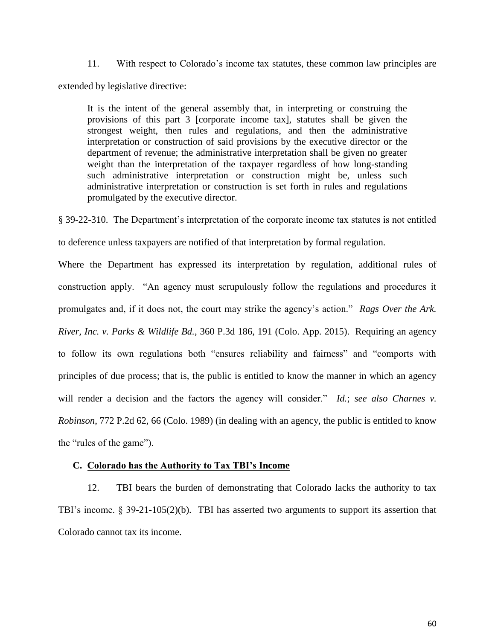11. With respect to Colorado's income tax statutes, these common law principles are extended by legislative directive:

It is the intent of the general assembly that, in interpreting or construing the provisions of this part 3 [corporate income tax], statutes shall be given the strongest weight, then rules and regulations, and then the administrative interpretation or construction of said provisions by the executive director or the department of revenue; the administrative interpretation shall be given no greater weight than the interpretation of the taxpayer regardless of how long-standing such administrative interpretation or construction might be, unless such administrative interpretation or construction is set forth in rules and regulations promulgated by the executive director.

§ 39-22-310. The Department's interpretation of the corporate income tax statutes is not entitled to deference unless taxpayers are notified of that interpretation by formal regulation.

Where the Department has expressed its interpretation by regulation, additional rules of construction apply. "An agency must scrupulously follow the regulations and procedures it promulgates and, if it does not, the court may strike the agency's action." *Rags Over the Ark. River, Inc. v. Parks & Wildlife Bd.*, 360 P.3d 186, 191 (Colo. App. 2015). Requiring an agency to follow its own regulations both "ensures reliability and fairness" and "comports with principles of due process; that is, the public is entitled to know the manner in which an agency will render a decision and the factors the agency will consider." *Id.*; *see also Charnes v. Robinson*, 772 P.2d 62, 66 (Colo. 1989) (in dealing with an agency, the public is entitled to know the "rules of the game").

## **C. Colorado has the Authority to Tax TBI's Income**

12. TBI bears the burden of demonstrating that Colorado lacks the authority to tax TBI's income. § 39-21-105(2)(b). TBI has asserted two arguments to support its assertion that Colorado cannot tax its income.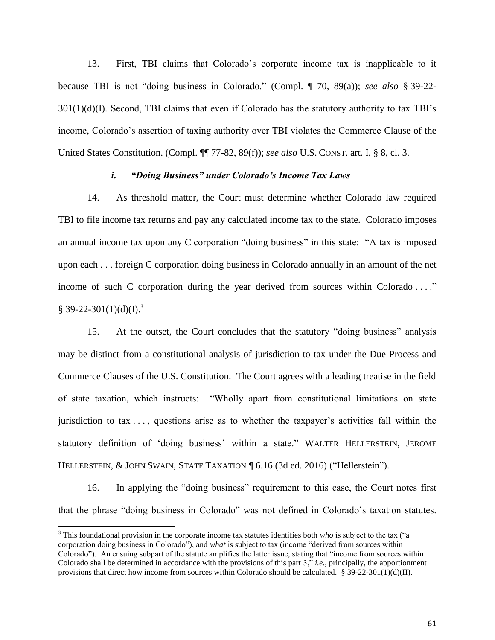13. First, TBI claims that Colorado's corporate income tax is inapplicable to it because TBI is not "doing business in Colorado." (Compl. ¶ 70, 89(a)); *see also* § 39-22-  $301(1)(d)(I)$ . Second, TBI claims that even if Colorado has the statutory authority to tax TBI's income, Colorado's assertion of taxing authority over TBI violates the Commerce Clause of the United States Constitution. (Compl. ¶¶ 77-82, 89(f)); *see also* U.S. CONST. art. I, § 8, cl. 3.

## *i. "Doing Business" under Colorado's Income Tax Laws*

14. As threshold matter, the Court must determine whether Colorado law required TBI to file income tax returns and pay any calculated income tax to the state. Colorado imposes an annual income tax upon any C corporation "doing business" in this state: "A tax is imposed upon each . . . foreign C corporation doing business in Colorado annually in an amount of the net income of such C corporation during the year derived from sources within Colorado ...."  $§$  39-22-301(1)(d)(I).<sup>3</sup>

15. At the outset, the Court concludes that the statutory "doing business" analysis may be distinct from a constitutional analysis of jurisdiction to tax under the Due Process and Commerce Clauses of the U.S. Constitution. The Court agrees with a leading treatise in the field of state taxation, which instructs: "Wholly apart from constitutional limitations on state jurisdiction to tax . . . , questions arise as to whether the taxpayer's activities fall within the statutory definition of 'doing business' within a state." WALTER HELLERSTEIN, JEROME HELLERSTEIN, & JOHN SWAIN, STATE TAXATION ¶ 6.16 (3d ed. 2016) ("Hellerstein").

16. In applying the "doing business" requirement to this case, the Court notes first that the phrase "doing business in Colorado" was not defined in Colorado's taxation statutes.

 $\overline{a}$ 

 $3$  This foundational provision in the corporate income tax statutes identifies both *who* is subject to the tax ("a corporation doing business in Colorado"), and *what* is subject to tax (income "derived from sources within Colorado"). An ensuing subpart of the statute amplifies the latter issue, stating that "income from sources within Colorado shall be determined in accordance with the provisions of this part 3," *i.e.*, principally, the apportionment provisions that direct how income from sources within Colorado should be calculated.  $\S 39-22-301(1)(d)(II)$ .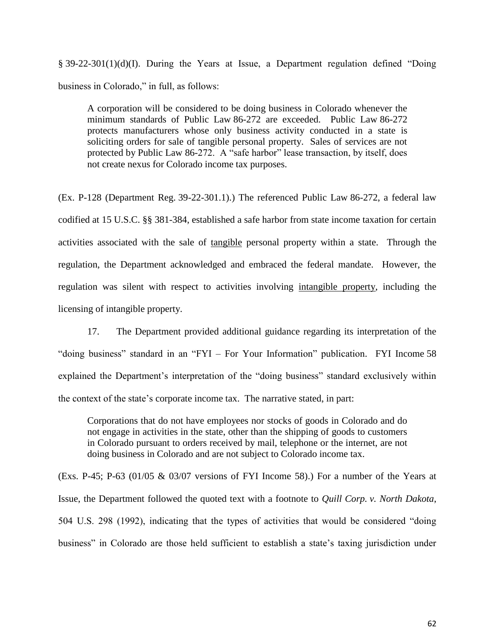§ 39-22-301(1)(d)(I). During the Years at Issue, a Department regulation defined "Doing business in Colorado," in full, as follows:

A corporation will be considered to be doing business in Colorado whenever the minimum standards of Public Law 86-272 are exceeded. Public Law 86-272 protects manufacturers whose only business activity conducted in a state is soliciting orders for sale of tangible personal property. Sales of services are not protected by Public Law 86-272. A "safe harbor" lease transaction, by itself, does not create nexus for Colorado income tax purposes.

(Ex. P-128 (Department Reg. 39-22-301.1).) The referenced Public Law 86-272, a federal law codified at 15 U.S.C. §§ 381-384, established a safe harbor from state income taxation for certain activities associated with the sale of tangible personal property within a state. Through the regulation, the Department acknowledged and embraced the federal mandate. However, the regulation was silent with respect to activities involving intangible property, including the licensing of intangible property.

17. The Department provided additional guidance regarding its interpretation of the "doing business" standard in an "FYI – For Your Information" publication. FYI Income 58 explained the Department's interpretation of the "doing business" standard exclusively within the context of the state's corporate income tax. The narrative stated, in part:

Corporations that do not have employees nor stocks of goods in Colorado and do not engage in activities in the state, other than the shipping of goods to customers in Colorado pursuant to orders received by mail, telephone or the internet, are not doing business in Colorado and are not subject to Colorado income tax.

(Exs. P-45; P-63 (01/05  $\&$  03/07 versions of FYI Income 58).) For a number of the Years at Issue, the Department followed the quoted text with a footnote to *Quill Corp. v. North Dakota*, 504 U.S. 298 (1992), indicating that the types of activities that would be considered "doing business" in Colorado are those held sufficient to establish a state's taxing jurisdiction under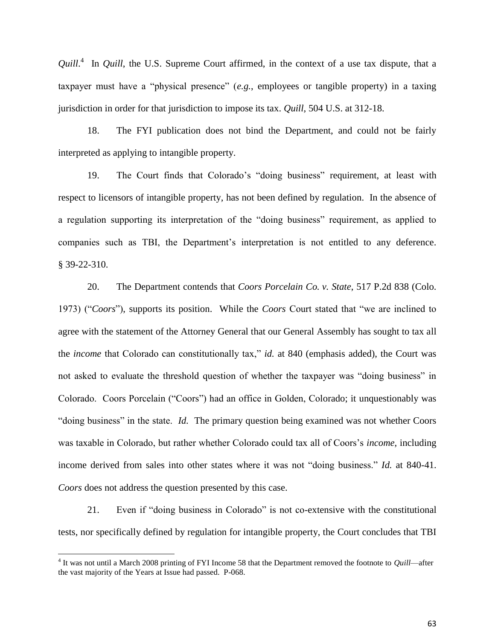*Quill*. 4 In *Quill*, the U.S. Supreme Court affirmed, in the context of a use tax dispute, that a taxpayer must have a "physical presence" (*e.g.*, employees or tangible property) in a taxing jurisdiction in order for that jurisdiction to impose its tax. *Quill*, 504 U.S. at 312-18.

18. The FYI publication does not bind the Department, and could not be fairly interpreted as applying to intangible property.

19. The Court finds that Colorado's "doing business" requirement, at least with respect to licensors of intangible property, has not been defined by regulation. In the absence of a regulation supporting its interpretation of the "doing business" requirement, as applied to companies such as TBI, the Department's interpretation is not entitled to any deference. § 39-22-310.

20. The Department contends that *Coors Porcelain Co. v. State*, 517 P.2d 838 (Colo. 1973) ("*Coors*"), supports its position. While the *Coors* Court stated that "we are inclined to agree with the statement of the Attorney General that our General Assembly has sought to tax all the *income* that Colorado can constitutionally tax," *id.* at 840 (emphasis added), the Court was not asked to evaluate the threshold question of whether the taxpayer was "doing business" in Colorado. Coors Porcelain ("Coors") had an office in Golden, Colorado; it unquestionably was "doing business" in the state. *Id.* The primary question being examined was not whether Coors was taxable in Colorado, but rather whether Colorado could tax all of Coors's *income*, including income derived from sales into other states where it was not "doing business." *Id.* at 840-41. *Coors* does not address the question presented by this case.

21. Even if "doing business in Colorado" is not co-extensive with the constitutional tests, nor specifically defined by regulation for intangible property, the Court concludes that TBI

<sup>4</sup> It was not until a March 2008 printing of FYI Income 58 that the Department removed the footnote to *Quill*—after the vast majority of the Years at Issue had passed. P-068.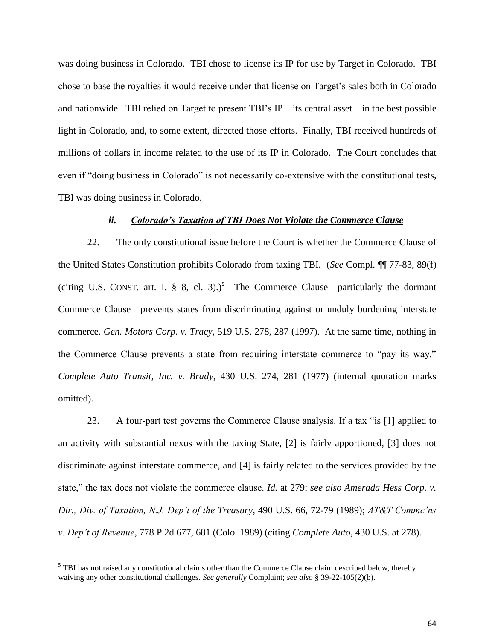was doing business in Colorado. TBI chose to license its IP for use by Target in Colorado. TBI chose to base the royalties it would receive under that license on Target's sales both in Colorado and nationwide. TBI relied on Target to present TBI's IP—its central asset—in the best possible light in Colorado, and, to some extent, directed those efforts. Finally, TBI received hundreds of millions of dollars in income related to the use of its IP in Colorado. The Court concludes that even if "doing business in Colorado" is not necessarily co-extensive with the constitutional tests, TBI was doing business in Colorado.

## *ii. Colorado's Taxation of TBI Does Not Violate the Commerce Clause*

22. The only constitutional issue before the Court is whether the Commerce Clause of the United States Constitution prohibits Colorado from taxing TBI. (*See* Compl. ¶¶ 77-83, 89(f) (citing U.S. CONST. art. I,  $\S$  8, cl. 3).)<sup>5</sup> The Commerce Clause—particularly the dormant Commerce Clause—prevents states from discriminating against or unduly burdening interstate commerce. *Gen. Motors Corp. v. Tracy*, 519 U.S. 278, 287 (1997). At the same time, nothing in the Commerce Clause prevents a state from requiring interstate commerce to "pay its way." *Complete Auto Transit, Inc. v. Brady*, 430 U.S. 274, 281 (1977) (internal quotation marks omitted).

23. A four-part test governs the Commerce Clause analysis. If a tax "is [1] applied to an activity with substantial nexus with the taxing State, [2] is fairly apportioned, [3] does not discriminate against interstate commerce, and [4] is fairly related to the services provided by the state," the tax does not violate the commerce clause. *Id.* at 279; *see also Amerada Hess Corp. v. Dir., Div. of Taxation, N.J. Dep't of the Treasury*, 490 U.S. 66, 72-79 (1989); *AT&T Commc'ns v. Dep't of Revenue*, 778 P.2d 677, 681 (Colo. 1989) (citing *Complete Auto*, 430 U.S. at 278).

 $<sup>5</sup>$  TBI has not raised any constitutional claims other than the Commerce Clause claim described below, thereby</sup> waiving any other constitutional challenges. *See generally* Complaint; *see also* § 39-22-105(2)(b).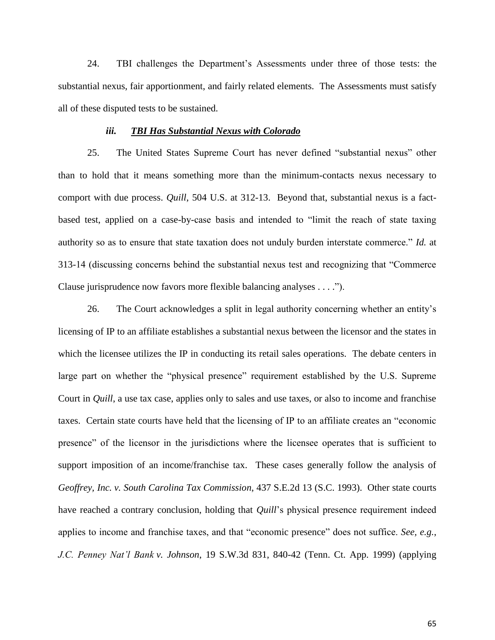24. TBI challenges the Department's Assessments under three of those tests: the substantial nexus, fair apportionment, and fairly related elements. The Assessments must satisfy all of these disputed tests to be sustained.

#### *iii. TBI Has Substantial Nexus with Colorado*

25. The United States Supreme Court has never defined "substantial nexus" other than to hold that it means something more than the minimum-contacts nexus necessary to comport with due process. *Quill*, 504 U.S. at 312-13. Beyond that, substantial nexus is a factbased test, applied on a case-by-case basis and intended to "limit the reach of state taxing authority so as to ensure that state taxation does not unduly burden interstate commerce." *Id.* at 313-14 (discussing concerns behind the substantial nexus test and recognizing that "Commerce Clause jurisprudence now favors more flexible balancing analyses . . . .").

26. The Court acknowledges a split in legal authority concerning whether an entity's licensing of IP to an affiliate establishes a substantial nexus between the licensor and the states in which the licensee utilizes the IP in conducting its retail sales operations. The debate centers in large part on whether the "physical presence" requirement established by the U.S. Supreme Court in *Quill*, a use tax case, applies only to sales and use taxes, or also to income and franchise taxes. Certain state courts have held that the licensing of IP to an affiliate creates an "economic presence" of the licensor in the jurisdictions where the licensee operates that is sufficient to support imposition of an income/franchise tax. These cases generally follow the analysis of *Geoffrey, Inc. v. South Carolina Tax Commission*, 437 S.E.2d 13 (S.C. 1993). Other state courts have reached a contrary conclusion, holding that *Quill*'s physical presence requirement indeed applies to income and franchise taxes, and that "economic presence" does not suffice. *See, e.g.*, *J.C. Penney Nat'l Bank v. Johnson*, 19 S.W.3d 831, 840-42 (Tenn. Ct. App. 1999) (applying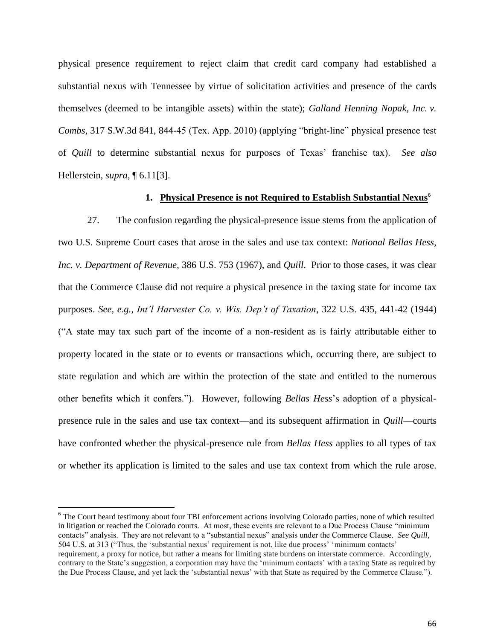physical presence requirement to reject claim that credit card company had established a substantial nexus with Tennessee by virtue of solicitation activities and presence of the cards themselves (deemed to be intangible assets) within the state); *Galland Henning Nopak, Inc. v. Combs*, 317 S.W.3d 841, 844-45 (Tex. App. 2010) (applying "bright-line" physical presence test of *Quill* to determine substantial nexus for purposes of Texas' franchise tax). *See also* Hellerstein, *supra*, ¶ 6.11[3].

## **1. Physical Presence is not Required to Establish Substantial Nexus**<sup>6</sup>

27. The confusion regarding the physical-presence issue stems from the application of two U.S. Supreme Court cases that arose in the sales and use tax context: *National Bellas Hess, Inc. v. Department of Revenue*, 386 U.S. 753 (1967), and *Quill*. Prior to those cases, it was clear that the Commerce Clause did not require a physical presence in the taxing state for income tax purposes. *See, e.g.*, *Int'l Harvester Co. v. Wis. Dep't of Taxation*, 322 U.S. 435, 441-42 (1944) ("A state may tax such part of the income of a non-resident as is fairly attributable either to property located in the state or to events or transactions which, occurring there, are subject to state regulation and which are within the protection of the state and entitled to the numerous other benefits which it confers."). However, following *Bellas Hess*'s adoption of a physicalpresence rule in the sales and use tax context—and its subsequent affirmation in *Quill*—courts have confronted whether the physical-presence rule from *Bellas Hess* applies to all types of tax or whether its application is limited to the sales and use tax context from which the rule arose.

<sup>&</sup>lt;sup>6</sup> The Court heard testimony about four TBI enforcement actions involving Colorado parties, none of which resulted in litigation or reached the Colorado courts. At most, these events are relevant to a Due Process Clause "minimum contacts" analysis. They are not relevant to a "substantial nexus" analysis under the Commerce Clause. *See Quill*, 504 U.S. at 313 ("Thus, the 'substantial nexus' requirement is not, like due process' 'minimum contacts' requirement, a proxy for notice, but rather a means for limiting state burdens on interstate commerce. Accordingly, contrary to the State's suggestion, a corporation may have the 'minimum contacts' with a taxing State as required by the Due Process Clause, and yet lack the 'substantial nexus' with that State as required by the Commerce Clause.").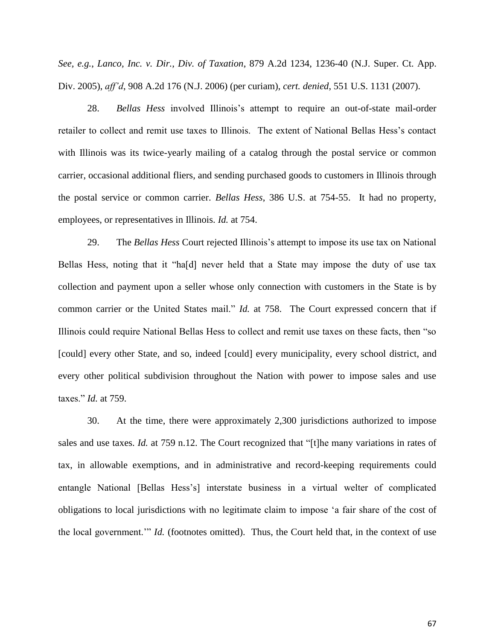*See, e.g.*, *Lanco, Inc. v. Dir., Div. of Taxation*, 879 A.2d 1234, 1236-40 (N.J. Super. Ct. App. Div. 2005), *aff'd*, 908 A.2d 176 (N.J. 2006) (per curiam), *cert. denied*, 551 U.S. 1131 (2007).

28. *Bellas Hess* involved Illinois's attempt to require an out-of-state mail-order retailer to collect and remit use taxes to Illinois. The extent of National Bellas Hess's contact with Illinois was its twice-yearly mailing of a catalog through the postal service or common carrier, occasional additional fliers, and sending purchased goods to customers in Illinois through the postal service or common carrier. *Bellas Hess*, 386 U.S. at 754-55. It had no property, employees, or representatives in Illinois. *Id.* at 754.

29. The *Bellas Hess* Court rejected Illinois's attempt to impose its use tax on National Bellas Hess, noting that it "ha[d] never held that a State may impose the duty of use tax collection and payment upon a seller whose only connection with customers in the State is by common carrier or the United States mail." *Id.* at 758. The Court expressed concern that if Illinois could require National Bellas Hess to collect and remit use taxes on these facts, then "so [could] every other State, and so, indeed [could] every municipality, every school district, and every other political subdivision throughout the Nation with power to impose sales and use taxes." *Id.* at 759.

30. At the time, there were approximately 2,300 jurisdictions authorized to impose sales and use taxes. *Id.* at 759 n.12. The Court recognized that "[t]he many variations in rates of tax, in allowable exemptions, and in administrative and record-keeping requirements could entangle National [Bellas Hess's] interstate business in a virtual welter of complicated obligations to local jurisdictions with no legitimate claim to impose 'a fair share of the cost of the local government.'" *Id.* (footnotes omitted). Thus, the Court held that, in the context of use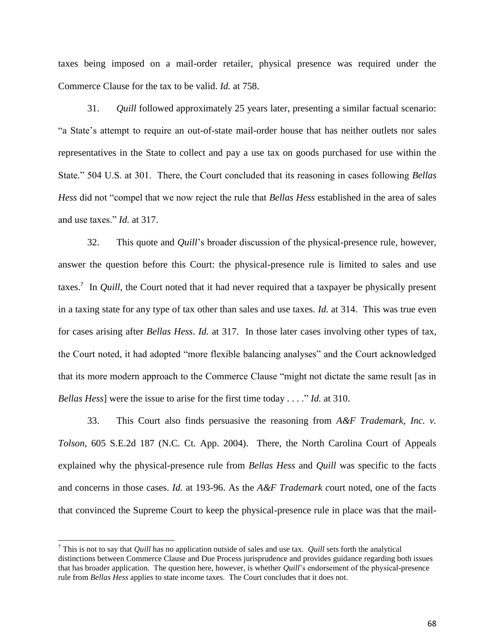taxes being imposed on a mail-order retailer, physical presence was required under the Commerce Clause for the tax to be valid. *Id.* at 758.

31. *Quill* followed approximately 25 years later, presenting a similar factual scenario: "a State's attempt to require an out-of-state mail-order house that has neither outlets nor sales representatives in the State to collect and pay a use tax on goods purchased for use within the State." 504 U.S. at 301. There, the Court concluded that its reasoning in cases following *Bellas Hess* did not "compel that we now reject the rule that *Bellas Hess* established in the area of sales and use taxes." *Id.* at 317.

32. This quote and *Quill*'s broader discussion of the physical-presence rule, however, answer the question before this Court: the physical-presence rule is limited to sales and use taxes.<sup>7</sup> In *Quill*, the Court noted that it had never required that a taxpayer be physically present in a taxing state for any type of tax other than sales and use taxes. *Id.* at 314. This was true even for cases arising after *Bellas Hess*. *Id.* at 317. In those later cases involving other types of tax, the Court noted, it had adopted "more flexible balancing analyses" and the Court acknowledged that its more modern approach to the Commerce Clause "might not dictate the same result [as in *Bellas Hess*] were the issue to arise for the first time today . . . ." *Id.* at 310.

33. This Court also finds persuasive the reasoning from *A&F Trademark, Inc. v. Tolson*, 605 S.E.2d 187 (N.C. Ct. App. 2004). There, the North Carolina Court of Appeals explained why the physical-presence rule from *Bellas Hess* and *Quill* was specific to the facts and concerns in those cases. *Id.* at 193-96. As the *A&F Trademark c*ourt noted, one of the facts that convinced the Supreme Court to keep the physical-presence rule in place was that the mail-

<sup>7</sup> This is not to say that *Quill* has no application outside of sales and use tax. *Quill* sets forth the analytical distinctions between Commerce Clause and Due Process jurisprudence and provides guidance regarding both issues that has broader application. The question here, however, is whether *Quill*'s endorsement of the physical-presence rule from *Bellas Hess* applies to state income taxes. The Court concludes that it does not.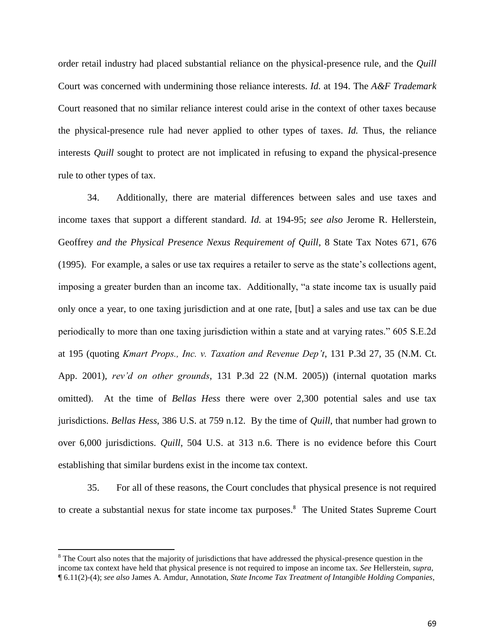order retail industry had placed substantial reliance on the physical-presence rule, and the *Quill* Court was concerned with undermining those reliance interests. *Id.* at 194. The *A&F Trademark* Court reasoned that no similar reliance interest could arise in the context of other taxes because the physical-presence rule had never applied to other types of taxes. *Id.* Thus, the reliance interests *Quill* sought to protect are not implicated in refusing to expand the physical-presence rule to other types of tax.

34. Additionally, there are material differences between sales and use taxes and income taxes that support a different standard. *Id.* at 194-95; *see also* Jerome R. Hellerstein, Geoffrey *and the Physical Presence Nexus Requirement of Quill*, 8 State Tax Notes 671, 676 (1995). For example, a sales or use tax requires a retailer to serve as the state's collections agent, imposing a greater burden than an income tax. Additionally, "a state income tax is usually paid only once a year, to one taxing jurisdiction and at one rate, [but] a sales and use tax can be due periodically to more than one taxing jurisdiction within a state and at varying rates." 605 S.E.2d at 195 (quoting *Kmart Props., Inc. v. Taxation and Revenue Dep't*, 131 P.3d 27, 35 (N.M. Ct. App. 2001), *rev'd on other grounds*, 131 P.3d 22 (N.M. 2005)) (internal quotation marks omitted). At the time of *Bellas Hess* there were over 2,300 potential sales and use tax jurisdictions. *Bellas Hess*, 386 U.S. at 759 n.12. By the time of *Quill*, that number had grown to over 6,000 jurisdictions. *Quill*, 504 U.S. at 313 n.6. There is no evidence before this Court establishing that similar burdens exist in the income tax context.

35. For all of these reasons, the Court concludes that physical presence is not required to create a substantial nexus for state income tax purposes.<sup>8</sup> The United States Supreme Court

<sup>&</sup>lt;sup>8</sup> The Court also notes that the majority of jurisdictions that have addressed the physical-presence question in the income tax context have held that physical presence is not required to impose an income tax. *See* Hellerstein, *supra*, ¶ 6.11(2)-(4); *see also* James A. Amdur, Annotation, *State Income Tax Treatment of Intangible Holding Companies*,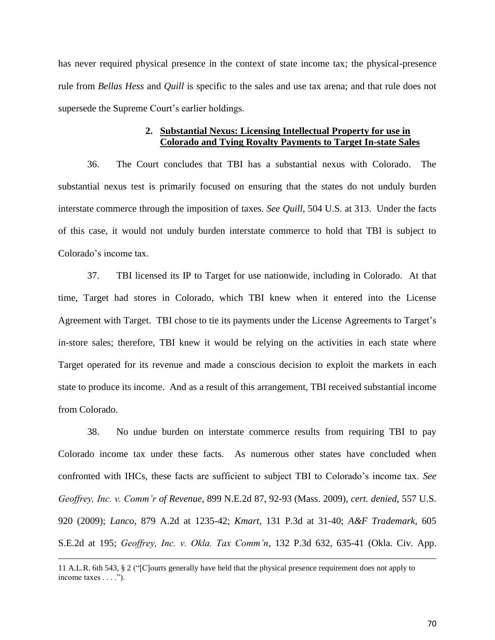has never required physical presence in the context of state income tax; the physical-presence rule from *Bellas Hess* and *Quill* is specific to the sales and use tax arena; and that rule does not supersede the Supreme Court's earlier holdings.

# **2. Substantial Nexus: Licensing Intellectual Property for use in Colorado and Tying Royalty Payments to Target In-state Sales**

36. The Court concludes that TBI has a substantial nexus with Colorado. The substantial nexus test is primarily focused on ensuring that the states do not unduly burden interstate commerce through the imposition of taxes. *See Quill*, 504 U.S. at 313. Under the facts of this case, it would not unduly burden interstate commerce to hold that TBI is subject to Colorado's income tax.

37. TBI licensed its IP to Target for use nationwide, including in Colorado. At that time, Target had stores in Colorado, which TBI knew when it entered into the License Agreement with Target. TBI chose to tie its payments under the License Agreements to Target's in-store sales; therefore, TBI knew it would be relying on the activities in each state where Target operated for its revenue and made a conscious decision to exploit the markets in each state to produce its income. And as a result of this arrangement, TBI received substantial income from Colorado.

38. No undue burden on interstate commerce results from requiring TBI to pay Colorado income tax under these facts. As numerous other states have concluded when confronted with IHCs, these facts are sufficient to subject TBI to Colorado's income tax. *See Geoffrey, Inc. v. Comm'r of Revenue*, 899 N.E.2d 87, 92-93 (Mass. 2009), *cert. denied*, 557 U.S. 920 (2009); *Lanco*, 879 A.2d at 1235-42; *Kmart*, 131 P.3d at 31-40; *A&F Trademark*, 605 S.E.2d at 195; *Geoffrey, Inc. v. Okla. Tax Comm'n*, 132 P.3d 632, 635-41 (Okla. Civ. App.

<sup>11</sup> A.L.R. 6th 543, § 2 ("[C]ourts generally have held that the physical presence requirement does not apply to income taxes . . . .").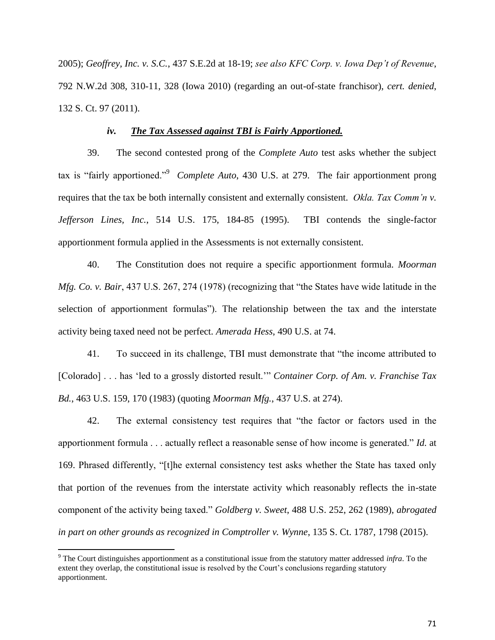2005); *Geoffrey, Inc. v. S.C.*, 437 S.E.2d at 18-19; *see also KFC Corp. v. Iowa Dep't of Revenue*, 792 N.W.2d 308, 310-11, 328 (Iowa 2010) (regarding an out-of-state franchisor), *cert. denied*, 132 S. Ct. 97 (2011).

## *iv. The Tax Assessed against TBI is Fairly Apportioned.*

39. The second contested prong of the *Complete Auto* test asks whether the subject tax is "fairly apportioned."<sup>9</sup> *Complete Auto*, 430 U.S. at 279. The fair apportionment prong requires that the tax be both internally consistent and externally consistent. *Okla. Tax Comm'n v. Jefferson Lines, Inc.*, 514 U.S. 175, 184-85 (1995). TBI contends the single-factor apportionment formula applied in the Assessments is not externally consistent.

40. The Constitution does not require a specific apportionment formula. *Moorman Mfg. Co. v. Bair*, 437 U.S. 267, 274 (1978) (recognizing that "the States have wide latitude in the selection of apportionment formulas"). The relationship between the tax and the interstate activity being taxed need not be perfect. *Amerada Hess*, 490 U.S. at 74.

41. To succeed in its challenge, TBI must demonstrate that "the income attributed to [Colorado] . . . has 'led to a grossly distorted result.'" *Container Corp. of Am. v. Franchise Tax Bd.*, 463 U.S. 159, 170 (1983) (quoting *Moorman Mfg.*, 437 U.S. at 274).

42. The external consistency test requires that "the factor or factors used in the apportionment formula . . . actually reflect a reasonable sense of how income is generated." *Id.* at 169. Phrased differently, "[t]he external consistency test asks whether the State has taxed only that portion of the revenues from the interstate activity which reasonably reflects the in-state component of the activity being taxed." *Goldberg v. Sweet*, 488 U.S. 252, 262 (1989), *abrogated in part on other grounds as recognized in Comptroller v. Wynne*, 135 S. Ct. 1787, 1798 (2015).

<sup>9</sup> The Court distinguishes apportionment as a constitutional issue from the statutory matter addressed *infra*. To the extent they overlap, the constitutional issue is resolved by the Court's conclusions regarding statutory apportionment.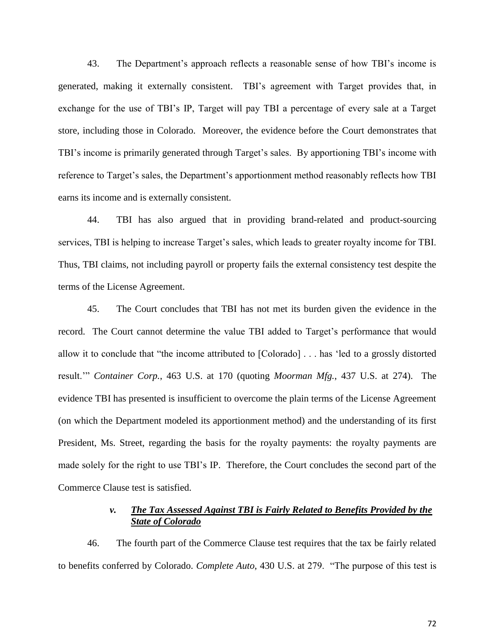43. The Department's approach reflects a reasonable sense of how TBI's income is generated, making it externally consistent. TBI's agreement with Target provides that, in exchange for the use of TBI's IP, Target will pay TBI a percentage of every sale at a Target store, including those in Colorado. Moreover, the evidence before the Court demonstrates that TBI's income is primarily generated through Target's sales. By apportioning TBI's income with reference to Target's sales, the Department's apportionment method reasonably reflects how TBI earns its income and is externally consistent.

44. TBI has also argued that in providing brand-related and product-sourcing services, TBI is helping to increase Target's sales, which leads to greater royalty income for TBI. Thus, TBI claims, not including payroll or property fails the external consistency test despite the terms of the License Agreement.

45. The Court concludes that TBI has not met its burden given the evidence in the record. The Court cannot determine the value TBI added to Target's performance that would allow it to conclude that "the income attributed to [Colorado] . . . has 'led to a grossly distorted result.'" *Container Corp.*, 463 U.S. at 170 (quoting *Moorman Mfg.*, 437 U.S. at 274). The evidence TBI has presented is insufficient to overcome the plain terms of the License Agreement (on which the Department modeled its apportionment method) and the understanding of its first President, Ms. Street, regarding the basis for the royalty payments: the royalty payments are made solely for the right to use TBI's IP. Therefore, the Court concludes the second part of the Commerce Clause test is satisfied.

# *v. The Tax Assessed Against TBI is Fairly Related to Benefits Provided by the State of Colorado*

46. The fourth part of the Commerce Clause test requires that the tax be fairly related to benefits conferred by Colorado. *Complete Auto*, 430 U.S. at 279. "The purpose of this test is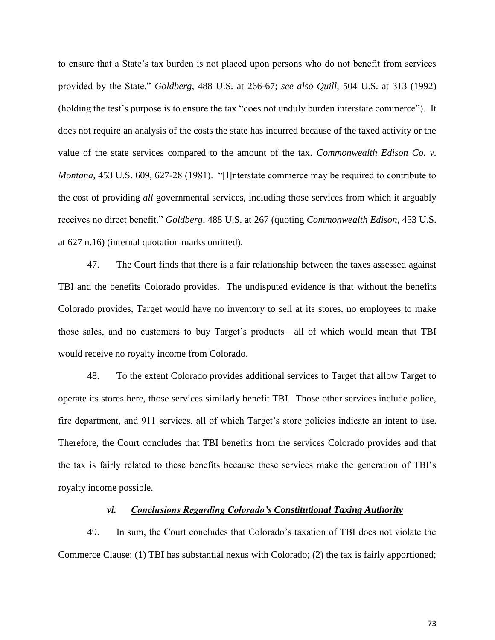to ensure that a State's tax burden is not placed upon persons who do not benefit from services provided by the State." *Goldberg*, 488 U.S. at 266-67; *see also Quill*, 504 U.S. at 313 (1992) (holding the test's purpose is to ensure the tax "does not unduly burden interstate commerce"). It does not require an analysis of the costs the state has incurred because of the taxed activity or the value of the state services compared to the amount of the tax. *Commonwealth Edison Co. v. Montana*, 453 U.S. 609, 627-28 (1981). "[I]nterstate commerce may be required to contribute to the cost of providing *all* governmental services, including those services from which it arguably receives no direct benefit." *Goldberg*, 488 U.S. at 267 (quoting *Commonwealth Edison*, 453 U.S. at 627 n.16) (internal quotation marks omitted).

47. The Court finds that there is a fair relationship between the taxes assessed against TBI and the benefits Colorado provides. The undisputed evidence is that without the benefits Colorado provides, Target would have no inventory to sell at its stores, no employees to make those sales, and no customers to buy Target's products—all of which would mean that TBI would receive no royalty income from Colorado.

48. To the extent Colorado provides additional services to Target that allow Target to operate its stores here, those services similarly benefit TBI. Those other services include police, fire department, and 911 services, all of which Target's store policies indicate an intent to use. Therefore, the Court concludes that TBI benefits from the services Colorado provides and that the tax is fairly related to these benefits because these services make the generation of TBI's royalty income possible.

### *vi. Conclusions Regarding Colorado's Constitutional Taxing Authority*

49. In sum, the Court concludes that Colorado's taxation of TBI does not violate the Commerce Clause: (1) TBI has substantial nexus with Colorado; (2) the tax is fairly apportioned;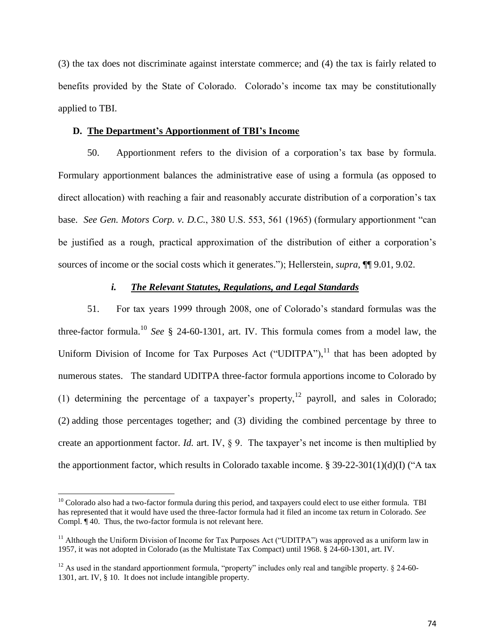(3) the tax does not discriminate against interstate commerce; and (4) the tax is fairly related to benefits provided by the State of Colorado. Colorado's income tax may be constitutionally applied to TBI.

### **D. The Department's Apportionment of TBI's Income**

50. Apportionment refers to the division of a corporation's tax base by formula. Formulary apportionment balances the administrative ease of using a formula (as opposed to direct allocation) with reaching a fair and reasonably accurate distribution of a corporation's tax base. *See Gen. Motors Corp. v. D.C.*, 380 U.S. 553, 561 (1965) (formulary apportionment "can be justified as a rough, practical approximation of the distribution of either a corporation's sources of income or the social costs which it generates."); Hellerstein, *supra*, ¶¶ 9.01, 9.02.

# *i. The Relevant Statutes, Regulations, and Legal Standards*

51. For tax years 1999 through 2008, one of Colorado's standard formulas was the three-factor formula.<sup>10</sup> *See* § 24-60-1301, art. IV. This formula comes from a model law, the Uniform Division of Income for Tax Purposes Act ("UDITPA"), $^{11}$  that has been adopted by numerous states. The standard UDITPA three-factor formula apportions income to Colorado by (1) determining the percentage of a taxpayer's property,<sup>12</sup> payroll, and sales in Colorado; (2) adding those percentages together; and (3) dividing the combined percentage by three to create an apportionment factor. *Id.* art. IV, § 9. The taxpayer's net income is then multiplied by the apportionment factor, which results in Colorado taxable income. § 39-22-301(1)(d)(I) ("A tax

 $\overline{\phantom{a}}$ 

 $10$  Colorado also had a two-factor formula during this period, and taxpayers could elect to use either formula. TBI has represented that it would have used the three-factor formula had it filed an income tax return in Colorado. *See* Compl. ¶ 40. Thus, the two-factor formula is not relevant here.

<sup>&</sup>lt;sup>11</sup> Although the Uniform Division of Income for Tax Purposes Act ("UDITPA") was approved as a uniform law in 1957, it was not adopted in Colorado (as the Multistate Tax Compact) until 1968. § 24-60-1301, art. IV.

<sup>&</sup>lt;sup>12</sup> As used in the standard apportionment formula, "property" includes only real and tangible property.  $\S$  24-60-1301, art. IV, § 10. It does not include intangible property.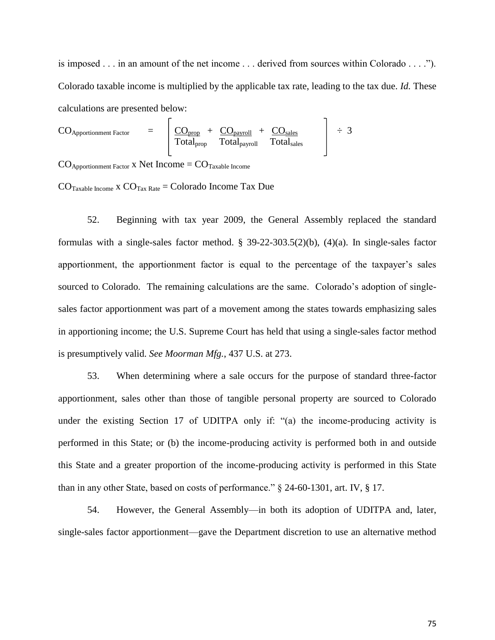is imposed . . . in an amount of the net income . . . derived from sources within Colorado . . . ."). Colorado taxable income is multiplied by the applicable tax rate, leading to the tax due. *Id.* These calculations are presented below:

$$
CO_{Approxionment Factor}
$$
 =  $\frac{CO_{prop}}{Total_{prop}} + \frac{CO_{payroll}}{Total_{payroll}} + \frac{CO_{sales}}{Total_{sales}}$   $\div 3$ 

 $CO_{\text{Apportionment Factor}}$  x Net Income =  $CO_{\text{Taxable Income}}$ 

 $CO$ <sub>Taxable Income</sub> x  $CO$ <sub>Tax Rate</sub> = Colorado Income Tax Due

52. Beginning with tax year 2009, the General Assembly replaced the standard formulas with a single-sales factor method. § 39-22-303.5(2)(b), (4)(a). In single-sales factor apportionment, the apportionment factor is equal to the percentage of the taxpayer's sales sourced to Colorado. The remaining calculations are the same. Colorado's adoption of singlesales factor apportionment was part of a movement among the states towards emphasizing sales in apportioning income; the U.S. Supreme Court has held that using a single-sales factor method is presumptively valid. *See Moorman Mfg.*, 437 U.S. at 273.

53. When determining where a sale occurs for the purpose of standard three-factor apportionment, sales other than those of tangible personal property are sourced to Colorado under the existing Section 17 of UDITPA only if: "(a) the income-producing activity is performed in this State; or (b) the income-producing activity is performed both in and outside this State and a greater proportion of the income-producing activity is performed in this State than in any other State, based on costs of performance." § 24-60-1301, art. IV, § 17.

54. However, the General Assembly—in both its adoption of UDITPA and, later, single-sales factor apportionment—gave the Department discretion to use an alternative method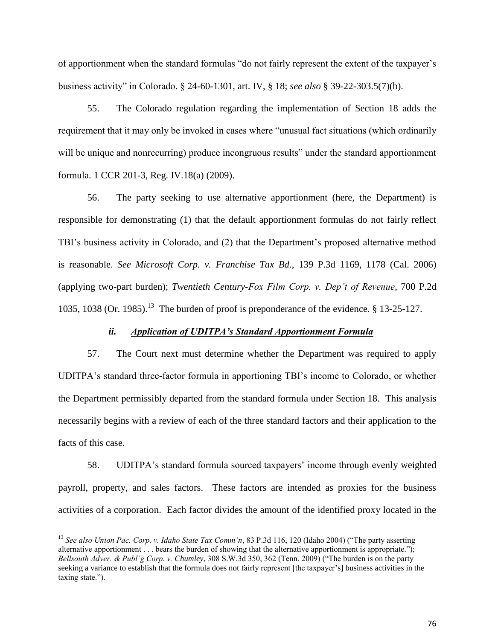of apportionment when the standard formulas "do not fairly represent the extent of the taxpayer's business activity" in Colorado. § 24-60-1301, art. IV, § 18; *see also* § 39-22-303.5(7)(b).

55. The Colorado regulation regarding the implementation of Section 18 adds the requirement that it may only be invoked in cases where "unusual fact situations (which ordinarily will be unique and nonrecurring) produce incongruous results" under the standard apportionment formula. 1 CCR 201-3, Reg. IV.18(a) (2009).

56. The party seeking to use alternative apportionment (here, the Department) is responsible for demonstrating (1) that the default apportionment formulas do not fairly reflect TBI's business activity in Colorado, and (2) that the Department's proposed alternative method is reasonable. *See Microsoft Corp. v. Franchise Tax Bd.*, 139 P.3d 1169, 1178 (Cal. 2006) (applying two-part burden); *Twentieth Century-Fox Film Corp. v. Dep't of Revenue*, 700 P.2d 1035, 1038 (Or. 1985).<sup>13</sup> The burden of proof is preponderance of the evidence.  $\S$  13-25-127.

### *ii. Application of UDITPA's Standard Apportionment Formula*

57. The Court next must determine whether the Department was required to apply UDITPA's standard three-factor formula in apportioning TBI's income to Colorado, or whether the Department permissibly departed from the standard formula under Section 18. This analysis necessarily begins with a review of each of the three standard factors and their application to the facts of this case.

58. UDITPA's standard formula sourced taxpayers' income through evenly weighted payroll, property, and sales factors. These factors are intended as proxies for the business activities of a corporation. Each factor divides the amount of the identified proxy located in the

 $\overline{a}$ 

<sup>13</sup> *See also Union Pac. Corp. v. Idaho State Tax Comm'n*, 83 P.3d 116, 120 (Idaho 2004) ("The party asserting alternative apportionment . . . bears the burden of showing that the alternative apportionment is appropriate."); *Bellsouth Adver. & Publ'g Corp. v. Chumley*, 308 S.W.3d 350, 362 (Tenn. 2009) ("The burden is on the party seeking a variance to establish that the formula does not fairly represent [the taxpayer's] business activities in the taxing state.").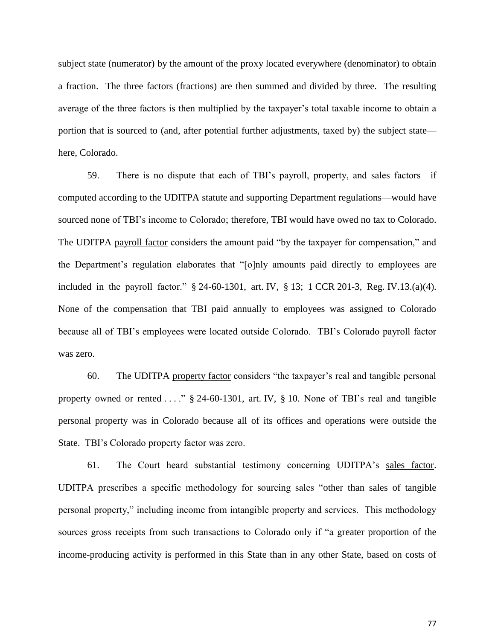subject state (numerator) by the amount of the proxy located everywhere (denominator) to obtain a fraction. The three factors (fractions) are then summed and divided by three. The resulting average of the three factors is then multiplied by the taxpayer's total taxable income to obtain a portion that is sourced to (and, after potential further adjustments, taxed by) the subject state here, Colorado.

59. There is no dispute that each of TBI's payroll, property, and sales factors—if computed according to the UDITPA statute and supporting Department regulations—would have sourced none of TBI's income to Colorado; therefore, TBI would have owed no tax to Colorado. The UDITPA payroll factor considers the amount paid "by the taxpayer for compensation," and the Department's regulation elaborates that "[o]nly amounts paid directly to employees are included in the payroll factor." § 24-60-1301, art. IV, § 13; 1 CCR 201-3, Reg. IV.13.(a)(4). None of the compensation that TBI paid annually to employees was assigned to Colorado because all of TBI's employees were located outside Colorado. TBI's Colorado payroll factor was zero.

60. The UDITPA property factor considers "the taxpayer's real and tangible personal property owned or rented . . . ." § 24-60-1301, art. IV, § 10. None of TBI's real and tangible personal property was in Colorado because all of its offices and operations were outside the State. TBI's Colorado property factor was zero.

61. The Court heard substantial testimony concerning UDITPA's sales factor. UDITPA prescribes a specific methodology for sourcing sales "other than sales of tangible personal property," including income from intangible property and services. This methodology sources gross receipts from such transactions to Colorado only if "a greater proportion of the income-producing activity is performed in this State than in any other State, based on costs of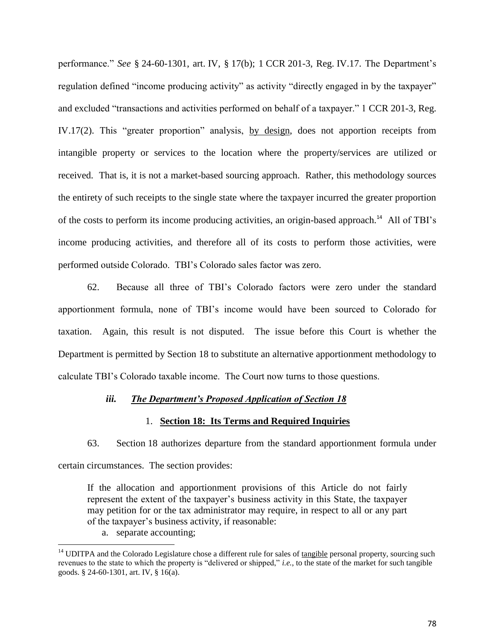performance." *See* § 24-60-1301, art. IV, § 17(b); 1 CCR 201-3, Reg. IV.17. The Department's regulation defined "income producing activity" as activity "directly engaged in by the taxpayer" and excluded "transactions and activities performed on behalf of a taxpayer." 1 CCR 201-3, Reg. IV.17(2). This "greater proportion" analysis, by design, does not apportion receipts from intangible property or services to the location where the property/services are utilized or received. That is, it is not a market-based sourcing approach. Rather, this methodology sources the entirety of such receipts to the single state where the taxpayer incurred the greater proportion of the costs to perform its income producing activities, an origin-based approach.<sup>14</sup> All of TBI's income producing activities, and therefore all of its costs to perform those activities, were performed outside Colorado. TBI's Colorado sales factor was zero.

62. Because all three of TBI's Colorado factors were zero under the standard apportionment formula, none of TBI's income would have been sourced to Colorado for taxation. Again, this result is not disputed. The issue before this Court is whether the Department is permitted by Section 18 to substitute an alternative apportionment methodology to calculate TBI's Colorado taxable income. The Court now turns to those questions.

### *iii. The Department's Proposed Application of Section 18*

### 1. **Section 18: Its Terms and Required Inquiries**

63. Section 18 authorizes departure from the standard apportionment formula under certain circumstances. The section provides:

If the allocation and apportionment provisions of this Article do not fairly represent the extent of the taxpayer's business activity in this State, the taxpayer may petition for or the tax administrator may require, in respect to all or any part of the taxpayer's business activity, if reasonable:

a. separate accounting;

 $\overline{\phantom{a}}$ 

 $14$  UDITPA and the Colorado Legislature chose a different rule for sales of tangible personal property, sourcing such revenues to the state to which the property is "delivered or shipped," *i.e.*, to the state of the market for such tangible goods. § 24-60-1301, art. IV, § 16(a).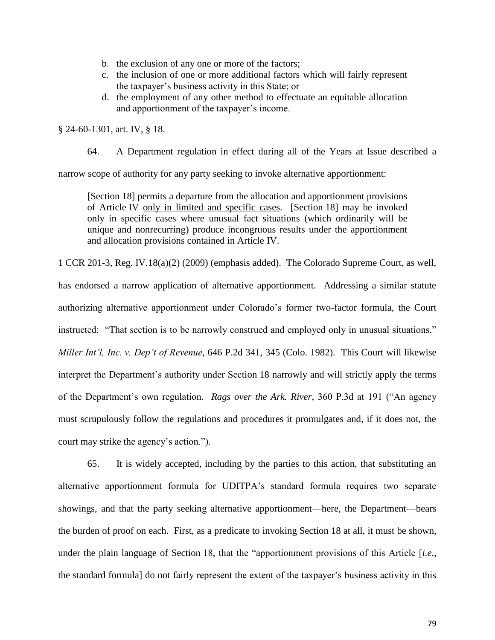- b. the exclusion of any one or more of the factors;
- c. the inclusion of one or more additional factors which will fairly represent the taxpayer's business activity in this State; or
- d. the employment of any other method to effectuate an equitable allocation and apportionment of the taxpayer's income.

§ 24-60-1301, art. IV, § 18.

64. A Department regulation in effect during all of the Years at Issue described a

narrow scope of authority for any party seeking to invoke alternative apportionment:

[Section 18] permits a departure from the allocation and apportionment provisions of Article IV only in limited and specific cases. [Section 18] may be invoked only in specific cases where unusual fact situations (which ordinarily will be unique and nonrecurring) produce incongruous results under the apportionment and allocation provisions contained in Article IV.

1 CCR 201-3, Reg. IV.18(a)(2) (2009) (emphasis added). The Colorado Supreme Court, as well, has endorsed a narrow application of alternative apportionment. Addressing a similar statute authorizing alternative apportionment under Colorado's former two-factor formula, the Court instructed: "That section is to be narrowly construed and employed only in unusual situations." *Miller Int'l, Inc. v. Dep't of Revenue*, 646 P.2d 341, 345 (Colo. 1982). This Court will likewise interpret the Department's authority under Section 18 narrowly and will strictly apply the terms of the Department's own regulation. *Rags over the Ark. River*, 360 P.3d at 191 ("An agency must scrupulously follow the regulations and procedures it promulgates and, if it does not, the court may strike the agency's action.").

65. It is widely accepted, including by the parties to this action, that substituting an alternative apportionment formula for UDITPA's standard formula requires two separate showings, and that the party seeking alternative apportionment—here, the Department—bears the burden of proof on each. First, as a predicate to invoking Section 18 at all, it must be shown, under the plain language of Section 18, that the "apportionment provisions of this Article [*i.e.*, the standard formula] do not fairly represent the extent of the taxpayer's business activity in this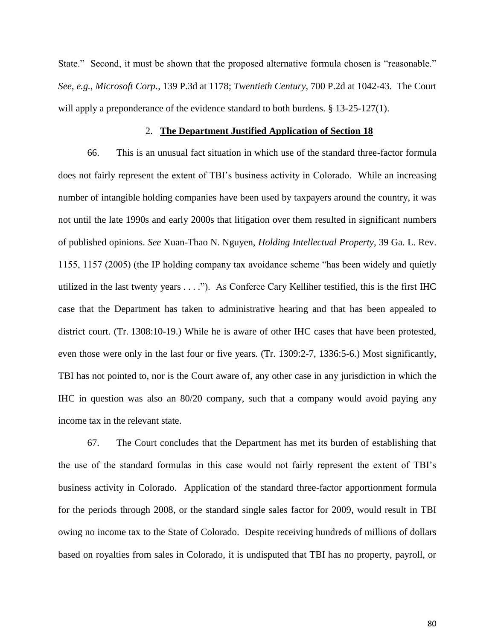State." Second, it must be shown that the proposed alternative formula chosen is "reasonable." *See, e.g.*, *Microsoft Corp.*, 139 P.3d at 1178; *Twentieth Century*, 700 P.2d at 1042-43. The Court will apply a preponderance of the evidence standard to both burdens. § 13-25-127(1).

### 2. **The Department Justified Application of Section 18**

66. This is an unusual fact situation in which use of the standard three-factor formula does not fairly represent the extent of TBI's business activity in Colorado. While an increasing number of intangible holding companies have been used by taxpayers around the country, it was not until the late 1990s and early 2000s that litigation over them resulted in significant numbers of published opinions. *See* Xuan-Thao N. Nguyen, *Holding Intellectual Property*, 39 Ga. L. Rev. 1155, 1157 (2005) (the IP holding company tax avoidance scheme "has been widely and quietly utilized in the last twenty years . . . ."). As Conferee Cary Kelliher testified, this is the first IHC case that the Department has taken to administrative hearing and that has been appealed to district court. (Tr. 1308:10-19.) While he is aware of other IHC cases that have been protested, even those were only in the last four or five years. (Tr. 1309:2-7, 1336:5-6.) Most significantly, TBI has not pointed to, nor is the Court aware of, any other case in any jurisdiction in which the IHC in question was also an 80/20 company, such that a company would avoid paying any income tax in the relevant state.

67. The Court concludes that the Department has met its burden of establishing that the use of the standard formulas in this case would not fairly represent the extent of TBI's business activity in Colorado. Application of the standard three-factor apportionment formula for the periods through 2008, or the standard single sales factor for 2009, would result in TBI owing no income tax to the State of Colorado. Despite receiving hundreds of millions of dollars based on royalties from sales in Colorado, it is undisputed that TBI has no property, payroll, or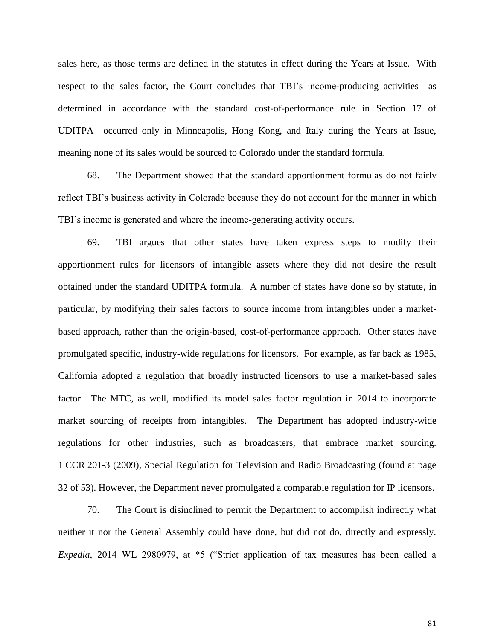sales here, as those terms are defined in the statutes in effect during the Years at Issue. With respect to the sales factor, the Court concludes that TBI's income-producing activities—as determined in accordance with the standard cost-of-performance rule in Section 17 of UDITPA—occurred only in Minneapolis, Hong Kong, and Italy during the Years at Issue, meaning none of its sales would be sourced to Colorado under the standard formula.

68. The Department showed that the standard apportionment formulas do not fairly reflect TBI's business activity in Colorado because they do not account for the manner in which TBI's income is generated and where the income-generating activity occurs.

69. TBI argues that other states have taken express steps to modify their apportionment rules for licensors of intangible assets where they did not desire the result obtained under the standard UDITPA formula. A number of states have done so by statute, in particular, by modifying their sales factors to source income from intangibles under a marketbased approach, rather than the origin-based, cost-of-performance approach. Other states have promulgated specific, industry-wide regulations for licensors. For example, as far back as 1985, California adopted a regulation that broadly instructed licensors to use a market-based sales factor. The MTC, as well, modified its model sales factor regulation in 2014 to incorporate market sourcing of receipts from intangibles. The Department has adopted industry-wide regulations for other industries, such as broadcasters, that embrace market sourcing. 1 CCR 201-3 (2009), Special Regulation for Television and Radio Broadcasting (found at page 32 of 53). However, the Department never promulgated a comparable regulation for IP licensors.

70. The Court is disinclined to permit the Department to accomplish indirectly what neither it nor the General Assembly could have done, but did not do, directly and expressly. *Expedia*, 2014 WL 2980979, at \*5 ("Strict application of tax measures has been called a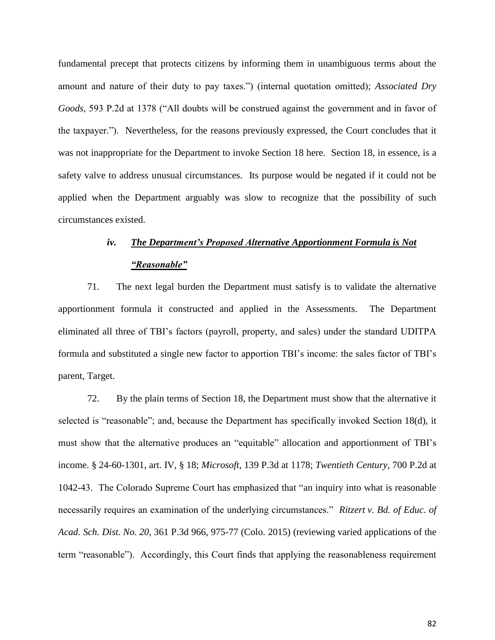fundamental precept that protects citizens by informing them in unambiguous terms about the amount and nature of their duty to pay taxes.") (internal quotation omitted); *Associated Dry Goods*, 593 P.2d at 1378 ("All doubts will be construed against the government and in favor of the taxpayer."). Nevertheless, for the reasons previously expressed, the Court concludes that it was not inappropriate for the Department to invoke Section 18 here. Section 18, in essence, is a safety valve to address unusual circumstances. Its purpose would be negated if it could not be applied when the Department arguably was slow to recognize that the possibility of such circumstances existed.

# *iv. The Department's Proposed Alternative Apportionment Formula is Not "Reasonable"*

71. The next legal burden the Department must satisfy is to validate the alternative apportionment formula it constructed and applied in the Assessments. The Department eliminated all three of TBI's factors (payroll, property, and sales) under the standard UDITPA formula and substituted a single new factor to apportion TBI's income: the sales factor of TBI's parent, Target.

72. By the plain terms of Section 18, the Department must show that the alternative it selected is "reasonable"; and, because the Department has specifically invoked Section 18(d), it must show that the alternative produces an "equitable" allocation and apportionment of TBI's income. § 24-60-1301, art. IV, § 18; *Microsoft*, 139 P.3d at 1178; *Twentieth Century*, 700 P.2d at 1042-43. The Colorado Supreme Court has emphasized that "an inquiry into what is reasonable necessarily requires an examination of the underlying circumstances." *Ritzert v. Bd. of Educ. of Acad. Sch. Dist. No. 20*, 361 P.3d 966, 975-77 (Colo. 2015) (reviewing varied applications of the term "reasonable"). Accordingly, this Court finds that applying the reasonableness requirement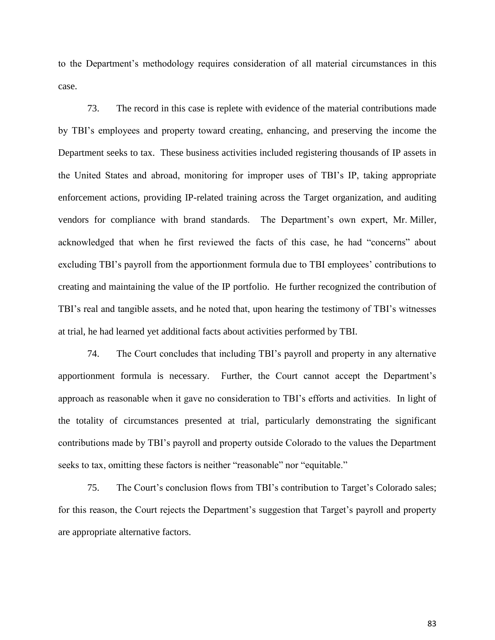to the Department's methodology requires consideration of all material circumstances in this case.

73. The record in this case is replete with evidence of the material contributions made by TBI's employees and property toward creating, enhancing, and preserving the income the Department seeks to tax. These business activities included registering thousands of IP assets in the United States and abroad, monitoring for improper uses of TBI's IP, taking appropriate enforcement actions, providing IP-related training across the Target organization, and auditing vendors for compliance with brand standards. The Department's own expert, Mr. Miller, acknowledged that when he first reviewed the facts of this case, he had "concerns" about excluding TBI's payroll from the apportionment formula due to TBI employees' contributions to creating and maintaining the value of the IP portfolio. He further recognized the contribution of TBI's real and tangible assets, and he noted that, upon hearing the testimony of TBI's witnesses at trial, he had learned yet additional facts about activities performed by TBI.

74. The Court concludes that including TBI's payroll and property in any alternative apportionment formula is necessary. Further, the Court cannot accept the Department's approach as reasonable when it gave no consideration to TBI's efforts and activities. In light of the totality of circumstances presented at trial, particularly demonstrating the significant contributions made by TBI's payroll and property outside Colorado to the values the Department seeks to tax, omitting these factors is neither "reasonable" nor "equitable."

75. The Court's conclusion flows from TBI's contribution to Target's Colorado sales; for this reason, the Court rejects the Department's suggestion that Target's payroll and property are appropriate alternative factors.

83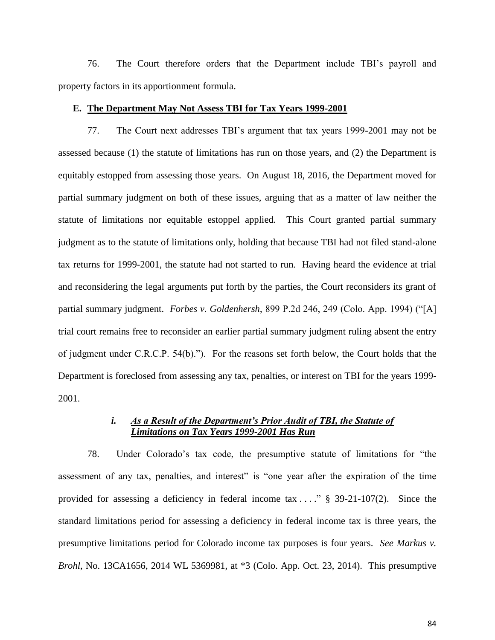76. The Court therefore orders that the Department include TBI's payroll and property factors in its apportionment formula.

# **E. The Department May Not Assess TBI for Tax Years 1999-2001**

77. The Court next addresses TBI's argument that tax years 1999-2001 may not be assessed because (1) the statute of limitations has run on those years, and (2) the Department is equitably estopped from assessing those years. On August 18, 2016, the Department moved for partial summary judgment on both of these issues, arguing that as a matter of law neither the statute of limitations nor equitable estoppel applied. This Court granted partial summary judgment as to the statute of limitations only, holding that because TBI had not filed stand-alone tax returns for 1999-2001, the statute had not started to run. Having heard the evidence at trial and reconsidering the legal arguments put forth by the parties, the Court reconsiders its grant of partial summary judgment. *Forbes v. Goldenhersh*, 899 P.2d 246, 249 (Colo. App. 1994) ("[A] trial court remains free to reconsider an earlier partial summary judgment ruling absent the entry of judgment under C.R.C.P. 54(b)."). For the reasons set forth below, the Court holds that the Department is foreclosed from assessing any tax, penalties, or interest on TBI for the years 1999- 2001.

## *i.* As a Result of the Department's Prior Audit of TBI, the Statute of *Limitations on Tax Years 1999-2001 Has Run*

78. Under Colorado's tax code, the presumptive statute of limitations for "the assessment of any tax, penalties, and interest" is "one year after the expiration of the time provided for assessing a deficiency in federal income tax . . . ." § 39-21-107(2). Since the standard limitations period for assessing a deficiency in federal income tax is three years, the presumptive limitations period for Colorado income tax purposes is four years. *See Markus v. Brohl*, No. 13CA1656, 2014 WL 5369981, at \*3 (Colo. App. Oct. 23, 2014). This presumptive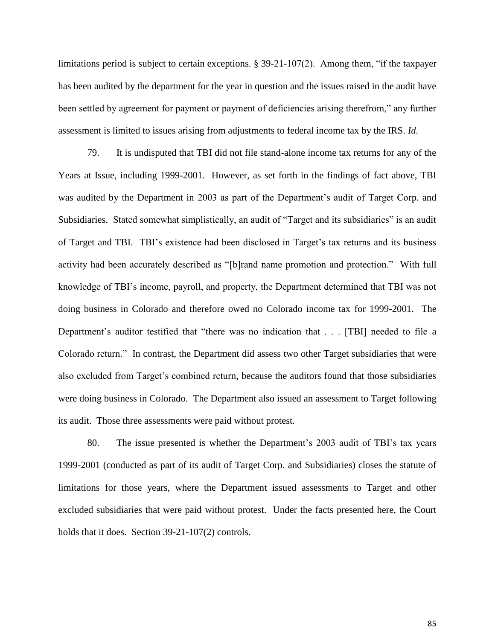limitations period is subject to certain exceptions. § 39-21-107(2). Among them, "if the taxpayer has been audited by the department for the year in question and the issues raised in the audit have been settled by agreement for payment or payment of deficiencies arising therefrom," any further assessment is limited to issues arising from adjustments to federal income tax by the IRS. *Id.*

79. It is undisputed that TBI did not file stand-alone income tax returns for any of the Years at Issue, including 1999-2001. However, as set forth in the findings of fact above, TBI was audited by the Department in 2003 as part of the Department's audit of Target Corp. and Subsidiaries. Stated somewhat simplistically, an audit of "Target and its subsidiaries" is an audit of Target and TBI. TBI's existence had been disclosed in Target's tax returns and its business activity had been accurately described as "[b]rand name promotion and protection." With full knowledge of TBI's income, payroll, and property, the Department determined that TBI was not doing business in Colorado and therefore owed no Colorado income tax for 1999-2001. The Department's auditor testified that "there was no indication that . . . [TBI] needed to file a Colorado return." In contrast, the Department did assess two other Target subsidiaries that were also excluded from Target's combined return, because the auditors found that those subsidiaries were doing business in Colorado. The Department also issued an assessment to Target following its audit. Those three assessments were paid without protest.

80. The issue presented is whether the Department's 2003 audit of TBI's tax years 1999-2001 (conducted as part of its audit of Target Corp. and Subsidiaries) closes the statute of limitations for those years, where the Department issued assessments to Target and other excluded subsidiaries that were paid without protest. Under the facts presented here, the Court holds that it does. Section 39-21-107(2) controls.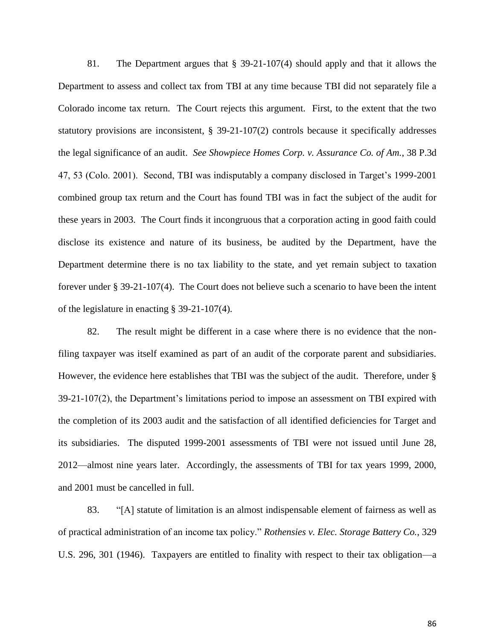81. The Department argues that § 39-21-107(4) should apply and that it allows the Department to assess and collect tax from TBI at any time because TBI did not separately file a Colorado income tax return. The Court rejects this argument. First, to the extent that the two statutory provisions are inconsistent, § 39-21-107(2) controls because it specifically addresses the legal significance of an audit. *See Showpiece Homes Corp. v. Assurance Co. of Am.*, 38 P.3d 47, 53 (Colo. 2001). Second, TBI was indisputably a company disclosed in Target's 1999-2001 combined group tax return and the Court has found TBI was in fact the subject of the audit for these years in 2003. The Court finds it incongruous that a corporation acting in good faith could disclose its existence and nature of its business, be audited by the Department, have the Department determine there is no tax liability to the state, and yet remain subject to taxation forever under § 39-21-107(4). The Court does not believe such a scenario to have been the intent of the legislature in enacting § 39-21-107(4).

82. The result might be different in a case where there is no evidence that the nonfiling taxpayer was itself examined as part of an audit of the corporate parent and subsidiaries. However, the evidence here establishes that TBI was the subject of the audit. Therefore, under § 39-21-107(2), the Department's limitations period to impose an assessment on TBI expired with the completion of its 2003 audit and the satisfaction of all identified deficiencies for Target and its subsidiaries. The disputed 1999-2001 assessments of TBI were not issued until June 28, 2012—almost nine years later. Accordingly, the assessments of TBI for tax years 1999, 2000, and 2001 must be cancelled in full.

83. "[A] statute of limitation is an almost indispensable element of fairness as well as of practical administration of an income tax policy." *Rothensies v. Elec. Storage Battery Co.*, 329 U.S. 296, 301 (1946). Taxpayers are entitled to finality with respect to their tax obligation—a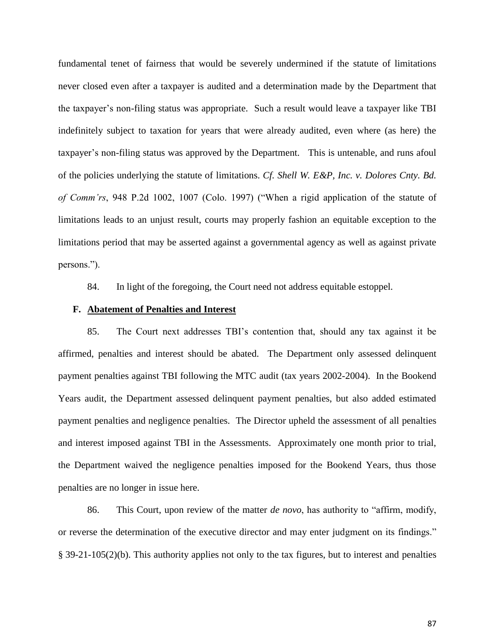fundamental tenet of fairness that would be severely undermined if the statute of limitations never closed even after a taxpayer is audited and a determination made by the Department that the taxpayer's non-filing status was appropriate. Such a result would leave a taxpayer like TBI indefinitely subject to taxation for years that were already audited, even where (as here) the taxpayer's non-filing status was approved by the Department. This is untenable, and runs afoul of the policies underlying the statute of limitations. *Cf. Shell W. E&P, Inc. v. Dolores Cnty. Bd. of Comm'rs*, 948 P.2d 1002, 1007 (Colo. 1997) ("When a rigid application of the statute of limitations leads to an unjust result, courts may properly fashion an equitable exception to the limitations period that may be asserted against a governmental agency as well as against private persons.").

84. In light of the foregoing, the Court need not address equitable estoppel.

### **F. Abatement of Penalties and Interest**

85. The Court next addresses TBI's contention that, should any tax against it be affirmed, penalties and interest should be abated. The Department only assessed delinquent payment penalties against TBI following the MTC audit (tax years 2002-2004). In the Bookend Years audit, the Department assessed delinquent payment penalties, but also added estimated payment penalties and negligence penalties. The Director upheld the assessment of all penalties and interest imposed against TBI in the Assessments. Approximately one month prior to trial, the Department waived the negligence penalties imposed for the Bookend Years, thus those penalties are no longer in issue here.

86. This Court, upon review of the matter *de novo*, has authority to "affirm, modify, or reverse the determination of the executive director and may enter judgment on its findings." § 39-21-105(2)(b). This authority applies not only to the tax figures, but to interest and penalties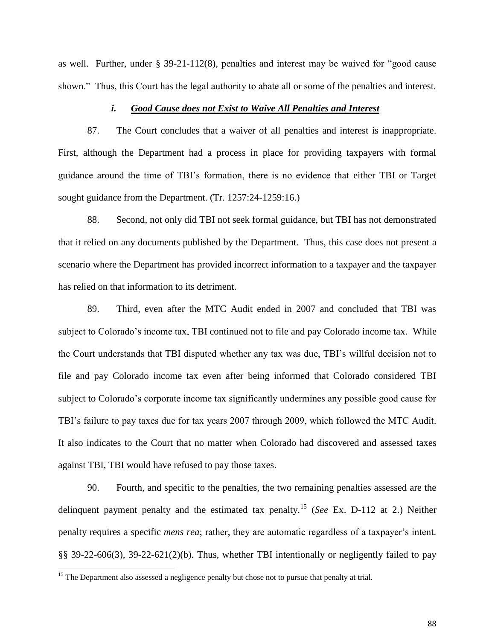as well. Further, under § 39-21-112(8), penalties and interest may be waived for "good cause shown." Thus, this Court has the legal authority to abate all or some of the penalties and interest.

### *i. Good Cause does not Exist to Waive All Penalties and Interest*

87. The Court concludes that a waiver of all penalties and interest is inappropriate. First, although the Department had a process in place for providing taxpayers with formal guidance around the time of TBI's formation, there is no evidence that either TBI or Target sought guidance from the Department. (Tr. 1257:24-1259:16.)

88. Second, not only did TBI not seek formal guidance, but TBI has not demonstrated that it relied on any documents published by the Department. Thus, this case does not present a scenario where the Department has provided incorrect information to a taxpayer and the taxpayer has relied on that information to its detriment.

89. Third, even after the MTC Audit ended in 2007 and concluded that TBI was subject to Colorado's income tax, TBI continued not to file and pay Colorado income tax. While the Court understands that TBI disputed whether any tax was due, TBI's willful decision not to file and pay Colorado income tax even after being informed that Colorado considered TBI subject to Colorado's corporate income tax significantly undermines any possible good cause for TBI's failure to pay taxes due for tax years 2007 through 2009, which followed the MTC Audit. It also indicates to the Court that no matter when Colorado had discovered and assessed taxes against TBI, TBI would have refused to pay those taxes.

90. Fourth, and specific to the penalties, the two remaining penalties assessed are the delinquent payment penalty and the estimated tax penalty.<sup>15</sup> (*See* Ex. D-112 at 2.) Neither penalty requires a specific *mens rea*; rather, they are automatic regardless of a taxpayer's intent. §§ 39-22-606(3), 39-22-621(2)(b). Thus, whether TBI intentionally or negligently failed to pay

 $\overline{\phantom{a}}$ 

 $15$  The Department also assessed a negligence penalty but chose not to pursue that penalty at trial.